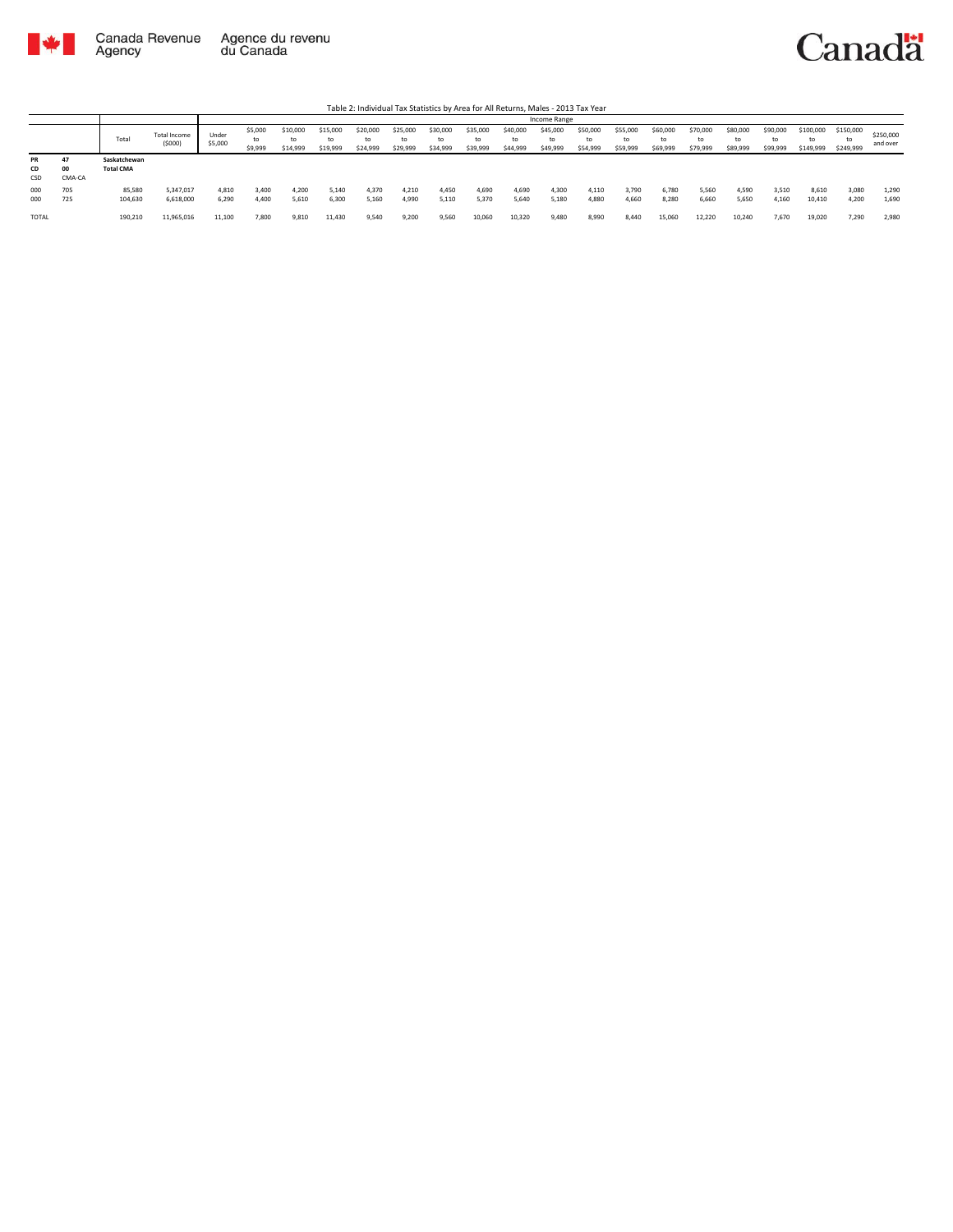

|                        |              |                                  |                        |                  |                          |                            |                            |                            |                            |                      |                            |                            | Income Range               |                            |                            |                            |                            |                            |                            |                              |                              |                       |
|------------------------|--------------|----------------------------------|------------------------|------------------|--------------------------|----------------------------|----------------------------|----------------------------|----------------------------|----------------------|----------------------------|----------------------------|----------------------------|----------------------------|----------------------------|----------------------------|----------------------------|----------------------------|----------------------------|------------------------------|------------------------------|-----------------------|
|                        |              | Total                            | Total Income<br>(5000) | Under<br>\$5,000 | \$5,000<br>to<br>\$9,999 | \$10,000<br>to<br>\$14,999 | \$15,000<br>to<br>\$19,999 | \$20,000<br>to<br>\$24,999 | \$25,000<br>to<br>\$29,999 | \$30,000<br>\$34,999 | \$35,000<br>to<br>\$39,999 | \$40,000<br>to<br>\$44,999 | \$45,000<br>to<br>\$49,999 | \$50,000<br>to<br>\$54,999 | \$55,000<br>to<br>\$59,999 | \$60,000<br>to<br>\$69,999 | \$70,000<br>to<br>\$79,999 | \$80,000<br>to<br>\$89,999 | \$90,000<br>to<br>\$99,999 | \$100,000<br>to<br>\$149,999 | \$150,000<br>to<br>\$249,999 | \$250,000<br>and over |
| <b>PR</b><br>CD<br>CSD | 00<br>CMA-CA | Saskatchewan<br><b>Total CMA</b> |                        |                  |                          |                            |                            |                            |                            |                      |                            |                            |                            |                            |                            |                            |                            |                            |                            |                              |                              |                       |
| 000<br>000             | 705<br>725   | 85,580<br>104,630                | 5,347,017<br>6,618,000 | 4,810<br>6.290   | 3,400<br>4.400           | 4.200<br>5.610             | 5,140<br>6,300             | 4.370<br>5.160             | 4.210<br>4,990             | 4,450<br>5,110       | 4,690<br>5,370             | 4.690<br>5,640             | 4,300<br>5,180             | 4,110<br>4,880             | 3,790<br>4.660             | 6,780<br>8,280             | 5,560<br>6.660             | 4.590<br>5.650             | 3,510<br>4,160             | 8,610<br>10,410              | 3,080<br>4.200               | 1,290<br>1,690        |
| <b>TOTAL</b>           |              | 190,210                          | 11,965,016             | 11,100           | 7.800                    | 9.810                      | 11,430                     | 9.540                      | 9,200                      | 9.560                | 10,060                     | 10.320                     | 9.480                      | 8,990                      | 8.440                      | 15,060                     | 12.220                     | 10.240                     | 7.670                      | 19.020                       | 7.290                        | 2,980                 |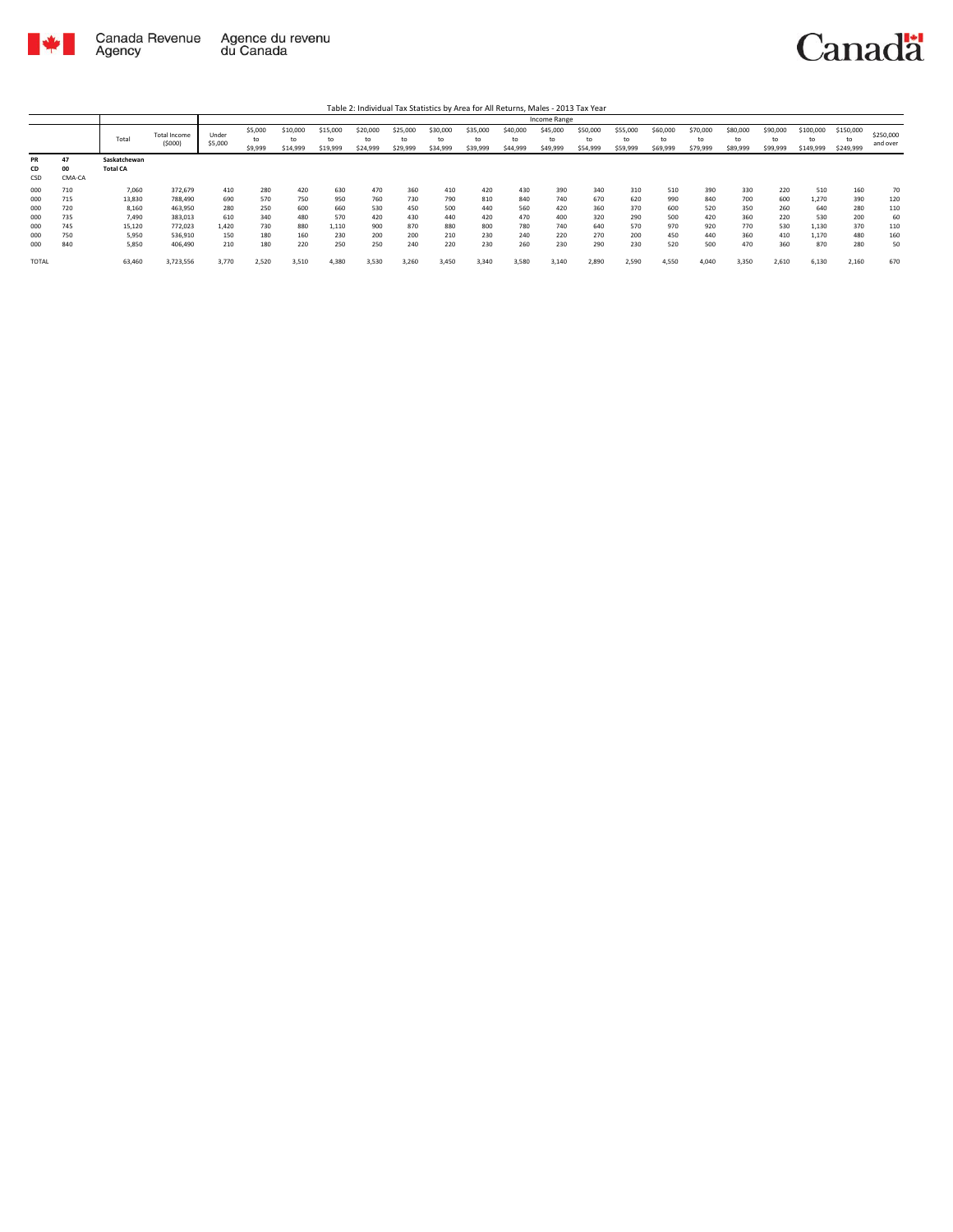

|                        |                    |                                 |                               |                  |                          |                            |                            |                      |                            |                      |                            |                            | Income Range               |                            |                            |                            |                            |                            |                            |                              |                        |                       |
|------------------------|--------------------|---------------------------------|-------------------------------|------------------|--------------------------|----------------------------|----------------------------|----------------------|----------------------------|----------------------|----------------------------|----------------------------|----------------------------|----------------------------|----------------------------|----------------------------|----------------------------|----------------------------|----------------------------|------------------------------|------------------------|-----------------------|
|                        |                    | Total                           | <b>Total Income</b><br>(5000) | Under<br>\$5,000 | \$5,000<br>to<br>\$9,999 | \$10,000<br>to<br>\$14,999 | \$15,000<br>to<br>\$19,999 | \$20,000<br>\$24,999 | \$25,000<br>to<br>\$29,999 | \$30,000<br>\$34,999 | \$35,000<br>to<br>\$39,999 | \$40,000<br>to<br>\$44,999 | \$45,000<br>to<br>\$49,999 | \$50,000<br>to<br>\$54,999 | \$55,000<br>to<br>\$59,999 | \$60,000<br>to<br>\$69,999 | \$70,000<br>to<br>\$79,999 | \$80,000<br>to<br>\$89,999 | \$90,000<br>to<br>\$99,999 | \$100,000<br>to<br>\$149,999 | \$150,000<br>\$249,999 | \$250,000<br>and over |
| <b>PR</b><br>CD<br>CSD | 47<br>00<br>CMA-CA | Saskatchewan<br><b>Total CA</b> |                               |                  |                          |                            |                            |                      |                            |                      |                            |                            |                            |                            |                            |                            |                            |                            |                            |                              |                        |                       |
| 000                    | 710                | 7,060                           | 372,679                       | 410              | 280                      | 420                        | 630                        | 470                  | 360                        | 410                  | 420                        | 430                        | 390                        | 340                        | 310                        | 510                        | 390                        | 330                        | 220                        | 510                          | 160                    | 70                    |
| 000                    | 715                | 13,830                          | 788,490                       | 690              | 570                      | 750                        | 950                        | 760                  | 730                        | 790                  | 810                        | 840                        | 740                        | 670                        | 620                        | 990                        | 840                        | 700                        | 600                        | 1.270                        | 390                    | 120                   |
| 000                    | 720                | 8,160                           | 463,950                       | 280              | 250                      | 600                        | 660                        | 530                  | 450                        | 500                  | 440                        | 560                        | 420                        | 360                        | 370                        | 600                        | 520                        | 350                        | 260                        | 640                          | 280                    | 110                   |
| 000                    | 735                | 7.490                           | 383,013                       | 610              | 340                      | 480                        | 570                        | 420                  | 430                        | 440                  | 420                        | 470                        | 400                        | 320                        | 290                        | 500                        | 420                        | 360                        | 220                        | 530                          | 200                    | 60                    |
| 000                    | 745                | 15,120                          | 772.023                       | 1.420            | 730                      | 880                        | 1,110                      | 900                  | 870                        | 880                  | 800                        | 780                        | 740                        | 640                        | 570                        | 970                        | 920                        | 770                        | 530                        | 1.130                        | 370                    | 110                   |
| 000                    | 750                | 5.950                           | 536,910                       | 150              | 180                      | 160                        | 230                        | 200                  | 200                        | 210                  | 230                        | 240                        | 220                        | 270                        | 200                        | 450                        | 440                        | 360                        | 410                        | 1.170                        | 480                    | 160                   |
| 000                    | 840                | 5,850                           | 406,490                       | 210              | 180                      | 220                        | 250                        | 250                  | 240                        | 220                  | 230                        | 260                        | 230                        | 290                        | 230                        | 520                        | 500                        | 470                        | 360                        | 870                          | 280                    | 50                    |
| <b>TOTAL</b>           |                    | 63,460                          | 3.723.556                     | 3.770            | 2.520                    | 3.510                      | 4.380                      | 3.530                | 3,260                      | 3.450                | 3.340                      | 3,580                      | 3.140                      | 2.890                      | 2.590                      | 4,550                      | 4.040                      | 3.350                      | 2,610                      | 6.130                        | 2,160                  | 670                   |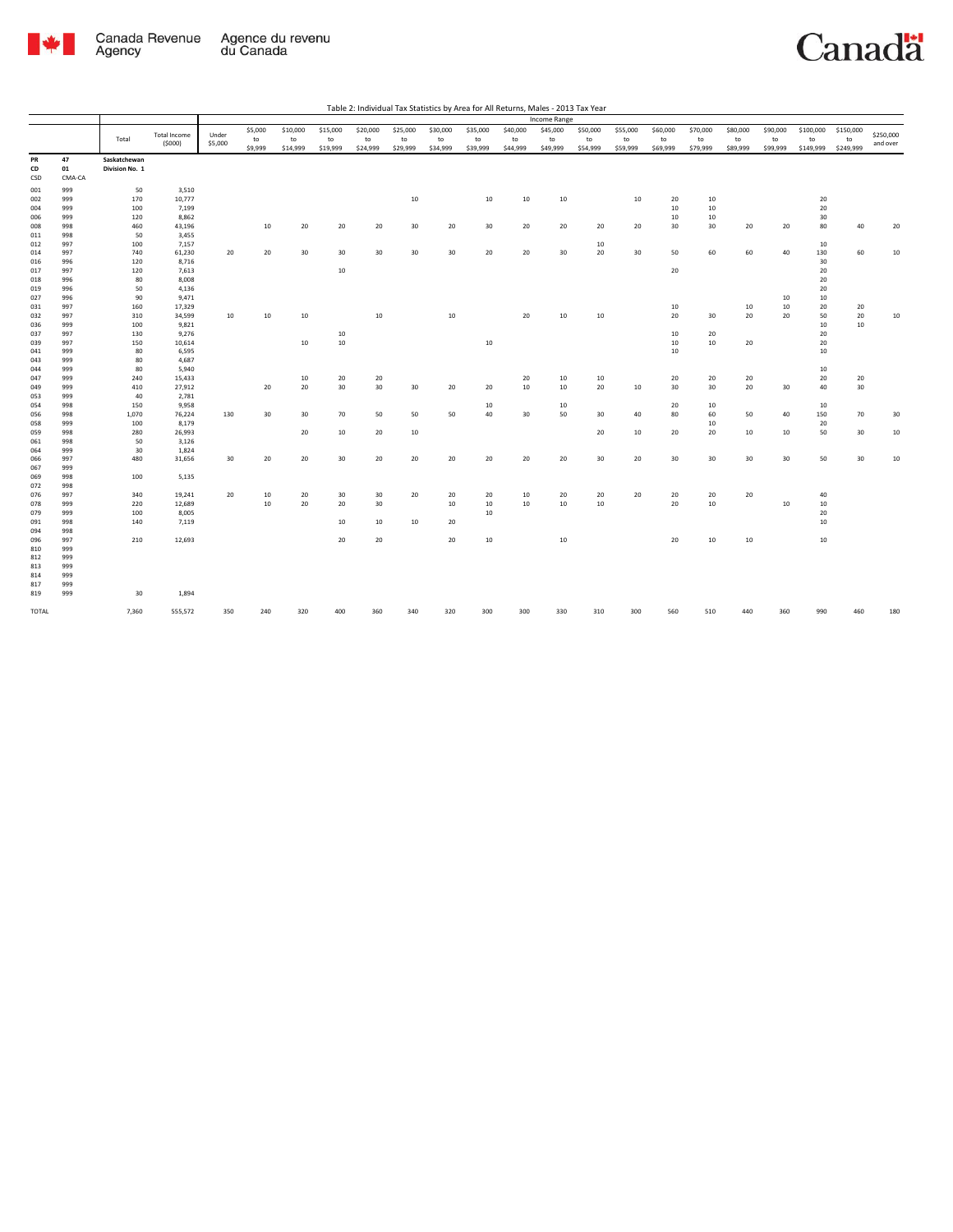

|            |        |                |                     |         |                  |          |          |                 |          |                  |          |          | Income Range     |          |          |          |          |          |          |           |           |           |
|------------|--------|----------------|---------------------|---------|------------------|----------|----------|-----------------|----------|------------------|----------|----------|------------------|----------|----------|----------|----------|----------|----------|-----------|-----------|-----------|
|            |        |                | <b>Total Income</b> | Under   | \$5,000          | \$10,000 | \$15,000 | \$20,000        | \$25,000 | \$30,000         | \$35,000 | \$40,000 | \$45,000         | \$50,000 | \$55,000 | \$60,000 | \$70,000 | \$80,000 | \$90,000 | \$100,000 | \$150,000 | \$250,000 |
|            |        | Total          |                     |         | to               | to       | to       | to              | to       | to               | to       | to       | to               | to       | to       | to       | to       | to       | to       | to        | to        |           |
|            |        |                | (5000)              | \$5,000 | \$9,999          | \$14,999 | \$19,999 | \$24,999        | \$29,999 | \$34,999         | \$39,999 | \$44,999 | \$49,999         | \$54,999 | \$59,999 | \$69,999 | \$79,999 | \$89,999 | \$99,999 | \$149,999 | \$249,999 | and over  |
| PR         | 47     | Saskatchewan   |                     |         |                  |          |          |                 |          |                  |          |          |                  |          |          |          |          |          |          |           |           |           |
| CD         | 01     | Division No. 1 |                     |         |                  |          |          |                 |          |                  |          |          |                  |          |          |          |          |          |          |           |           |           |
| CSD        | CMA-CA |                |                     |         |                  |          |          |                 |          |                  |          |          |                  |          |          |          |          |          |          |           |           |           |
| 001        | 999    | 50             | 3,510               |         |                  |          |          |                 |          |                  |          |          |                  |          |          |          |          |          |          |           |           |           |
| 002        | 999    | 170            | 10,777              |         |                  |          |          |                 | 10       |                  | 10       | 10       | 10               |          | 10       | 20       | 10       |          |          | 20        |           |           |
| 004        | 999    | 100            | 7,199               |         |                  |          |          |                 |          |                  |          |          |                  |          |          | 10       | 10       |          |          | 20        |           |           |
| 006        | 999    | 120            | 8,862               |         |                  |          |          |                 |          |                  |          |          |                  |          |          | 10       | 10       |          |          | 30        |           |           |
| 008        | 998    | 460            | 43,196              |         | $10\,$           | 20       | 20       | 20              | 30       | 20               | 30       | 20       | 20               | 20       | 20       | 30       | 30       | 20       | 20       | 80        | 40        | 20        |
| 011        | 998    | 50             | 3,455               |         |                  |          |          |                 |          |                  |          |          |                  |          |          |          |          |          |          |           |           |           |
| 012        | 997    | 100            | 7,157               |         |                  |          |          |                 |          |                  |          |          |                  | 10       |          |          |          |          |          | 10        |           |           |
|            | 997    | 740            | 61,230              | 20      | 20               | 30       | 30       | 30 <sub>o</sub> | 30       | 30 <sup>°</sup>  | 20       | 20       | 30               | 20       | 30       | 50       | 60       | 60       | 40       | 130       | 60        |           |
| 014<br>016 | 996    | 120            | 8,716               |         |                  |          |          |                 |          |                  |          |          |                  |          |          |          |          |          |          | 30        |           | 10        |
|            | 997    |                |                     |         |                  |          |          |                 |          |                  |          |          |                  |          |          | 20       |          |          |          |           |           |           |
| 017        | 996    | 120<br>80      | 7,613<br>8,008      |         |                  |          | 10       |                 |          |                  |          |          |                  |          |          |          |          |          |          | 20<br>20  |           |           |
| 018<br>019 | 996    | 50             | 4,136               |         |                  |          |          |                 |          |                  |          |          |                  |          |          |          |          |          |          | 20        |           |           |
| 027        | 996    | 90             | 9,471               |         |                  |          |          |                 |          |                  |          |          |                  |          |          |          |          |          | 10       | 10        |           |           |
| 031        | 997    | 160            | 17,329              |         |                  |          |          |                 |          |                  |          |          |                  |          |          | 10       |          | 10       | 10       | 20        | 20        |           |
| 032        | 997    | 310            | 34,599              | 10      | 10               | 10       |          | 10              |          | $10\,$           |          | 20       | 10               | 10       |          | 20       | 30       | 20       | 20       | 50        | 20        | 10        |
| 036        | 999    | 100            | 9,821               |         |                  |          |          |                 |          |                  |          |          |                  |          |          |          |          |          |          | 10        | 10        |           |
| 037        | 997    | 130            | 9,276               |         |                  |          | 10       |                 |          |                  |          |          |                  |          |          | 10       | 20       |          |          | 20        |           |           |
| 039        | 997    | 150            | 10,614              |         |                  | 10       | 10       |                 |          |                  | 10       |          |                  |          |          | 10       | 10       | 20       |          | 20        |           |           |
| 041        | 999    | 80             | 6,595               |         |                  |          |          |                 |          |                  |          |          |                  |          |          | 10       |          |          |          | 10        |           |           |
| 043        | 999    | 80             | 4,687               |         |                  |          |          |                 |          |                  |          |          |                  |          |          |          |          |          |          |           |           |           |
| 044        | 999    | 80             | 5,940               |         |                  |          |          |                 |          |                  |          |          |                  |          |          |          |          |          |          | 10        |           |           |
| 047        | 999    | 240            | 15,433              |         |                  | 10       | 20       | 20              |          |                  |          | 20       | 10               | 10       |          | 20       | 20       | 20       |          | 20        | 20        |           |
| 049        | 999    | 410            | 27,912              |         | 20               | 20       | 30       | 30 <sub>o</sub> | 30       | 20               | 20       | 10       | 10 <sup>10</sup> | 20       | 10       | 30       | 30       | 20       | 30       | 40        | 30        |           |
|            | 999    | 40             | 2,781               |         |                  |          |          |                 |          |                  |          |          |                  |          |          |          |          |          |          |           |           |           |
| 053<br>054 | 998    | 150            | 9,958               |         |                  |          |          |                 |          |                  | 10       |          | 10               |          |          | 20       | 10       |          |          | 10        |           |           |
| 056        | 998    | 1,070          | 76,224              | 130     | 30 <sup>°</sup>  | 30       | 70       | 50              | 50       | 50               | 40       | 30       | 50               | 30       | 40       | 80       | 60       | 50       | 40       | 150       | 70        | 30        |
| 058        | 999    | 100            | 8,179               |         |                  |          |          |                 |          |                  |          |          |                  |          |          |          | 10       |          |          | 20        |           |           |
| 059        | 998    | 280            | 26,993              |         |                  | 20       | 10       | 20              | 10       |                  |          |          |                  | 20       | 10       | 20       | 20       | 10       | 10       | 50        | 30        | 10        |
| 061        | 998    | 50             | 3,126               |         |                  |          |          |                 |          |                  |          |          |                  |          |          |          |          |          |          |           |           |           |
| 064        | 999    | 30             | 1,824               |         |                  |          |          |                 |          |                  |          |          |                  |          |          |          |          |          |          |           |           |           |
| 066        | 997    | 480            | 31,656              | 30      | 20               | 20       | 30       | 20              | 20       | 20               | 20       | 20       | 20               | 30       | 20       | 30       | 30       | 30       | 30       | 50        | 30        | 10        |
| 067        | 999    |                |                     |         |                  |          |          |                 |          |                  |          |          |                  |          |          |          |          |          |          |           |           |           |
| 069        | 998    | 100            | 5,135               |         |                  |          |          |                 |          |                  |          |          |                  |          |          |          |          |          |          |           |           |           |
| 072        | 998    |                |                     |         |                  |          |          |                 |          |                  |          |          |                  |          |          |          |          |          |          |           |           |           |
|            | 997    | 340            | 19,241              | 20      | 10               | 20       | 30       | 30              | 20       | 20               | 20       | 10       | 20               | 20       | 20       | 20       | 20       | 20       |          | 40        |           |           |
| 076<br>078 | 999    | 220            | 12,689              |         | 10 <sup>10</sup> | 20       | 20       | 30 <sub>o</sub> |          | 10 <sup>10</sup> | 10       | 10       | $10\,$           | 10       |          | 20       | 10       |          | 10       | 10        |           |           |
| 079        | 999    | 100            | 8,005               |         |                  |          |          |                 |          |                  | 10       |          |                  |          |          |          |          |          |          | 20        |           |           |
|            | 998    | 140            |                     |         |                  |          |          |                 |          |                  |          |          |                  |          |          |          |          |          |          |           |           |           |
| 091<br>094 | 998    |                | 7,119               |         |                  |          | 10       | 10              | 10       | 20               |          |          |                  |          |          |          |          |          |          | 10        |           |           |
| 096        | 997    | 210            | 12,693              |         |                  |          | 20       | 20              |          | 20               | 10       |          | $10\,$           |          |          | 20       | 10       | $10\,$   |          | $10\,$    |           |           |
| 810        | 999    |                |                     |         |                  |          |          |                 |          |                  |          |          |                  |          |          |          |          |          |          |           |           |           |
| 812        | 999    |                |                     |         |                  |          |          |                 |          |                  |          |          |                  |          |          |          |          |          |          |           |           |           |
| 813        | 999    |                |                     |         |                  |          |          |                 |          |                  |          |          |                  |          |          |          |          |          |          |           |           |           |
| 814        | 999    |                |                     |         |                  |          |          |                 |          |                  |          |          |                  |          |          |          |          |          |          |           |           |           |
| 817        | 999    |                |                     |         |                  |          |          |                 |          |                  |          |          |                  |          |          |          |          |          |          |           |           |           |
| 819        | 999    | 30             | 1,894               |         |                  |          |          |                 |          |                  |          |          |                  |          |          |          |          |          |          |           |           |           |
|            |        |                |                     |         |                  |          |          |                 |          |                  |          |          |                  |          |          |          |          |          |          |           |           |           |
| TOTAL      |        | 7,360          | 555,572             | 350     | 240              | 320      | 400      | 360             | 340      | 320              | 300      | 300      | 330              | 310      | 300      | 560      | 510      | 440      | 360      | 990       | 460       | 180       |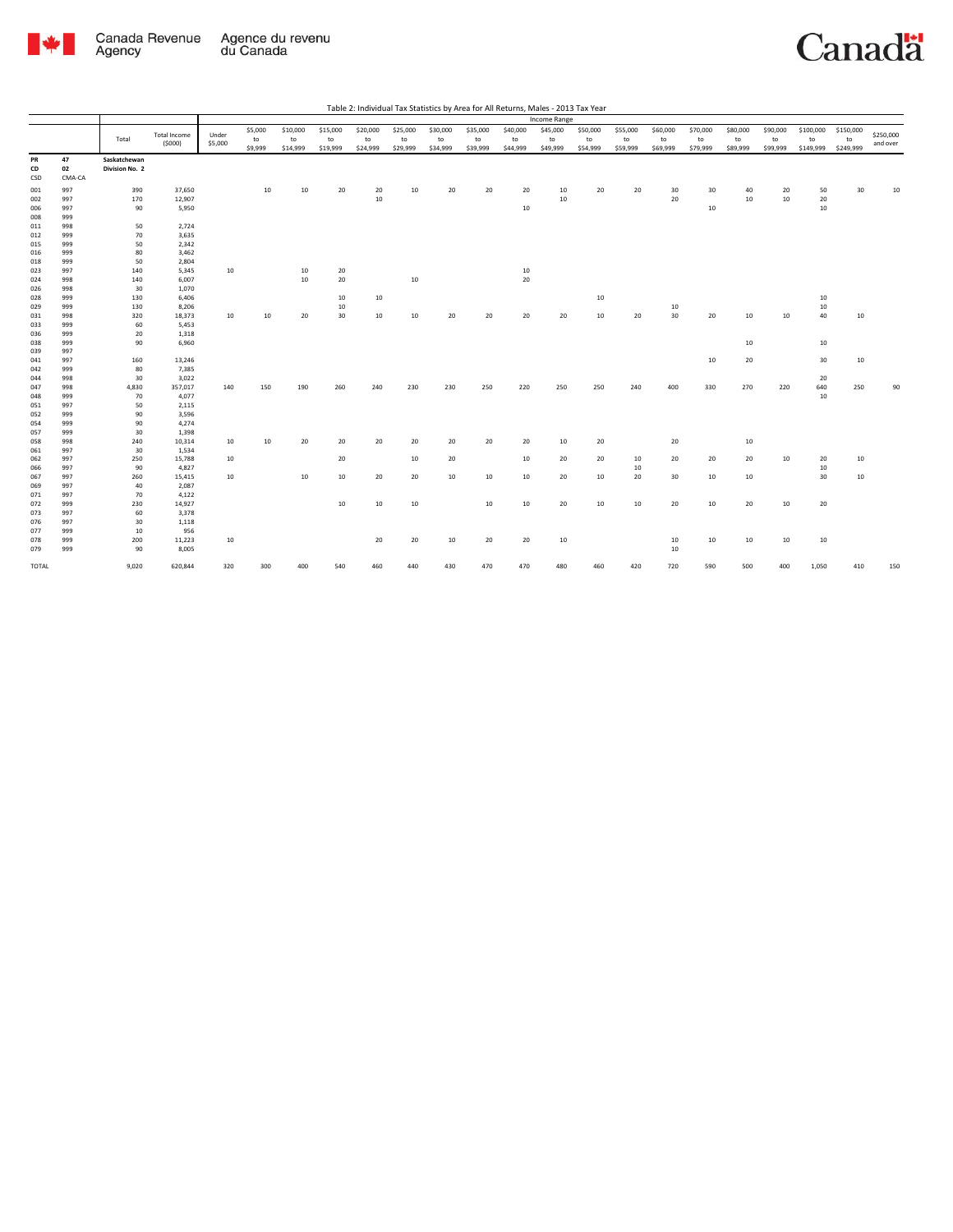

|                 |                    |                                |                     |         |         |          |          |          |          |          |          |          |              | Table 2: Individual Tax Statistics by Area for All Returns, Males - 2013 Tax Year |          |          |          |          |          |           |           |           |
|-----------------|--------------------|--------------------------------|---------------------|---------|---------|----------|----------|----------|----------|----------|----------|----------|--------------|-----------------------------------------------------------------------------------|----------|----------|----------|----------|----------|-----------|-----------|-----------|
|                 |                    |                                |                     |         |         |          |          |          |          |          |          |          | Income Range |                                                                                   |          |          |          |          |          |           |           |           |
|                 |                    |                                | <b>Total Income</b> | Under   | \$5,000 | \$10,000 | \$15,000 | \$20,000 | \$25,000 | \$30,000 | \$35,000 | \$40,000 | \$45,000     | \$50,000                                                                          | \$55,000 | \$60,000 | \$70,000 | \$80,000 | \$90,000 | \$100,000 | \$150,000 | \$250,000 |
|                 |                    | Total                          | (5000)              | \$5,000 | to      | to       | to       | to       | to       | to       | to       | to       | to           | to                                                                                | to       | to       | to       | to       | to       | to        | to        | and over  |
|                 |                    |                                |                     |         | \$9,999 | \$14,999 | \$19,999 | \$24,999 | \$29,999 | \$34,999 | \$39,999 | \$44,999 | \$49,999     | \$54,999                                                                          | \$59,999 | \$69,999 | \$79,999 | \$89,999 | \$99,999 | \$149,999 | \$249,999 |           |
| PR<br>CD<br>CSD | 47<br>02<br>CMA-CA | Saskatchewan<br>Division No. 2 |                     |         |         |          |          |          |          |          |          |          |              |                                                                                   |          |          |          |          |          |           |           |           |
| 001             | 997                | 390                            | 37,650              |         | 10      | 10       | 20       | 20       | 10       | 20       | 20       | 20       | 10           | 20                                                                                | 20       | 30       | 30       | 40       | 20       | 50        | 30        | 10        |
| 002             | 997                | 170                            | 12,907              |         |         |          |          | $10\,$   |          |          |          |          | 10           |                                                                                   |          | 20       |          | 10       | 10       | 20        |           |           |
| 006             | 997                | 90                             | 5,950               |         |         |          |          |          |          |          |          | 10       |              |                                                                                   |          |          | 10       |          |          | 10        |           |           |
| 008             | 999                |                                |                     |         |         |          |          |          |          |          |          |          |              |                                                                                   |          |          |          |          |          |           |           |           |
| 011             | 998                | 50                             | 2,724               |         |         |          |          |          |          |          |          |          |              |                                                                                   |          |          |          |          |          |           |           |           |
| 012             | 999                | 70                             | 3,635               |         |         |          |          |          |          |          |          |          |              |                                                                                   |          |          |          |          |          |           |           |           |
| 015             | 999                | 50                             | 2,342               |         |         |          |          |          |          |          |          |          |              |                                                                                   |          |          |          |          |          |           |           |           |
| 016             | 999<br>999         | 80<br>50                       | 3,462<br>2,804      |         |         |          |          |          |          |          |          |          |              |                                                                                   |          |          |          |          |          |           |           |           |
| 018<br>023      | 997                | 140                            | 5,345               | 10      |         | 10       | 20       |          |          |          |          | 10       |              |                                                                                   |          |          |          |          |          |           |           |           |
| 024             | 998                | 140                            | 6,007               |         |         | 10       | 20       |          | 10       |          |          | 20       |              |                                                                                   |          |          |          |          |          |           |           |           |
| 026             | 998                | 30                             | 1,070               |         |         |          |          |          |          |          |          |          |              |                                                                                   |          |          |          |          |          |           |           |           |
| 028             | 999                | 130                            | 6,406               |         |         |          | 10       | 10       |          |          |          |          |              | 10                                                                                |          |          |          |          |          | 10        |           |           |
| 029             | 999                | 130                            | 8,206               |         |         |          | 10       |          |          |          |          |          |              |                                                                                   |          | 10       |          |          |          | 10        |           |           |
| 031             | 998                | 320                            | 18,373              | 10      | 10      | 20       | 30       | 10       | 10       | 20       | 20       | 20       | 20           | 10                                                                                | 20       | 30       | 20       | $10\,$   | 10       | 40        | $10\,$    |           |
| 033             | 999                | 60                             | 5,453               |         |         |          |          |          |          |          |          |          |              |                                                                                   |          |          |          |          |          |           |           |           |
| 036             | 999                | 20                             | 1,318               |         |         |          |          |          |          |          |          |          |              |                                                                                   |          |          |          |          |          |           |           |           |
| 038             | 999                | 90                             | 6,960               |         |         |          |          |          |          |          |          |          |              |                                                                                   |          |          |          | $10\,$   |          | 10        |           |           |
| 039             | 997                |                                |                     |         |         |          |          |          |          |          |          |          |              |                                                                                   |          |          |          |          |          |           |           |           |
| 041             | 997                | 160                            | 13,246              |         |         |          |          |          |          |          |          |          |              |                                                                                   |          |          | 10       | 20       |          | 30        | 10        |           |
| 042             | 999                | 80                             | 7,385               |         |         |          |          |          |          |          |          |          |              |                                                                                   |          |          |          |          |          |           |           |           |
| 044             | 998                | 30                             | 3,022               |         |         |          |          |          |          |          |          |          |              |                                                                                   |          |          |          |          |          | 20        |           |           |
| 047             | 998                | 4,830                          | 357,017             | 140     | 150     | 190      | 260      | 240      | 230      | 230      | 250      | 220      | 250          | 250                                                                               | 240      | 400      | 330      | 270      | 220      | 640       | 250       | 90        |
| 048             | 999                | 70                             | 4,077               |         |         |          |          |          |          |          |          |          |              |                                                                                   |          |          |          |          |          | 10        |           |           |
| 051             | 997                | 50                             | 2,115               |         |         |          |          |          |          |          |          |          |              |                                                                                   |          |          |          |          |          |           |           |           |
| 052             | 999                | 90<br>90                       | 3,596               |         |         |          |          |          |          |          |          |          |              |                                                                                   |          |          |          |          |          |           |           |           |
| 054<br>057      | 999<br>999         | 30                             | 4,274<br>1,398      |         |         |          |          |          |          |          |          |          |              |                                                                                   |          |          |          |          |          |           |           |           |
| 058             | 998                | 240                            | 10,314              | 10      | 10      | 20       | 20       | 20       | 20       | 20       | 20       | 20       | 10           | 20                                                                                |          | 20       |          | $10\,$   |          |           |           |           |
| 061             | 997                | 30                             | 1,534               |         |         |          |          |          |          |          |          |          |              |                                                                                   |          |          |          |          |          |           |           |           |
| 062             | 997                | 250                            | 15,788              | 10      |         |          | 20       |          | 10       | 20       |          | 10       | 20           | 20                                                                                | 10       | 20       | 20       | 20       | 10       | 20        | 10        |           |
| 066             | 997                | 90                             | 4,827               |         |         |          |          |          |          |          |          |          |              |                                                                                   | 10       |          |          |          |          | 10        |           |           |
| 067             | 997                | 260                            | 15,415              | 10      |         | 10       | 10       | 20       | 20       | 10       | 10       | 10       | 20           | 10                                                                                | 20       | 30       | 10       | 10       |          | 30        | 10        |           |
| 069             | 997                | 40                             | 2,087               |         |         |          |          |          |          |          |          |          |              |                                                                                   |          |          |          |          |          |           |           |           |
| 071             | 997                | 70                             | 4,122               |         |         |          |          |          |          |          |          |          |              |                                                                                   |          |          |          |          |          |           |           |           |
| 072             | 999                | 230                            | 14,927              |         |         |          | 10       | 10       | 10       |          | 10       | 10       | 20           | 10                                                                                | 10       | 20       | 10       | 20       | 10       | 20        |           |           |
| 073             | 997                | 60                             | 3,378               |         |         |          |          |          |          |          |          |          |              |                                                                                   |          |          |          |          |          |           |           |           |
| 076             | 997                | 30                             | 1,118               |         |         |          |          |          |          |          |          |          |              |                                                                                   |          |          |          |          |          |           |           |           |
| 077             | 999                | 10                             | 956                 |         |         |          |          |          |          |          |          |          |              |                                                                                   |          |          |          |          |          |           |           |           |
| 078             | 999                | 200                            | 11,223              | 10      |         |          |          | 20       | 20       | 10       | 20       | 20       | 10           |                                                                                   |          | 10       | 10       | 10       | 10       | 10        |           |           |
| 079             | 999                | 90                             | 8,005               |         |         |          |          |          |          |          |          |          |              |                                                                                   |          | 10       |          |          |          |           |           |           |
| TOTAL           |                    | 9,020                          | 620,844             | 320     | 300     | 400      | 540      | 460      | 440      | 430      | 470      | 470      | 480          | 460                                                                               | 420      | 720      | 590      | 500      | 400      | 1,050     | 410       | 150       |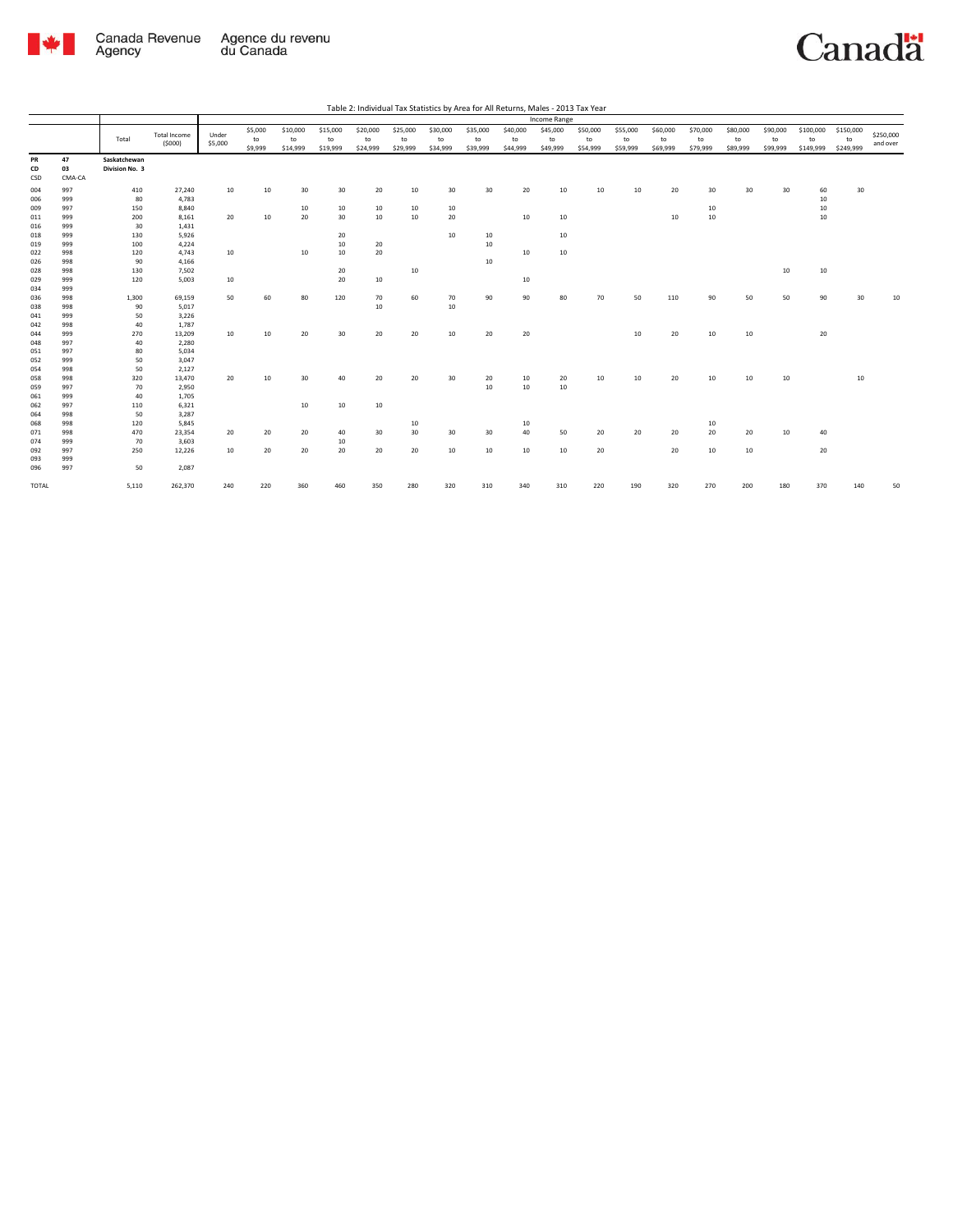

|       |        |                |                     |         |         |          |          |          |          |          |          |          | Income Range |          |          |          |          |          |          |           |           |           |
|-------|--------|----------------|---------------------|---------|---------|----------|----------|----------|----------|----------|----------|----------|--------------|----------|----------|----------|----------|----------|----------|-----------|-----------|-----------|
|       |        |                |                     |         | \$5,000 | \$10,000 | \$15,000 | \$20,000 | \$25,000 | \$30,000 | \$35,000 | \$40,000 | \$45,000     | \$50,000 | \$55,000 | \$60,000 | \$70,000 | \$80,000 | \$90,000 | \$100,000 | \$150,000 |           |
|       |        | Total          | <b>Total Income</b> | Under   | to      | to       | to       | to       | to       | to       | to       | to       | to           | to       | to       | to       | to       | to       | to       | to        | to        | \$250,000 |
|       |        |                | (5000)              | \$5,000 | \$9,999 | \$14,999 | \$19,999 | \$24,999 | \$29,999 | \$34,999 | \$39,999 | \$44,999 | \$49,999     | \$54,999 | \$59,999 | \$69,999 | \$79,999 | \$89,999 | \$99,999 | \$149,999 | \$249,999 | and over  |
| PR    | 47     | Saskatchewan   |                     |         |         |          |          |          |          |          |          |          |              |          |          |          |          |          |          |           |           |           |
| CD    | 03     | Division No. 3 |                     |         |         |          |          |          |          |          |          |          |              |          |          |          |          |          |          |           |           |           |
| CSD   | CMA-CA |                |                     |         |         |          |          |          |          |          |          |          |              |          |          |          |          |          |          |           |           |           |
|       |        |                |                     |         |         |          |          |          |          |          |          |          |              |          |          |          |          |          |          |           |           |           |
| 004   | 997    | 410            | 27,240              | 10      | 10      | 30       | 30       | 20       | 10       | 30       | 30       | 20       | 10           | 10       | 10       | 20       | 30       | 30       | 30       | 60        | 30        |           |
| 006   | 999    | 80             | 4,783               |         |         |          |          |          |          |          |          |          |              |          |          |          |          |          |          | $10\,$    |           |           |
| 009   | 997    | 150            | 8,840               |         |         | 10       | 10       | 10       | 10       | 10       |          |          |              |          |          |          | 10       |          |          | 10        |           |           |
| 011   | 999    | 200            | 8,161               | 20      | 10      | 20       | 30       | 10       | 10       | 20       |          | 10       | 10           |          |          | 10       | 10       |          |          | 10        |           |           |
| 016   | 999    | 30             | 1,431               |         |         |          |          |          |          |          |          |          |              |          |          |          |          |          |          |           |           |           |
| 018   | 999    | 130            | 5,926               |         |         |          | 20       |          |          | 10       | 10       |          | 10           |          |          |          |          |          |          |           |           |           |
| 019   | 999    | 100            | 4,224               |         |         |          | $10\,$   | 20       |          |          | 10       |          |              |          |          |          |          |          |          |           |           |           |
| 022   | 998    | 120            | 4,743               | 10      |         | 10       | 10       | 20       |          |          |          | 10       | 10           |          |          |          |          |          |          |           |           |           |
| 026   | 998    | 90             | 4,166               |         |         |          |          |          |          |          | 10       |          |              |          |          |          |          |          |          |           |           |           |
| 028   | 998    | 130            | 7,502               |         |         |          | 20       |          | 10       |          |          |          |              |          |          |          |          |          | 10       | $10\,$    |           |           |
| 029   | 999    | 120            | 5,003               | 10      |         |          | 20       | 10       |          |          |          | 10       |              |          |          |          |          |          |          |           |           |           |
| 034   | 999    |                |                     |         |         |          |          |          |          |          |          |          |              |          |          |          |          |          |          |           |           |           |
| 036   | 998    | 1,300          | 69,159              | 50      | 60      | 80       | 120      | 70       | 60       | 70       | 90       | 90       | 80           | 70       | 50       | 110      | 90       | 50       | 50       | 90        | 30        | 10        |
| 038   | 998    | 90             | 5,017               |         |         |          |          | 10       |          | 10       |          |          |              |          |          |          |          |          |          |           |           |           |
| 041   | 999    | 50             | 3,226               |         |         |          |          |          |          |          |          |          |              |          |          |          |          |          |          |           |           |           |
| 042   | 998    | 40             | 1,787               |         |         |          |          |          |          |          |          |          |              |          |          |          |          |          |          |           |           |           |
| 044   | 999    | 270            | 13,209              | 10      | 10      | 20       | 30       | 20       | 20       | 10       | 20       | 20       |              |          | 10       | 20       | 10       | 10       |          | 20        |           |           |
| 048   | 997    | 40             | 2,280               |         |         |          |          |          |          |          |          |          |              |          |          |          |          |          |          |           |           |           |
| 051   | 997    | 80             | 5,034               |         |         |          |          |          |          |          |          |          |              |          |          |          |          |          |          |           |           |           |
| 052   | 999    | 50             | 3,047               |         |         |          |          |          |          |          |          |          |              |          |          |          |          |          |          |           |           |           |
| 054   | 998    | 50             | 2,127               |         |         |          |          |          |          |          |          |          |              |          |          |          |          |          |          |           |           |           |
| 058   | 998    | 320            | 13,470              | 20      | 10      | 30       | 40       | 20       | 20       | 30       | 20       | 10       | 20           | 10       | 10       | 20       | 10       | 10       | 10       |           | 10        |           |
| 059   | 997    | 70             | 2,950               |         |         |          |          |          |          |          | 10       | 10       | 10           |          |          |          |          |          |          |           |           |           |
| 061   | 999    | 40             | 1,705               |         |         |          |          |          |          |          |          |          |              |          |          |          |          |          |          |           |           |           |
| 062   | 997    | 110            | 6,321               |         |         | 10       | 10       | 10       |          |          |          |          |              |          |          |          |          |          |          |           |           |           |
| 064   | 998    | 50             | 3,287               |         |         |          |          |          |          |          |          |          |              |          |          |          |          |          |          |           |           |           |
| 068   | 998    | 120            | 5,845               |         |         |          |          |          | 10       |          |          | 10       |              |          |          |          | 10       |          |          |           |           |           |
| 071   | 998    | 470            | 23,354              | 20      | 20      | 20       | 40       | 30       | 30       | 30       | 30       | 40       | 50           | 20       | 20       | 20       | 20       | 20       | 10       | 40        |           |           |
| 074   | 999    | 70             | 3,603               |         |         |          | 10       |          |          |          |          |          |              |          |          |          |          |          |          |           |           |           |
| 092   | 997    | 250            | 12,226              | 10      | 20      | 20       | 20       | 20       | 20       | 10       | 10       | 10       | 10           | 20       |          | 20       | 10       | 10       |          | 20        |           |           |
| 093   | 999    |                |                     |         |         |          |          |          |          |          |          |          |              |          |          |          |          |          |          |           |           |           |
| 096   | 997    | 50             | 2,087               |         |         |          |          |          |          |          |          |          |              |          |          |          |          |          |          |           |           |           |
| TOTAL |        | 5,110          | 262,370             | 240     | 220     | 360      | 460      | 350      | 280      | 320      | 310      | 340      | 310          | 220      | 190      | 320      | 270      | 200      | 180      | 370       | 140       | 50        |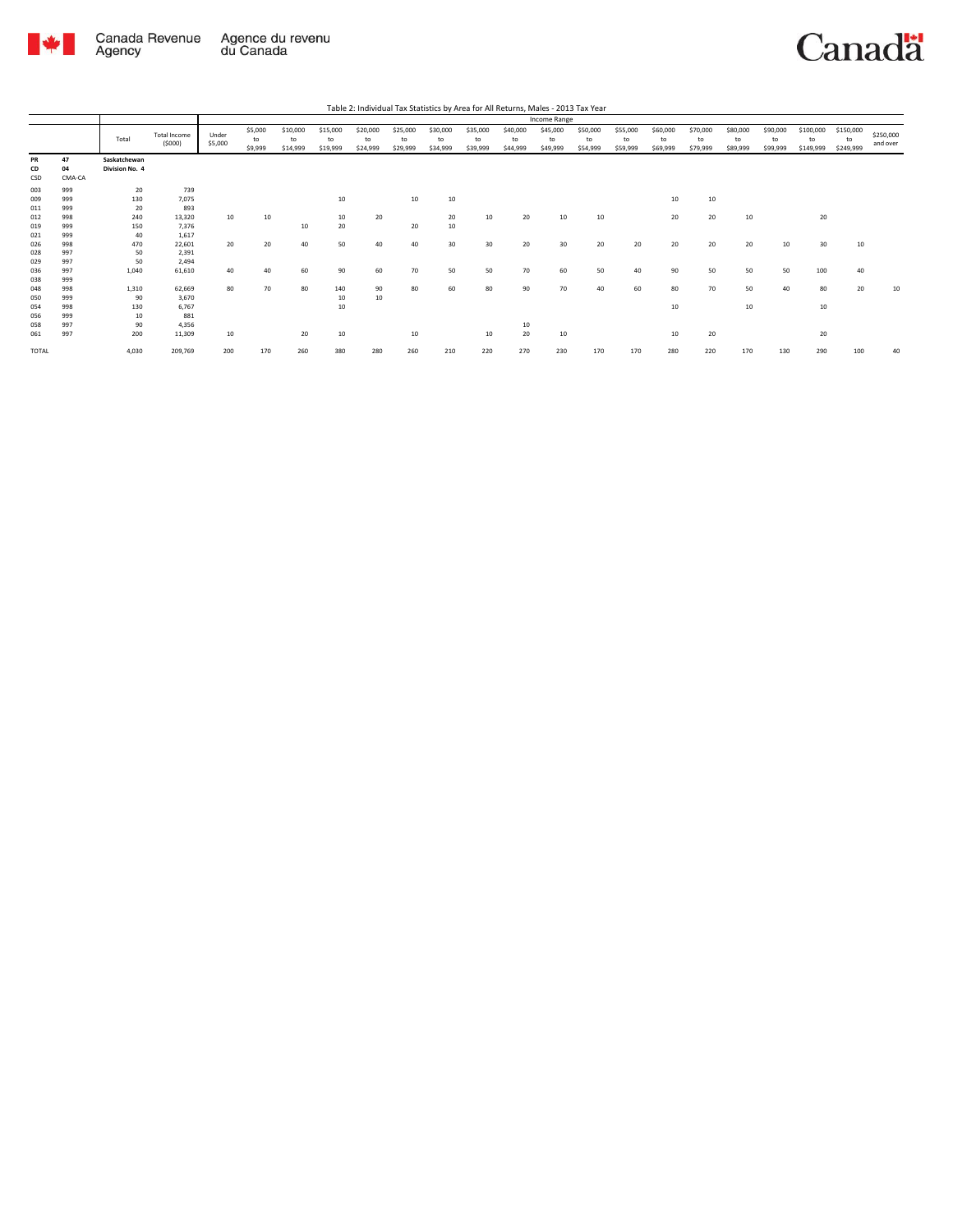

|                          |                          |                                |                               |                  |                          |                            |                            |                            |                            |                            |                            |                            | Income Range               |                            |                            |                            |                            |                            |                            |                              |                              |                       |
|--------------------------|--------------------------|--------------------------------|-------------------------------|------------------|--------------------------|----------------------------|----------------------------|----------------------------|----------------------------|----------------------------|----------------------------|----------------------------|----------------------------|----------------------------|----------------------------|----------------------------|----------------------------|----------------------------|----------------------------|------------------------------|------------------------------|-----------------------|
|                          |                          | Total                          | <b>Total Income</b><br>(5000) | Under<br>\$5,000 | \$5,000<br>to<br>\$9,999 | \$10,000<br>to<br>\$14,999 | \$15,000<br>to<br>\$19,999 | \$20,000<br>to<br>\$24,999 | \$25,000<br>to<br>\$29,999 | \$30,000<br>to<br>\$34,999 | \$35,000<br>to<br>\$39,999 | \$40,000<br>to<br>\$44,999 | \$45,000<br>to<br>\$49,999 | \$50,000<br>to<br>\$54,999 | \$55,000<br>to<br>\$59,999 | \$60,000<br>to<br>\$69,999 | \$70,000<br>to<br>\$79,999 | \$80,000<br>to<br>\$89,999 | \$90,000<br>to<br>\$99,999 | \$100,000<br>to<br>\$149,999 | \$150,000<br>to<br>\$249,999 | \$250,000<br>and over |
| PR<br>CD<br>CSD          | 47<br>04<br>CMA-CA       | Saskatchewan<br>Division No. 4 |                               |                  |                          |                            |                            |                            |                            |                            |                            |                            |                            |                            |                            |                            |                            |                            |                            |                              |                              |                       |
| 003<br>009<br>011<br>012 | 999<br>999<br>999<br>998 | 20<br>130<br>20<br>240         | 739<br>7,075<br>893<br>13,320 | 10               | 10                       |                            | 10<br>10                   | 20                         | 10                         | 10<br>20                   | 10                         | 20                         | 10                         | 10                         |                            | 10<br>20                   | 10<br>20                   | 10                         |                            | 20                           |                              |                       |
| 019<br>021               | 999<br>999               | 150<br>40                      | 7,376<br>1,617                |                  |                          | 10                         | 20                         |                            | 20                         | 10                         |                            |                            |                            |                            |                            |                            |                            |                            |                            |                              |                              |                       |
| 026<br>028<br>029        | 998<br>997<br>997        | 470<br>50<br>50                | 22,601<br>2,391<br>2,494      | 20               | 20                       | 40                         | 50                         | 40                         | 40                         | 30                         | 30                         | 20                         | 30                         | 20                         | 20                         | 20                         | 20                         | 20                         | 10                         | 30                           | 10                           |                       |
| 036<br>038               | 997<br>999               | 1.040                          | 61,610                        | 40               | 40                       | 60                         | 90                         | 60                         | 70                         | 50                         | 50                         | 70                         | 60                         | 50                         | 40                         | 90                         | 50                         | 50                         | 50                         | 100                          | 40                           |                       |
| 048<br>050<br>054        | 998<br>999<br>998        | 1,310<br>90<br>130             | 62,669<br>3,670<br>6,767      | 80               | 70                       | 80                         | 140<br>10<br>10            | 90<br>10                   | 80                         | 60                         | 80                         | 90                         | 70                         | 40                         | 60                         | 80<br>10                   | 70                         | 50<br>$10\,$               | 40                         | 80<br>10                     | 20                           | 10                    |
| 056<br>058<br>061        | 999<br>997<br>997        | 10<br>90<br>200                | 881<br>4,356<br>11,309        | 10               |                          | 20                         | 10                         |                            | 10                         |                            | 10                         | 10<br>20                   | 10                         |                            |                            | 10                         | 20                         |                            |                            | 20                           |                              |                       |
| TOTAL                    |                          | 4,030                          | 209,769                       | 200              | 170                      | 260                        | 380                        | 280                        | 260                        | 210                        | 220                        | 270                        | 230                        | 170                        | 170                        | 280                        | 220                        | 170                        | 130                        | 290                          | 100                          | 40                    |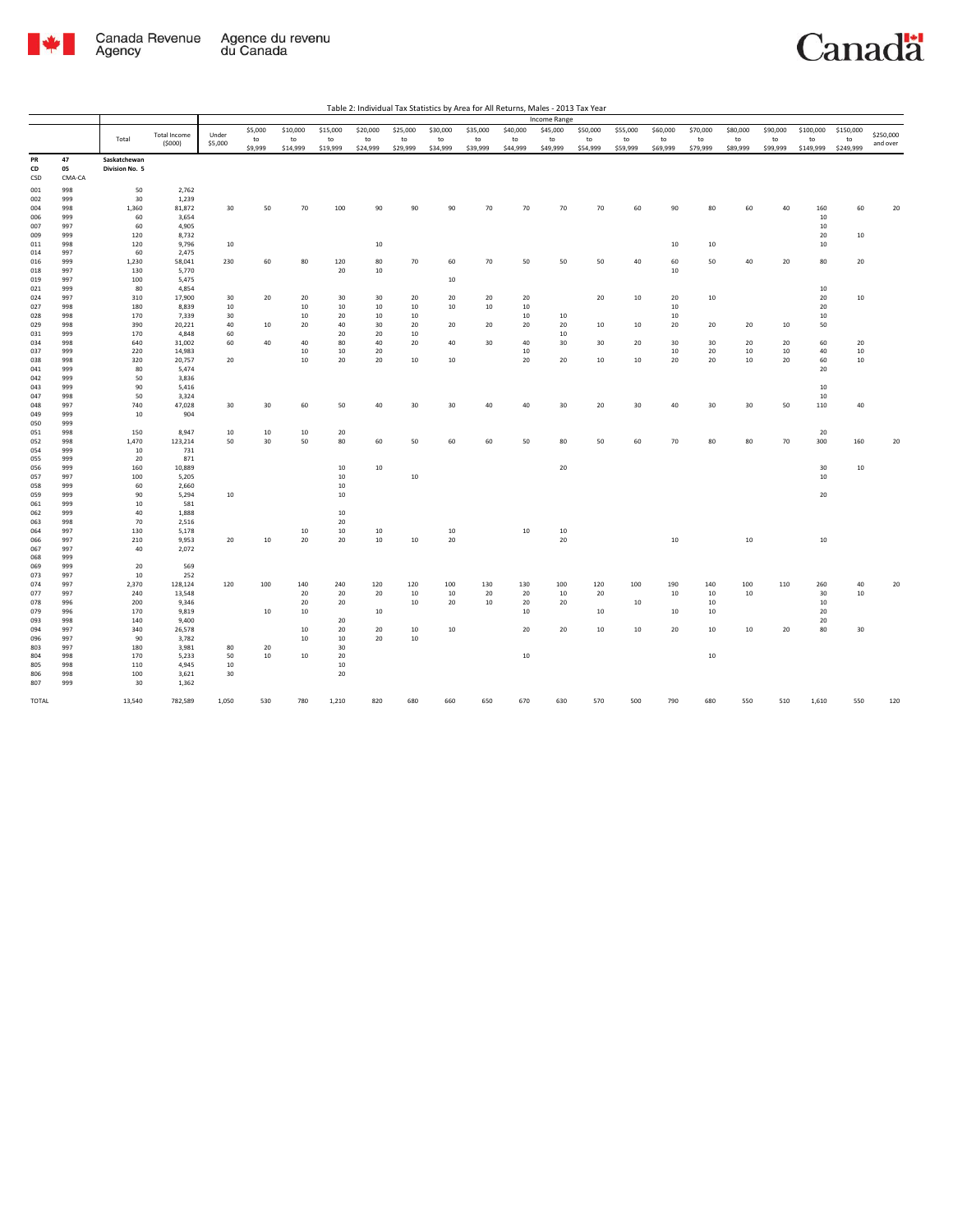

| Table 2: Individual Tax Statistics by Area for All Returns, Males - 2013 Tax Year |  |  |
|-----------------------------------------------------------------------------------|--|--|

|                 |                    |                                |                     |          |          |           |           |           |           |                  |           |              | Income Range |           |          |              |           |               |          |              |              |           |
|-----------------|--------------------|--------------------------------|---------------------|----------|----------|-----------|-----------|-----------|-----------|------------------|-----------|--------------|--------------|-----------|----------|--------------|-----------|---------------|----------|--------------|--------------|-----------|
|                 |                    |                                | <b>Total Income</b> | Under    | \$5,000  | \$10,000  | \$15,000  | \$20,000  | \$25,000  | \$30,000         | \$35,000  | \$40,000     | \$45,000     | \$50,000  | \$55,000 | \$60,000     | \$70,000  | \$80,000      | \$90,000 | \$100,000    | \$150,000    | \$250,000 |
|                 |                    | Total                          | (5000)              | \$5,000  | to       | to        | to        | to        | to        | to               | to        | to           | to           | to        | to       | to           | to        | to            | to       | to           | to           | and over  |
|                 |                    |                                |                     |          | \$9,999  | \$14,999  | \$19,999  | \$24,999  | \$29,999  | \$34,999         | \$39,999  | \$44,999     | \$49,999     | \$54,999  | \$59,999 | \$69,999     | \$79,999  | \$89,999      | \$99,999 | \$149,999    | \$249,999    |           |
| PR<br>CD<br>CSD | 47<br>05<br>CMA-CA | Saskatchewan<br>Division No. 5 |                     |          |          |           |           |           |           |                  |           |              |              |           |          |              |           |               |          |              |              |           |
| 001             | 998                | 50                             | 2,762               |          |          |           |           |           |           |                  |           |              |              |           |          |              |           |               |          |              |              |           |
| 002             | 999                | 30                             | 1,239               |          |          |           |           |           |           |                  |           |              |              |           |          |              |           |               |          |              |              |           |
| 004             | 998                | 1,360                          | 81,872              | 30       | 50       | 70        | 100       | 90        | 90        | 90               | 70        | 70           | 70           | 70        | 60       | 90           | 80        | 60            | 40       | 160          | 60           | 20        |
| 006             | 999                | 60                             | 3,654               |          |          |           |           |           |           |                  |           |              |              |           |          |              |           |               |          | $10\,$       |              |           |
| 007<br>009      | 997<br>999         | 60<br>120                      | 4,905<br>8,732      |          |          |           |           |           |           |                  |           |              |              |           |          |              |           |               |          | $10\,$<br>20 | 10           |           |
| 011             | 998                | 120                            | 9,796               | 10       |          |           |           | $10\,$    |           |                  |           |              |              |           |          | 10           | 10        |               |          | $10\,$       |              |           |
| 014             | 997                | 60                             | 2,475               |          |          |           |           |           |           |                  |           |              |              |           |          |              |           |               |          |              |              |           |
| 016             | 999                | 1,230                          | 58,041              | 230      | 60       | 80        | 120       | 80        | 70        | 60               | 70        | 50           | 50           | 50        | 40       | 60           | 50        | 40            | 20       | 80           | 20           |           |
| 018             | 997                | 130                            | 5,770               |          |          |           | 20        | 10        |           |                  |           |              |              |           |          | 10           |           |               |          |              |              |           |
| 019             | 997                | 100                            | 5,475               |          |          |           |           |           |           | 10               |           |              |              |           |          |              |           |               |          | 10           |              |           |
| 021<br>024      | 999<br>997         | 80<br>310                      | 4,854<br>17,900     | 30       | 20       | 20        | 30        | 30        | 20        | 20               | 20        | 20           |              | 20        | 10       | 20           | 10        |               |          | 20           | 10           |           |
| 027             | 998                | 180                            | 8,839               | 10       |          | 10        | 10        | 10        | 10        | 10               | 10        | 10           |              |           |          | 10           |           |               |          | 20           |              |           |
| 028             | 998                | 170                            | 7,339               | 30       |          | 10        | 20        | 10        | 10        |                  |           | 10           | 10           |           |          | 10           |           |               |          | $10\,$       |              |           |
| 029             | 998                | 390                            | 20,221              | 40       | 10       | 20        | 40        | 30        | 20        | 20               | 20        | 20           | 20           | 10        | 10       | 20           | 20        | 20            | 10       | 50           |              |           |
| 031             | 999                | 170                            | 4,848               | 60       |          |           | 20        | 20        | $10\,$    |                  |           |              | $10\,$       |           |          |              |           |               |          |              |              |           |
| 034<br>037      | 998<br>999         | 640<br>220                     | 31,002<br>14,983    | 60       | 40       | 40<br>10  | 80<br>10  | 40<br>20  | 20        | 40               | 30        | 40<br>$10\,$ | 30           | 30        | 20       | 30<br>$10\,$ | 30<br>20  | 20<br>10      | 20<br>10 | 60<br>$40\,$ | 20<br>$10\,$ |           |
| 038             | 998                | 320                            | 20,757              | 20       |          | 10        | 20        | 20        | 10        | 10 <sup>10</sup> |           | 20           | 20           | 10        | 10       | 20           | 20        | 10            | 20       | 60           | 10           |           |
| 041             | 999                | 80                             | 5,474               |          |          |           |           |           |           |                  |           |              |              |           |          |              |           |               |          | 20           |              |           |
| 042             | 999                | 50                             | 3,836               |          |          |           |           |           |           |                  |           |              |              |           |          |              |           |               |          |              |              |           |
| 043             | 999                | 90                             | 5,416               |          |          |           |           |           |           |                  |           |              |              |           |          |              |           |               |          | 10           |              |           |
| 047             | 998                | 50                             | 3,324               |          |          |           |           |           |           |                  |           |              |              |           |          |              |           |               |          | $10\,$       |              |           |
| 048<br>049      | 997<br>999         | 740<br>10                      | 47,028<br>904       | 30       | 30       | 60        | 50        | 40        | 30        | 30               | 40        | 40           | 30           | 20        | 30       | 40           | 30        | 30            | 50       | 110          | 40           |           |
| 050             | 999                |                                |                     |          |          |           |           |           |           |                  |           |              |              |           |          |              |           |               |          |              |              |           |
| 051             | 998                | 150                            | 8,947               | 10       | 10       | 10        | 20        |           |           |                  |           |              |              |           |          |              |           |               |          | 20           |              |           |
| 052             | 998                | 1,470                          | 123,214             | 50       | 30       | 50        | 80        | 60        | 50        | 60               | 60        | 50           | 80           | 50        | 60       | 70           | 80        | 80            | 70       | 300          | 160          | 20        |
| 054             | 999                | 10                             | 731                 |          |          |           |           |           |           |                  |           |              |              |           |          |              |           |               |          |              |              |           |
| 055             | 999<br>999         | 20                             | 871                 |          |          |           |           |           |           |                  |           |              | 20           |           |          |              |           |               |          |              |              |           |
| 056<br>057      | 997                | 160<br>100                     | 10,889<br>5,205     |          |          |           | 10<br>10  | 10        | 10        |                  |           |              |              |           |          |              |           |               |          | 30<br>$10\,$ | $10\,$       |           |
| 058             | 999                | 60                             | 2,660               |          |          |           | 10        |           |           |                  |           |              |              |           |          |              |           |               |          |              |              |           |
| 059             | 999                | 90                             | 5,294               | 10       |          |           | 10        |           |           |                  |           |              |              |           |          |              |           |               |          | 20           |              |           |
| 061             | 999                | 10                             | 581                 |          |          |           |           |           |           |                  |           |              |              |           |          |              |           |               |          |              |              |           |
| 062             | 999                | 40                             | 1,888               |          |          |           | 10        |           |           |                  |           |              |              |           |          |              |           |               |          |              |              |           |
| 063<br>064      | 998<br>997         | 70<br>130                      | 2,516<br>5,178      |          |          | 10        | 20<br>10  | 10        |           | 10               |           | 10           | 10           |           |          |              |           |               |          |              |              |           |
| 066             | 997                | 210                            | 9,953               | 20       | $10\,$   | 20        | 20        | 10        | 10        | 20               |           |              | 20           |           |          | 10           |           | $10\,$        |          | 10           |              |           |
| 067             | 997                | 40                             | 2,072               |          |          |           |           |           |           |                  |           |              |              |           |          |              |           |               |          |              |              |           |
| 068             | 999                |                                |                     |          |          |           |           |           |           |                  |           |              |              |           |          |              |           |               |          |              |              |           |
| 069             | 999                | 20                             | 569                 |          |          |           |           |           |           |                  |           |              |              |           |          |              |           |               |          |              |              |           |
| 073             | 997                | 10                             | 252                 |          |          |           |           |           |           |                  |           |              |              |           |          |              |           |               |          |              |              |           |
| 074<br>077      | 997<br>997         | 2,370<br>240                   | 128,124<br>13,548   | 120      | 100      | 140<br>20 | 240<br>20 | 120<br>20 | 120<br>10 | 100<br>10        | 130<br>20 | 130<br>20    | 100<br>10    | 120<br>20 | 100      | 190<br>10    | 140<br>10 | 100<br>$10\,$ | 110      | 260<br>30    | 40<br>10     | 20        |
| 078             | 996                | 200                            | 9,346               |          |          | 20        | 20        |           | 10        | 20               | 10        | 20           | 20           |           | 10       |              | 10        |               |          | 10           |              |           |
| 079             | 996                | 170                            | 9,819               |          | 10       | 10        |           | 10        |           |                  |           | $10\,$       |              | 10        |          | 10           | 10        |               |          | $20\,$       |              |           |
| 093             | 998                | 140                            | 9,400               |          |          |           | 20        |           |           |                  |           |              |              |           |          |              |           |               |          | 20           |              |           |
| 094             | 997                | 340                            | 26,578              |          |          | 10        | 20        | 20        | 10        | 10               |           | 20           | 20           | 10        | 10       | 20           | 10        | 10            | 20       | 80           | 30           |           |
| 096             | 997                | 90                             | 3,782               |          |          | 10        | 10<br>30  | 20        | 10        |                  |           |              |              |           |          |              |           |               |          |              |              |           |
| 803<br>804      | 997<br>998         | 180<br>170                     | 3,981<br>5,233      | 80<br>50 | 20<br>10 | 10        | 20        |           |           |                  |           | 10           |              |           |          |              | 10        |               |          |              |              |           |
| 805             | 998                | 110                            | 4,945               | 10       |          |           | 10        |           |           |                  |           |              |              |           |          |              |           |               |          |              |              |           |
| 806             | 998                | 100                            | 3,621               | 30       |          |           | 20        |           |           |                  |           |              |              |           |          |              |           |               |          |              |              |           |
| 807             | 999                | 30                             | 1,362               |          |          |           |           |           |           |                  |           |              |              |           |          |              |           |               |          |              |              |           |
| TOTAL           |                    | 13,540                         | 782,589             | 1,050    | 530      | 780       | 1,210     | 820       | 680       | 660              | 650       | 670          | 630          | 570       | 500      | 790          | 680       | 550           | 510      | 1,610        | 550          | 120       |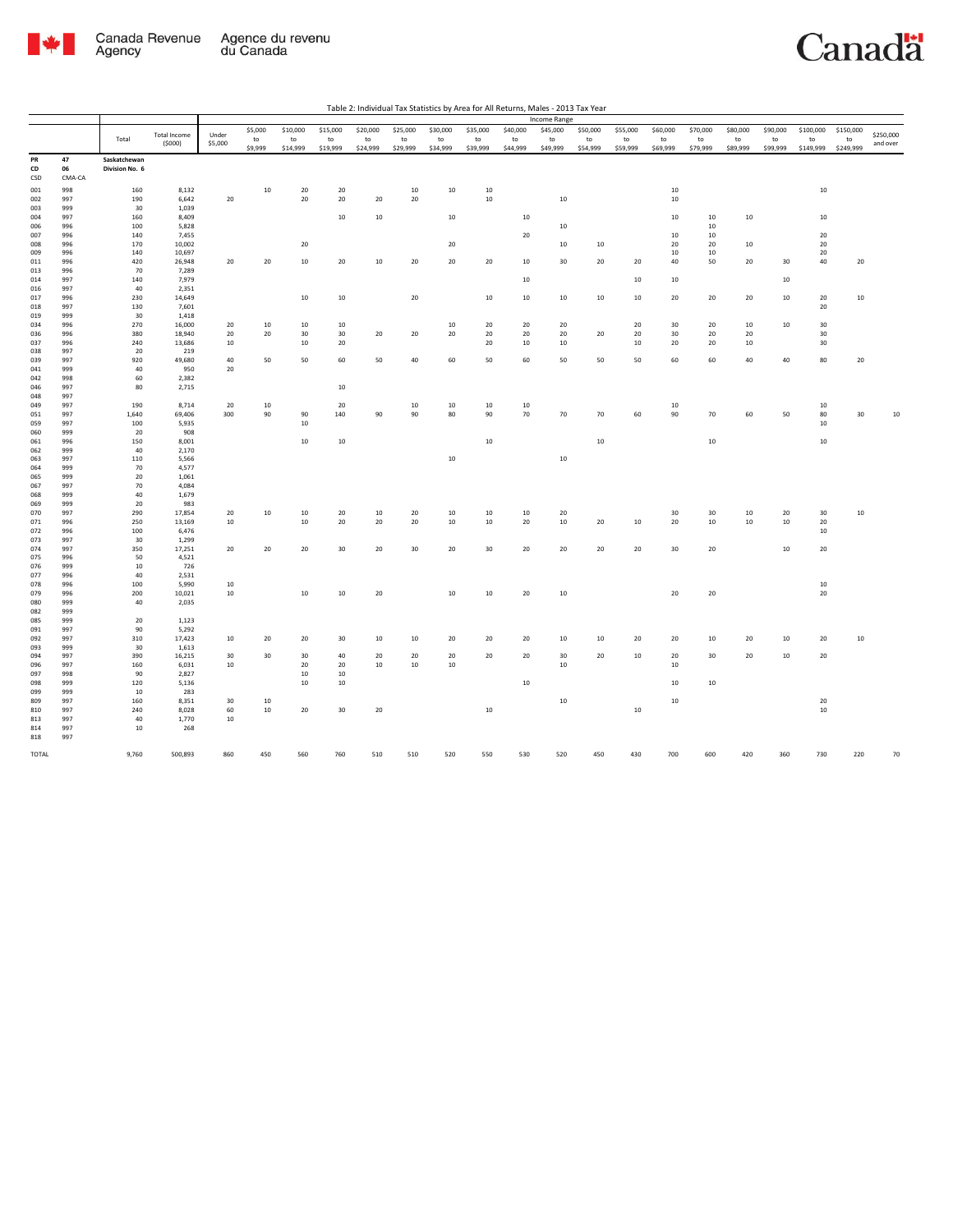

|                 |                    |                                |                  |          |          |                  |          |          |          |          |          |          | Income Range |          |          |               |          |              |          |           |           |           |
|-----------------|--------------------|--------------------------------|------------------|----------|----------|------------------|----------|----------|----------|----------|----------|----------|--------------|----------|----------|---------------|----------|--------------|----------|-----------|-----------|-----------|
|                 |                    |                                | Total Income     | Under    | \$5,000  | \$10,000         | \$15,000 | \$20,000 | \$25,000 | \$30,000 | \$35,000 | \$40,000 | \$45,000     | \$50,000 | \$55,000 | \$60,000      | \$70,000 | \$80,000     | \$90,000 | \$100,000 | \$150,000 | \$250,000 |
|                 |                    | Total                          | (5000)           | \$5,000  | to       | to               | to       | to       | to       | to       | to       | to       | to           | to       | to       | $\mathsf{to}$ | to       | to           | to       | to        | to        | and over  |
|                 |                    |                                |                  |          | \$9,999  | \$14,999         | \$19,999 | \$24,999 | \$29,999 | \$34,999 | \$39,999 | \$44,999 | \$49,999     | \$54,999 | \$59,999 | \$69,999      | \$79,999 | \$89,999     | \$99,999 | \$149,999 | \$249,999 |           |
| PR<br>CD<br>CSD | 47<br>06<br>CMA-CA | Saskatchewan<br>Division No. 6 |                  |          |          |                  |          |          |          |          |          |          |              |          |          |               |          |              |          |           |           |           |
|                 |                    | 160                            | 8,132            |          | 10       | 20               | 20       |          | 10       |          | 10       |          |              |          |          | $10\,$        |          |              |          | $10\,$    |           |           |
| 001<br>002      | 998<br>997         | 190                            | 6,642            | 20       |          | 20               | 20       | 20       | 20       | 10       | 10       |          | 10           |          |          | 10            |          |              |          |           |           |           |
| 003             | 999                | 30                             | 1,039            |          |          |                  |          |          |          |          |          |          |              |          |          |               |          |              |          |           |           |           |
| 004             | 997                | 160                            | 8,409            |          |          |                  | $10\,$   | $10\,$   |          | $10\,$   |          | 10       |              |          |          | 10            | 10       | $10\,$       |          | 10        |           |           |
| 006             | 996                | 100                            | 5,828            |          |          |                  |          |          |          |          |          |          | $10\,$       |          |          |               | 10       |              |          |           |           |           |
| 007             | 996                | 140                            | 7,455            |          |          |                  |          |          |          |          |          | 20       |              |          |          | 10            | 10       |              |          | $20\,$    |           |           |
| 008             | 996                | 170                            | 10,002           |          |          | $20\,$           |          |          |          | 20       |          |          | 10           | 10       |          | 20            | $20\,$   | 10           |          | $20\,$    |           |           |
| 009             | 996<br>996         | 140<br>420                     | 10,697<br>26,948 | 20       | 20       | 10               | 20       | 10       | 20       |          | 20       | 10       | 30           | 20       | 20       | 10<br>40      | 10<br>50 | 20           | 30       | 20<br>40  |           |           |
| 011<br>013      | 996                | 70                             | 7,289            |          |          |                  |          |          |          | 20       |          |          |              |          |          |               |          |              |          |           | 20        |           |
| 014             | 997                | 140                            | 7,979            |          |          |                  |          |          |          |          |          | 10       |              |          | 10       | 10            |          |              | 10       |           |           |           |
| 016             | 997                | 40                             | 2,351            |          |          |                  |          |          |          |          |          |          |              |          |          |               |          |              |          |           |           |           |
| 017             | 996                | 230                            | 14,649           |          |          | $10\,$           | $10\,$   |          | $20\,$   |          | $10\,$   | 10       | $10\,$       | 10       | 10       | $20\,$        | 20       | 20           | 10       | 20        | $10\,$    |           |
| 018             | 997                | 130                            | 7,601            |          |          |                  |          |          |          |          |          |          |              |          |          |               |          |              |          | 20        |           |           |
| 019             | 999                | 30                             | 1,418            |          |          |                  |          |          |          |          |          |          |              |          |          |               |          |              |          |           |           |           |
| 034<br>036      | 996<br>996         | 270<br>380                     | 16,000<br>18,940 | 20<br>20 | 10<br>20 | $10\,$<br>30     | 10<br>30 | 20       | 20       | 10<br>20 | 20<br>20 | 20<br>20 | 20<br>20     | 20       | 20<br>20 | 30<br>30      | 20<br>20 | $10\,$<br>20 | 10       | 30<br>30  |           |           |
| 037             | 996                | 240                            | 13,686           | 10       |          | $10\,$           | 20       |          |          |          | 20       | $10\,$   | $10\,$       |          | 10       | 20            | 20       | $10\,$       |          | 30        |           |           |
| 038             | 997                | 20                             | 219              |          |          |                  |          |          |          |          |          |          |              |          |          |               |          |              |          |           |           |           |
| 039             | 997                | 920                            | 49,680           | 40       | 50       | 50               | 60       | 50       | 40       | 60       | 50       | 60       | 50           | 50       | 50       | 60            | 60       | 40           | 40       | 80        | 20        |           |
| 041             | 999                | 40                             | 950              | 20       |          |                  |          |          |          |          |          |          |              |          |          |               |          |              |          |           |           |           |
| 042             | 998                | 60                             | 2,382            |          |          |                  |          |          |          |          |          |          |              |          |          |               |          |              |          |           |           |           |
| 046             | 997                | 80                             | 2,715            |          |          |                  | $10\,$   |          |          |          |          |          |              |          |          |               |          |              |          |           |           |           |
| 048<br>049      | 997<br>997         | 190                            | 8,714            | 20       | 10       |                  | 20       |          | $10\,$   | $10\,$   | 10       | 10       |              |          |          | 10            |          |              |          | 10        |           |           |
| 051             | 997                | 1,640                          | 69,406           | 300      | 90       | 90               | 140      | 90       | 90       | 80       | 90       | 70       | 70           | 70       | 60       | 90            | 70       | 60           | 50       | 80        | 30        | $10\,$    |
| 059             | 997                | 100                            | 5,935            |          |          | 10               |          |          |          |          |          |          |              |          |          |               |          |              |          | 10        |           |           |
| 060             | 999                | 20                             | 908              |          |          |                  |          |          |          |          |          |          |              |          |          |               |          |              |          |           |           |           |
| 061             | 996                | 150                            | 8,001            |          |          | $10\,$           | $10\,$   |          |          |          | 10       |          |              | 10       |          |               | $10\,$   |              |          | $10\,$    |           |           |
| 062             | 999                | 40                             | 2,170            |          |          |                  |          |          |          |          |          |          |              |          |          |               |          |              |          |           |           |           |
| 063             | 997                | 110                            | 5,566            |          |          |                  |          |          |          | $10\,$   |          |          | $10\,$       |          |          |               |          |              |          |           |           |           |
| 064<br>065      | 999<br>999         | 70<br>20                       | 4,577<br>1,061   |          |          |                  |          |          |          |          |          |          |              |          |          |               |          |              |          |           |           |           |
| 067             | 997                | 70                             | 4,084            |          |          |                  |          |          |          |          |          |          |              |          |          |               |          |              |          |           |           |           |
| 068             | 999                | 40                             | 1,679            |          |          |                  |          |          |          |          |          |          |              |          |          |               |          |              |          |           |           |           |
| 069             | 999                | 20                             | 983              |          |          |                  |          |          |          |          |          |          |              |          |          |               |          |              |          |           |           |           |
| 070             | 997                | 290                            | 17,854           | 20       | 10       | 10               | 20       | 10       | 20       | 10       | 10       | 10       | 20           |          |          | 30            | 30       | 10           | 20       | 30        | 10        |           |
| 071             | 996                | 250                            | 13,169           | 10       |          | 10               | 20       | 20       | 20       | 10       | 10       | 20       | 10           | 20       | 10       | 20            | 10       | 10           | 10       | 20        |           |           |
| 072<br>073      | 996<br>997         | 100<br>30                      | 6,476<br>1,299   |          |          |                  |          |          |          |          |          |          |              |          |          |               |          |              |          | 10        |           |           |
| 074             | 997                | 350                            | 17,251           | 20       | 20       | 20               | 30       | 20       | 30       | 20       | 30       | 20       | 20           | 20       | 20       | 30            | 20       |              | 10       | 20        |           |           |
| 075             | 996                | 50                             | 4,521            |          |          |                  |          |          |          |          |          |          |              |          |          |               |          |              |          |           |           |           |
| 076             | 999                | $10\,$                         | 726              |          |          |                  |          |          |          |          |          |          |              |          |          |               |          |              |          |           |           |           |
| 077             | 996                | 40                             | 2,531            |          |          |                  |          |          |          |          |          |          |              |          |          |               |          |              |          |           |           |           |
| 078             | 996                | 100                            | 5,990            | 10       |          |                  |          |          |          |          |          |          |              |          |          |               |          |              |          | 10        |           |           |
| 079<br>080      | 996<br>999         | 200<br>40                      | 10,021<br>2,035  | $10\,$   |          | $10\,$           | 10       | $20\,$   |          | $10\,$   | 10       | 20       | $10$         |          |          | 20            | $20\,$   |              |          | $20\,$    |           |           |
| 082             | 999                |                                |                  |          |          |                  |          |          |          |          |          |          |              |          |          |               |          |              |          |           |           |           |
| 085             | 999                | 20                             | 1,123            |          |          |                  |          |          |          |          |          |          |              |          |          |               |          |              |          |           |           |           |
| 091             | 997                | 90                             | 5,292            |          |          |                  |          |          |          |          |          |          |              |          |          |               |          |              |          |           |           |           |
| 092             | 997                | 310                            | 17,423           | 10       | 20       | 20               | 30       | 10       | 10       | 20       | 20       | 20       | 10           | 10       | 20       | 20            | 10       | 20           | 10       | 20        | 10        |           |
| 093             | 999                | 30                             | 1,613            |          |          |                  |          |          |          |          |          |          |              |          |          |               |          |              |          |           |           |           |
| 094             | 997                | 390                            | 16,215           | 30       | 30       | 30               | 40       | 20       | 20       | 20       | 20       | 20       | 30           | 20       | 10       | 20            | 30       | 20           | 10       | 20        |           |           |
| 096<br>097      | 997<br>998         | 160<br>90                      | 6,031<br>2,827   | 10       |          | $20\,$<br>$10\,$ | 20<br>10 | $10\,$   | $10\,$   | $10\,$   |          |          | $10$         |          |          | 10            |          |              |          |           |           |           |
| 098             | 999                | 120                            | 5,136            |          |          | $10\,$           | 10       |          |          |          |          | 10       |              |          |          | 10            | $10\,$   |              |          |           |           |           |
| 099             | 999                | 10                             | 283              |          |          |                  |          |          |          |          |          |          |              |          |          |               |          |              |          |           |           |           |
| 809             | 997                | 160                            | 8,351            | 30       | 10       |                  |          |          |          |          |          |          | $10$         |          |          | $10\,$        |          |              |          | $20\,$    |           |           |
| 810             | 997                | 240                            | 8,028            | 60       | 10       | $20\,$           | 30       | $20\,$   |          |          | $10\,$   |          |              |          | $10\,$   |               |          |              |          | $10\,$    |           |           |
| 813             | 997                | 40                             | 1,770            | 10       |          |                  |          |          |          |          |          |          |              |          |          |               |          |              |          |           |           |           |
| 814<br>818      | 997<br>997         | 10                             | 268              |          |          |                  |          |          |          |          |          |          |              |          |          |               |          |              |          |           |           |           |
|                 |                    |                                |                  |          |          |                  |          |          |          |          |          |          |              |          |          |               |          |              |          |           |           |           |
| TOTAL           |                    | 9,760                          | 500,893          | 860      | 450      | 560              | 760      | 510      | 510      | 520      | 550      | 530      | 520          | 450      | 430      | 700           | 600      | 420          | 360      | 730       | 220       | 70        |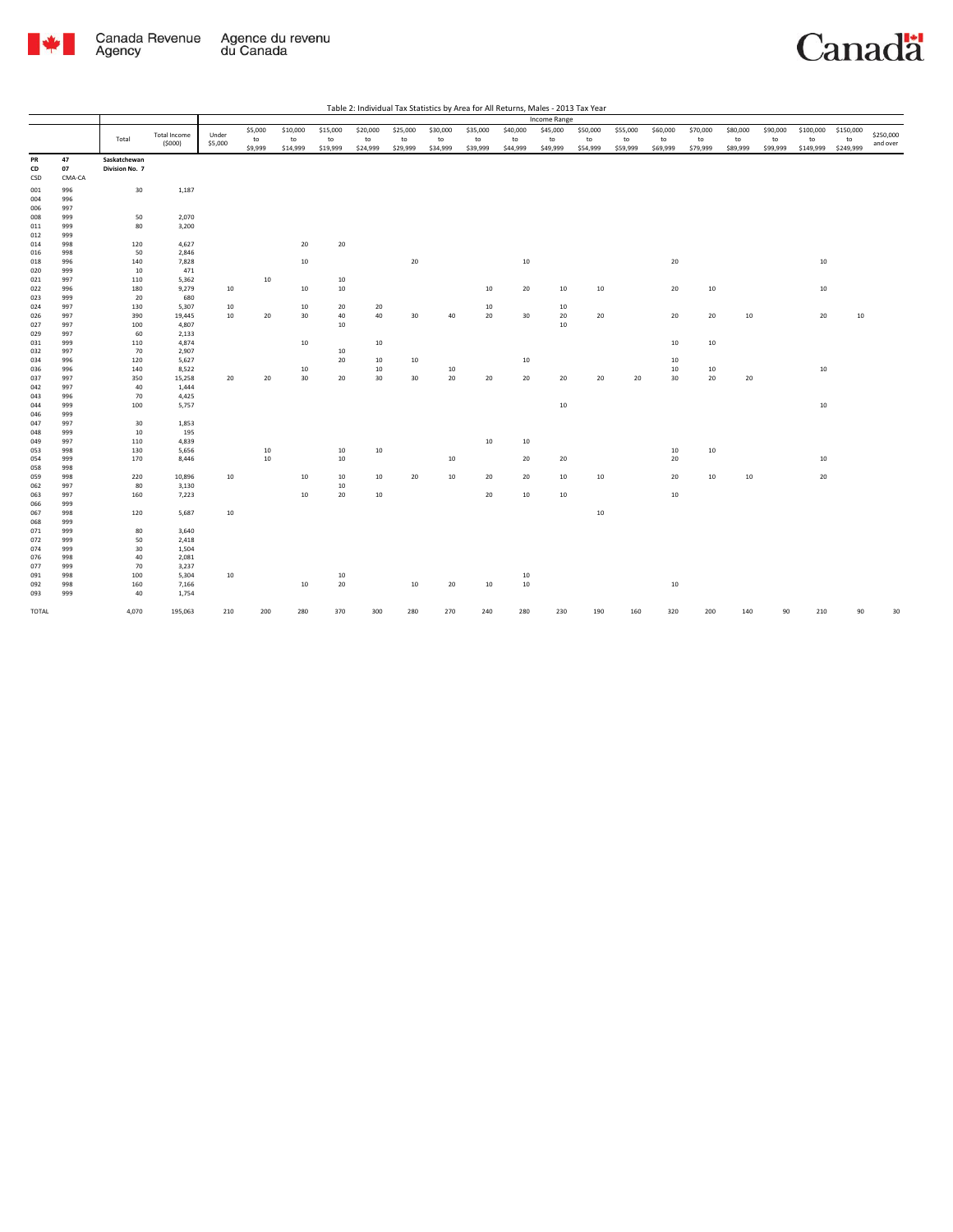

Table 2: Individual Tax Statistics by Area for All Returns, Males - 2013 Tax Year

|            |            |                                |                               |                  |               |                |                |                |                        |                |                |                | Income Range   |                |                |                |                |                |                |                 |                 |                       |
|------------|------------|--------------------------------|-------------------------------|------------------|---------------|----------------|----------------|----------------|------------------------|----------------|----------------|----------------|----------------|----------------|----------------|----------------|----------------|----------------|----------------|-----------------|-----------------|-----------------------|
|            |            | Total                          | <b>Total Income</b><br>(5000) | Under<br>\$5,000 | \$5,000<br>to | \$10,000<br>to | \$15,000<br>to | \$20,000<br>to | \$25,000<br>${\sf to}$ | \$30,000<br>to | \$35,000<br>to | \$40,000<br>to | \$45,000<br>to | \$50,000<br>to | \$55,000<br>to | \$60,000<br>to | \$70,000<br>to | \$80,000<br>to | \$90,000<br>to | \$100,000<br>to | \$150,000<br>to | \$250,000<br>and over |
|            |            |                                |                               |                  | \$9,999       | \$14,999       | \$19,999       | \$24,999       | \$29,999               | \$34,999       | \$39,999       | \$44,999       | \$49,999       | \$54,999       | \$59,999       | \$69,999       | \$79,999       | \$89,999       | \$99,999       | \$149,999       | \$249,999       |                       |
| PR<br>CD   | 47<br>07   | Saskatchewan<br>Division No. 7 |                               |                  |               |                |                |                |                        |                |                |                |                |                |                |                |                |                |                |                 |                 |                       |
|            |            |                                |                               |                  |               |                |                |                |                        |                |                |                |                |                |                |                |                |                |                |                 |                 |                       |
| CSD        | CMA-CA     |                                |                               |                  |               |                |                |                |                        |                |                |                |                |                |                |                |                |                |                |                 |                 |                       |
| 001        | 996        | 30                             | 1,187                         |                  |               |                |                |                |                        |                |                |                |                |                |                |                |                |                |                |                 |                 |                       |
| 004        | 996        |                                |                               |                  |               |                |                |                |                        |                |                |                |                |                |                |                |                |                |                |                 |                 |                       |
| 006        | 997        |                                |                               |                  |               |                |                |                |                        |                |                |                |                |                |                |                |                |                |                |                 |                 |                       |
| 008        | 999        | 50                             | 2,070                         |                  |               |                |                |                |                        |                |                |                |                |                |                |                |                |                |                |                 |                 |                       |
| 011        | 999        | 80                             | 3,200                         |                  |               |                |                |                |                        |                |                |                |                |                |                |                |                |                |                |                 |                 |                       |
| 012        | 999        |                                |                               |                  |               |                |                |                |                        |                |                |                |                |                |                |                |                |                |                |                 |                 |                       |
| 014        | 998        | 120                            | 4,627                         |                  |               | 20             | 20             |                |                        |                |                |                |                |                |                |                |                |                |                |                 |                 |                       |
| 016        | 998        | 50                             | 2,846                         |                  |               |                |                |                |                        |                |                |                |                |                |                |                |                |                |                |                 |                 |                       |
| 018        | 996        | 140                            | 7,828                         |                  |               | $10\,$         |                |                | 20                     |                |                | 10             |                |                |                | 20             |                |                |                | 10              |                 |                       |
| 020        | 999        | 10                             | 471                           |                  |               |                |                |                |                        |                |                |                |                |                |                |                |                |                |                |                 |                 |                       |
| 021        | 997        | 110                            | 5,362                         |                  | 10            |                | 10             |                |                        |                |                |                |                |                |                |                |                |                |                |                 |                 |                       |
| 022        | 996        | 180                            | 9,279                         | 10               |               | 10             | 10             |                |                        |                | 10             | 20             | 10             | $10\,$         |                | 20             | 10             |                |                | $10\,$          |                 |                       |
| 023        | 999        | 20                             | 680                           |                  |               |                |                |                |                        |                |                |                |                |                |                |                |                |                |                |                 |                 |                       |
| 024        | 997        | 130                            | 5,307                         | 10               |               | 10             | 20             | 20             |                        |                | 10             |                | 10             |                |                |                |                |                |                |                 |                 |                       |
| 026        | 997        | 390                            | 19,445                        | 10               | 20            | 30             | 40             | 40             | 30                     | 40             | 20             | 30             | 20             | 20             |                | 20             | 20             | 10             |                | 20              | 10              |                       |
| 027        | 997        | 100                            | 4,807                         |                  |               |                | 10             |                |                        |                |                |                | $10\,$         |                |                |                |                |                |                |                 |                 |                       |
| 029        | 997        | 60                             | 2,133                         |                  |               |                |                |                |                        |                |                |                |                |                |                |                |                |                |                |                 |                 |                       |
| 031        | 999        | 110                            | 4,874                         |                  |               | 10             |                | 10             |                        |                |                |                |                |                |                | 10             | 10             |                |                |                 |                 |                       |
| 032        | 997        | 70                             | 2,907                         |                  |               |                | 10             |                |                        |                |                |                |                |                |                |                |                |                |                |                 |                 |                       |
| 034        | 996        | 120                            | 5,627                         |                  |               |                | 20             | 10             | 10                     |                |                | 10             |                |                |                | 10             |                |                |                |                 |                 |                       |
| 036        | 996        | 140                            | 8,522                         |                  |               | 10             |                | 10             |                        | 10             |                |                |                |                |                | 10             | 10             |                |                | 10              |                 |                       |
| 037        | 997        | 350                            | 15,258                        | 20               | 20            | 30             | 20             | 30             | 30                     | $20\,$         | 20             | 20             | 20             | 20             | 20             | 30             | 20             | 20             |                |                 |                 |                       |
| 042        | 997        | 40                             | 1,444                         |                  |               |                |                |                |                        |                |                |                |                |                |                |                |                |                |                |                 |                 |                       |
| 043        | 996        | 70                             | 4,425                         |                  |               |                |                |                |                        |                |                |                | 10             |                |                |                |                |                |                |                 |                 |                       |
| 044        | 999<br>999 | 100                            | 5,757                         |                  |               |                |                |                |                        |                |                |                |                |                |                |                |                |                |                | 10              |                 |                       |
| 046        |            | 30                             |                               |                  |               |                |                |                |                        |                |                |                |                |                |                |                |                |                |                |                 |                 |                       |
| 047<br>048 | 997<br>999 | 10                             | 1,853<br>195                  |                  |               |                |                |                |                        |                |                |                |                |                |                |                |                |                |                |                 |                 |                       |
| 049        | 997        | 110                            | 4,839                         |                  |               |                |                |                |                        |                | 10             | 10             |                |                |                |                |                |                |                |                 |                 |                       |
| 053        | 998        | 130                            | 5,656                         |                  | 10            |                | 10             | 10             |                        |                |                |                |                |                |                | 10             |                |                |                |                 |                 |                       |
| 054        | 999        | 170                            | 8,446                         |                  | $10\,$        |                | 10             |                |                        | 10             |                | 20             | 20             |                |                | 20             | 10             |                |                | 10              |                 |                       |
| 058        | 998        |                                |                               |                  |               |                |                |                |                        |                |                |                |                |                |                |                |                |                |                |                 |                 |                       |
| 059        | 998        | 220                            | 10,896                        | 10               |               | 10             | 10             | 10             | 20                     | 10             | 20             | 20             | 10             | 10             |                | 20             | 10             | 10             |                | 20              |                 |                       |
| 062        | 997        | 80                             | 3,130                         |                  |               |                | 10             |                |                        |                |                |                |                |                |                |                |                |                |                |                 |                 |                       |
| 063        | 997        | 160                            | 7,223                         |                  |               | $10\,$         | 20             | 10             |                        |                | 20             | 10             | 10             |                |                | 10             |                |                |                |                 |                 |                       |
| 066        | 999        |                                |                               |                  |               |                |                |                |                        |                |                |                |                |                |                |                |                |                |                |                 |                 |                       |
| 067        | 998        | 120                            | 5,687                         | 10               |               |                |                |                |                        |                |                |                |                | $10\,$         |                |                |                |                |                |                 |                 |                       |
| 068        | 999        |                                |                               |                  |               |                |                |                |                        |                |                |                |                |                |                |                |                |                |                |                 |                 |                       |
| 071        | 999        | 80                             | 3,640                         |                  |               |                |                |                |                        |                |                |                |                |                |                |                |                |                |                |                 |                 |                       |
| 072        | 999        | 50                             | 2,418                         |                  |               |                |                |                |                        |                |                |                |                |                |                |                |                |                |                |                 |                 |                       |
| 074        | 999        | 30                             | 1,504                         |                  |               |                |                |                |                        |                |                |                |                |                |                |                |                |                |                |                 |                 |                       |
| 076        | 998        | 40                             | 2,081                         |                  |               |                |                |                |                        |                |                |                |                |                |                |                |                |                |                |                 |                 |                       |
| 077        | 999        | 70                             | 3,237                         |                  |               |                |                |                |                        |                |                |                |                |                |                |                |                |                |                |                 |                 |                       |
| 091        | 998        | 100                            | 5,304                         | 10               |               |                | 10             |                |                        |                |                | 10             |                |                |                |                |                |                |                |                 |                 |                       |
| 092        | 998        | 160                            | 7,166                         |                  |               | $10\,$         | 20             |                | 10                     | 20             | $10\,$         | 10             |                |                |                | $10\,$         |                |                |                |                 |                 |                       |
| 093        | 999        | 40                             | 1,754                         |                  |               |                |                |                |                        |                |                |                |                |                |                |                |                |                |                |                 |                 |                       |
|            |            |                                |                               |                  |               |                |                |                |                        |                |                |                |                |                |                |                |                |                |                |                 |                 |                       |
| TOTAL      |            | 4,070                          | 195,063                       | 210              | 200           | 280            | 370            | 300            | 280                    | 270            | 240            | 280            | 230            | 190            | 160            | 320            | 200            | 140            | 90             | 210             | 90              | 30                    |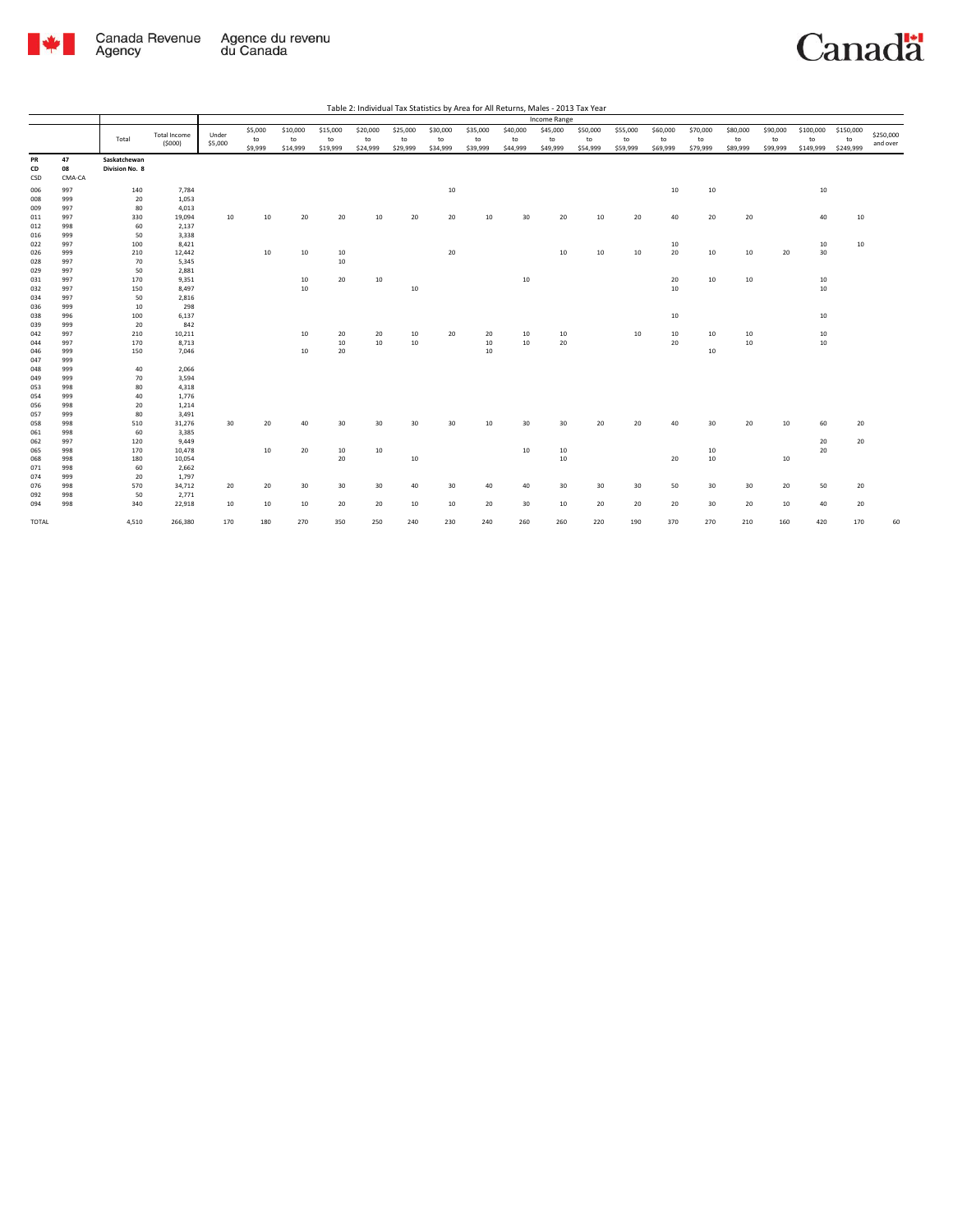

|            |            |                |                               |         |         |          |          |          |          |                 |          | Table 2: Individual Tax Statistics by Area for All Returns, Males - 2013 Tax Year |              |          |          |          |          |          |          |           |           |           |
|------------|------------|----------------|-------------------------------|---------|---------|----------|----------|----------|----------|-----------------|----------|-----------------------------------------------------------------------------------|--------------|----------|----------|----------|----------|----------|----------|-----------|-----------|-----------|
|            |            |                |                               |         |         |          |          |          |          |                 |          |                                                                                   | Income Range |          |          |          |          |          |          |           |           |           |
|            |            |                |                               | Under   | \$5,000 | \$10,000 | \$15,000 | \$20,000 | \$25,000 | \$30,000        | \$35,000 | \$40,000                                                                          | \$45,000     | \$50,000 | \$55,000 | \$60,000 | \$70,000 | \$80,000 | \$90,000 | \$100,000 | \$150,000 | \$250,000 |
|            |            | Total          | <b>Total Income</b><br>(5000) | \$5,000 | to      | to       | to       | to       | to       | to              | to       | to                                                                                | to           | to       | to       | to       | to       | to       | to       | to        | to        | and over  |
|            |            |                |                               |         | \$9,999 | \$14,999 | \$19,999 | \$24,999 | \$29,999 | \$34,999        | \$39,999 | \$44,999                                                                          | \$49,999     | \$54,999 | \$59,999 | \$69,999 | \$79,999 | \$89,999 | \$99,999 | \$149,999 | \$249,999 |           |
| PR         | 47         | Saskatchewan   |                               |         |         |          |          |          |          |                 |          |                                                                                   |              |          |          |          |          |          |          |           |           |           |
| CD         | 08         | Division No. 8 |                               |         |         |          |          |          |          |                 |          |                                                                                   |              |          |          |          |          |          |          |           |           |           |
| CSD        | CMA-CA     |                |                               |         |         |          |          |          |          |                 |          |                                                                                   |              |          |          |          |          |          |          |           |           |           |
| 006        | 997        | 140            | 7,784                         |         |         |          |          |          |          | $10\,$          |          |                                                                                   |              |          |          | 10       | 10       |          |          | 10        |           |           |
| 008        | 999        | 20             | 1,053                         |         |         |          |          |          |          |                 |          |                                                                                   |              |          |          |          |          |          |          |           |           |           |
| 009        | 997        | 80             | 4,013                         |         |         |          |          |          |          |                 |          |                                                                                   |              |          |          |          |          |          |          |           |           |           |
| 011        | 997        | 330            | 19,094                        | 10      | 10      | 20       | 20       | 10       | 20       | 20              | 10       | 30                                                                                | 20           | 10       | 20       | 40       | 20       | 20       |          | 40        | 10        |           |
| 012        | 998        | 60             | 2,137                         |         |         |          |          |          |          |                 |          |                                                                                   |              |          |          |          |          |          |          |           |           |           |
| 016        | 999        | 50             | 3,338                         |         |         |          |          |          |          |                 |          |                                                                                   |              |          |          |          |          |          |          |           |           |           |
| 022        | 997        | 100            | 8,421                         |         |         |          |          |          |          |                 |          |                                                                                   |              |          |          | 10       |          |          |          | 10        | 10        |           |
| 026        | 999        | 210            | 12,442                        |         | 10      | 10       | 10       |          |          | 20              |          |                                                                                   | 10           | 10       | 10       | 20       | $10\,$   | 10       | 20       | 30        |           |           |
| 028        | 997        | 70             | 5,345                         |         |         |          | 10       |          |          |                 |          |                                                                                   |              |          |          |          |          |          |          |           |           |           |
| 029        | 997        | 50             | 2,881                         |         |         |          |          |          |          |                 |          |                                                                                   |              |          |          |          |          |          |          |           |           |           |
| 031        | 997        | 170            | 9,351                         |         |         | 10       | 20       | 10       |          |                 |          | 10                                                                                |              |          |          | 20       | 10       | 10       |          | 10        |           |           |
| 032        | 997        | 150            | 8,497                         |         |         | 10       |          |          | 10       |                 |          |                                                                                   |              |          |          | 10       |          |          |          | 10        |           |           |
| 034        | 997        | 50             | 2,816                         |         |         |          |          |          |          |                 |          |                                                                                   |              |          |          |          |          |          |          |           |           |           |
| 036        | 999        | 10             | 298                           |         |         |          |          |          |          |                 |          |                                                                                   |              |          |          |          |          |          |          |           |           |           |
| 038        | 996        | 100            | 6,137                         |         |         |          |          |          |          |                 |          |                                                                                   |              |          |          | 10       |          |          |          | 10        |           |           |
| 039        | 999        | 20             | 842                           |         |         |          |          |          |          |                 |          |                                                                                   |              |          |          |          |          |          |          |           |           |           |
| 042        | 997        | 210            | 10,211                        |         |         | 10       | 20       | 20       | 10       | 20              | 20       | 10                                                                                | 10           |          | 10       | 10       | 10       | 10       |          | 10        |           |           |
| 044        | 997        | 170            | 8,713                         |         |         |          | 10       | 10       | 10       |                 | 10       | 10                                                                                | 20           |          |          | 20       |          | 10       |          | 10        |           |           |
| 046        | 999        | 150            | 7,046                         |         |         | 10       | 20       |          |          |                 | 10       |                                                                                   |              |          |          |          | 10       |          |          |           |           |           |
| 047        | 999        |                |                               |         |         |          |          |          |          |                 |          |                                                                                   |              |          |          |          |          |          |          |           |           |           |
| 048        | 999        | 40             | 2,066                         |         |         |          |          |          |          |                 |          |                                                                                   |              |          |          |          |          |          |          |           |           |           |
| 049        | 999<br>998 | 70<br>80       | 3,594<br>4,318                |         |         |          |          |          |          |                 |          |                                                                                   |              |          |          |          |          |          |          |           |           |           |
| 053        | 999        |                | 1,776                         |         |         |          |          |          |          |                 |          |                                                                                   |              |          |          |          |          |          |          |           |           |           |
| 054<br>056 | 998        | 40<br>20       | 1,214                         |         |         |          |          |          |          |                 |          |                                                                                   |              |          |          |          |          |          |          |           |           |           |
| 057        | 999        | 80             | 3,491                         |         |         |          |          |          |          |                 |          |                                                                                   |              |          |          |          |          |          |          |           |           |           |
| 058        | 998        | 510            | 31,276                        | 30      | 20      | 40       | 30       | 30       | 30       | 30              | 10       | 30                                                                                | 30           | 20       | 20       | 40       | 30       | 20       | 10       | 60        | 20        |           |
| 061        | 998        | 60             | 3,385                         |         |         |          |          |          |          |                 |          |                                                                                   |              |          |          |          |          |          |          |           |           |           |
| 062        | 997        | 120            | 9,449                         |         |         |          |          |          |          |                 |          |                                                                                   |              |          |          |          |          |          |          | 20        | 20        |           |
| 065        | 998        | 170            | 10,478                        |         | 10      | 20       | 10       | 10       |          |                 |          | 10                                                                                | 10           |          |          |          | 10       |          |          | 20        |           |           |
| 068        | 998        | 180            | 10,054                        |         |         |          | 20       |          | $10\,$   |                 |          |                                                                                   | 10           |          |          | 20       | $10\,$   |          | 10       |           |           |           |
| 071        | 998        | 60             | 2,662                         |         |         |          |          |          |          |                 |          |                                                                                   |              |          |          |          |          |          |          |           |           |           |
| 074        | 999        | 20             | 1,797                         |         |         |          |          |          |          |                 |          |                                                                                   |              |          |          |          |          |          |          |           |           |           |
| 076        | 998        | 570            | 34,712                        | 20      | 20      | 30       | 30       | 30       | 40       | 30 <sub>o</sub> | 40       | 40                                                                                | 30           | 30       | 30       | 50       | 30       | 30       | 20       | 50        | 20        |           |
| 092        | 998        | 50             | 2,771                         |         |         |          |          |          |          |                 |          |                                                                                   |              |          |          |          |          |          |          |           |           |           |
| 094        | 998        | 340            | 22,918                        | 10      | 10      | 10       | 20       | 20       | 10       | 10              | 20       | 30                                                                                | 10           | 20       | 20       | 20       | 30       | 20       | 10       | 40        | 20        |           |
|            |            |                |                               |         |         |          |          |          |          |                 |          |                                                                                   |              |          |          |          |          |          |          |           |           |           |
| TOTAL      |            | 4,510          | 266,380                       | 170     | 180     | 270      | 350      | 250      | 240      | 230             | 240      | 260                                                                               | 260          | 220      | 190      | 370      | 270      | 210      | 160      | 420       | 170       | 60        |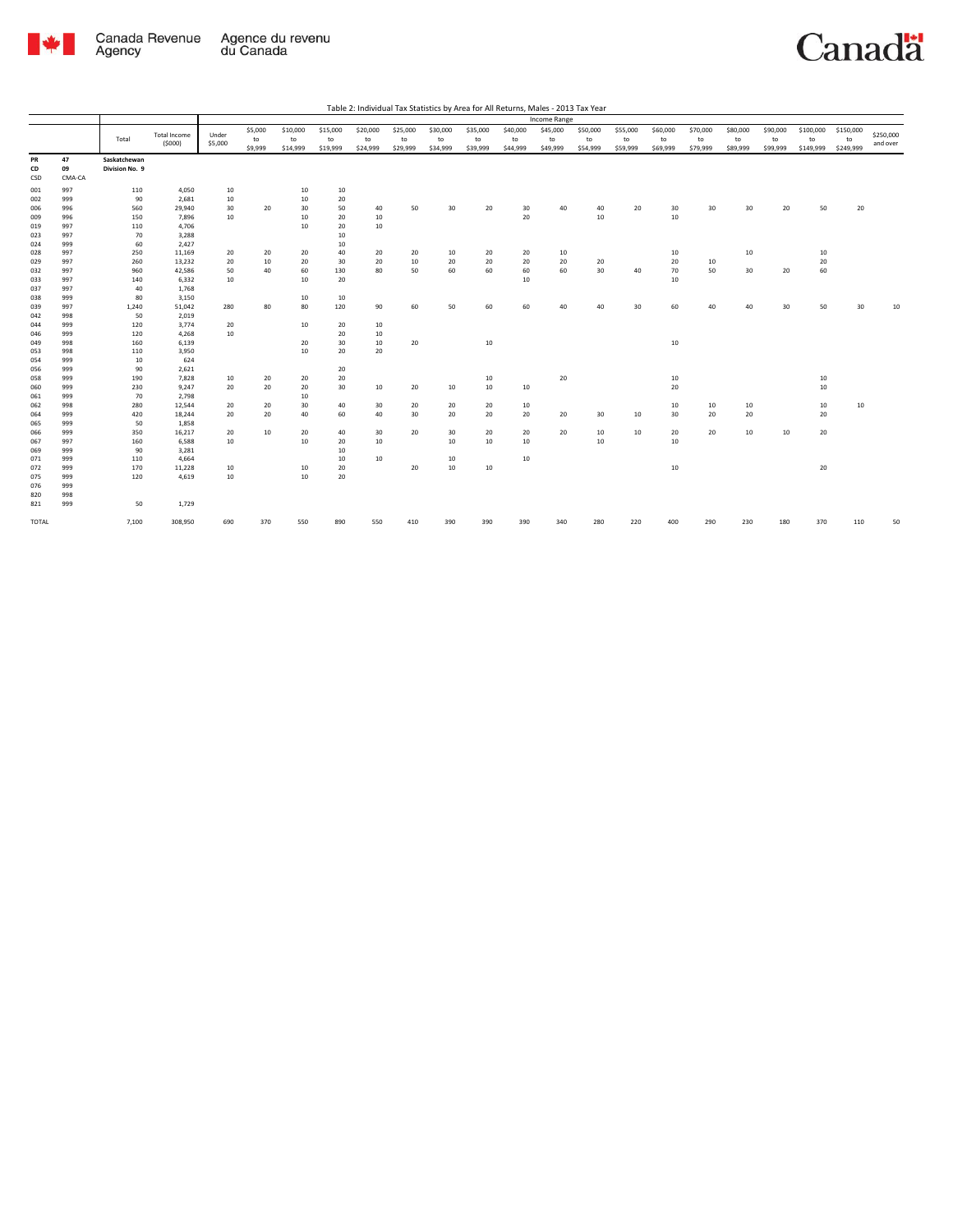

|          |                    |                                |                               |                  |               |                |                |                |                |                |                |                | Income Range   |                |                |                |                |                |                |                 |                 |                       |
|----------|--------------------|--------------------------------|-------------------------------|------------------|---------------|----------------|----------------|----------------|----------------|----------------|----------------|----------------|----------------|----------------|----------------|----------------|----------------|----------------|----------------|-----------------|-----------------|-----------------------|
|          |                    | Total                          | <b>Total Income</b><br>(5000) | Under<br>\$5,000 | \$5,000<br>to | \$10,000<br>to | \$15,000<br>to | \$20,000<br>to | \$25,000<br>to | \$30,000<br>to | \$35,000<br>to | \$40,000<br>to | \$45,000<br>to | \$50,000<br>to | \$55,000<br>to | \$60,000<br>to | \$70,000<br>to | \$80,000<br>to | \$90,000<br>to | \$100,000<br>to | \$150,000<br>to | \$250,000<br>and over |
| PR<br>CD | 47<br>09<br>CMA-CA | Saskatchewan<br>Division No. 9 |                               |                  | \$9,999       | \$14,999       | \$19,999       | \$24,999       | \$29,999       | \$34,999       | \$39,999       | \$44,999       | \$49,999       | \$54,999       | \$59,999       | \$69,999       | \$79,999       | \$89,999       | \$99,999       | \$149,999       | \$249,999       |                       |
| CSD      |                    |                                |                               |                  |               |                |                |                |                |                |                |                |                |                |                |                |                |                |                |                 |                 |                       |
| 001      | 997                | 110                            | 4,050                         | 10               |               | 10             | 10             |                |                |                |                |                |                |                |                |                |                |                |                |                 |                 |                       |
| 002      | 999                | 90                             | 2,681                         | 10               |               | 10             | 20             |                |                |                |                |                |                |                |                |                |                |                |                |                 |                 |                       |
| 006      | 996                | 560                            | 29,940                        | 30               | 20            | 30             | 50             | 40             | 50             | 30             | 20             | 30             | 40             | 40             | 20             | 30             | 30             | 30             | 20             | 50              | 20              |                       |
| 009      | 996                | 150                            | 7,896                         | 10               |               | 10             | 20             | 10             |                |                |                | 20             |                | 10             |                | 10             |                |                |                |                 |                 |                       |
| 019      | 997                | 110                            | 4,706                         |                  |               | 10             | 20             | 10             |                |                |                |                |                |                |                |                |                |                |                |                 |                 |                       |
| 023      | 997                | 70                             | 3,288                         |                  |               |                | 10             |                |                |                |                |                |                |                |                |                |                |                |                |                 |                 |                       |
| 024      | 999                | 60                             | 2,427                         |                  |               |                | 10             |                |                |                |                |                |                |                |                |                |                |                |                |                 |                 |                       |
| 028      | 997                | 250                            | 11,169                        | 20               | 20            | 20             | 40             | 20             | 20             | 10             | 20             | 20             | 10             |                |                | 10             |                | 10             |                | 10              |                 |                       |
| 029      | 997                | 260                            | 13,232                        | 20               | 10            | 20             | 30             | 20             | 10             | 20             | 20             | 20             | 20             | 20             |                | 20             | 10             |                |                | 20              |                 |                       |
| 032      | 997                | 960                            | 42,586                        | 50               | 40            | 60             | 130            | 80             | 50             | 60             | 60             | 60             | 60             | 30             | 40             | 70             | 50             | 30             | 20             | 60              |                 |                       |
| 033      | 997                | 140                            | 6,332                         | 10               |               | 10             | 20             |                |                |                |                | 10             |                |                |                | 10             |                |                |                |                 |                 |                       |
| 037      | 997                | 40                             | 1,768                         |                  |               |                |                |                |                |                |                |                |                |                |                |                |                |                |                |                 |                 |                       |
| 038      | 999                | 80                             | 3,150                         |                  |               | 10             | 10             |                |                |                |                |                |                |                |                |                |                |                |                |                 |                 |                       |
| 039      | 997                | 1,240                          | 51,042                        | 280              | 80            | 80             | 120            | 90             | 60             | 50             | 60             | 60             | 40             | 40             | 30             | 60             | 40             | 40             | 30             | 50              | 30              | 10                    |
| 042      | 998                | 50                             | 2,019                         |                  |               |                |                |                |                |                |                |                |                |                |                |                |                |                |                |                 |                 |                       |
| 044      | 999                | 120                            | 3,774                         | 20               |               | 10             | 20             | 10             |                |                |                |                |                |                |                |                |                |                |                |                 |                 |                       |
| 046      | 999                | 120                            | 4,268                         | 10               |               |                | 20             | 10             |                |                |                |                |                |                |                |                |                |                |                |                 |                 |                       |
| 049      | 998                | 160                            | 6,139                         |                  |               | 20             | 30             | 10             | 20             |                | 10             |                |                |                |                | 10             |                |                |                |                 |                 |                       |
| 053      | 998                | 110                            | 3,950                         |                  |               | 10             | 20             | 20             |                |                |                |                |                |                |                |                |                |                |                |                 |                 |                       |
| 054      | 999                | 10                             | 624                           |                  |               |                |                |                |                |                |                |                |                |                |                |                |                |                |                |                 |                 |                       |
| 056      | 999                | 90                             | 2,621                         |                  |               |                | 20             |                |                |                |                |                |                |                |                |                |                |                |                |                 |                 |                       |
| 058      | 999                | 190                            | 7,828                         | 10               | 20            | 20             | 20             |                |                |                | 10             |                | 20             |                |                | 10             |                |                |                | 10              |                 |                       |
| 060      | 999                | 230                            | 9,247                         | 20               | 20            | 20             | 30             | 10             | 20             | 10             | 10             | 10             |                |                |                | 20             |                |                |                | 10              |                 |                       |
| 061      | 999                | 70                             | 2,798                         |                  |               | 10             |                |                |                |                |                |                |                |                |                |                |                |                |                |                 |                 |                       |
| 062      | 998                | 280                            | 12,544                        | 20               | 20            | 30             | 40             | 30             | 20             | 20             | 20             | 10             |                |                |                | 10             | 10             | 10             |                | 10              | 10              |                       |
| 064      | 999                | 420                            | 18,244                        | 20               | 20            | 40             | 60             | 40             | 30             | 20             | 20             | 20             | 20             | 30             | 10             | 30             | 20             | 20             |                | 20              |                 |                       |
| 065      | 999                | 50                             | 1,858                         |                  |               |                |                |                |                |                |                |                |                |                |                |                |                |                |                |                 |                 |                       |
| 066      | 999                | 350                            | 16,217                        | 20               | 10            | 20             | 40             | 30             | 20             | 30             | 20             | 20             | 20             | 10             | 10             | 20             | 20             | 10             | 10             | 20              |                 |                       |
| 067      | 997                | 160                            | 6,588                         | 10               |               | 10             | 20             | 10             |                | 10             | 10             | 10             |                | 10             |                | 10             |                |                |                |                 |                 |                       |
| 069      | 999                | 90                             | 3,281                         |                  |               |                | 10             |                |                |                |                |                |                |                |                |                |                |                |                |                 |                 |                       |
| 071      | 999                | 110                            | 4,664                         |                  |               |                | 10             | 10             |                | 10             |                | 10             |                |                |                |                |                |                |                |                 |                 |                       |
| 072      | 999                | 170                            | 11,228                        | 10               |               | 10             | 20             |                | 20             | 10             | 10             |                |                |                |                | 10             |                |                |                | 20              |                 |                       |
| 075      | 999                | 120                            | 4,619                         | 10               |               | 10             | 20             |                |                |                |                |                |                |                |                |                |                |                |                |                 |                 |                       |
| 076      | 999                |                                |                               |                  |               |                |                |                |                |                |                |                |                |                |                |                |                |                |                |                 |                 |                       |
| 820      | 998                |                                |                               |                  |               |                |                |                |                |                |                |                |                |                |                |                |                |                |                |                 |                 |                       |
| 821      | 999                | 50                             | 1,729                         |                  |               |                |                |                |                |                |                |                |                |                |                |                |                |                |                |                 |                 |                       |
| TOTAL    |                    | 7,100                          | 308,950                       | 690              | 370           | 550            | 890            | 550            | 410            | 390            | 390            | 390            | 340            | 280            | 220            | 400            | 290            | 230            | 180            | 370             | 110             | 50                    |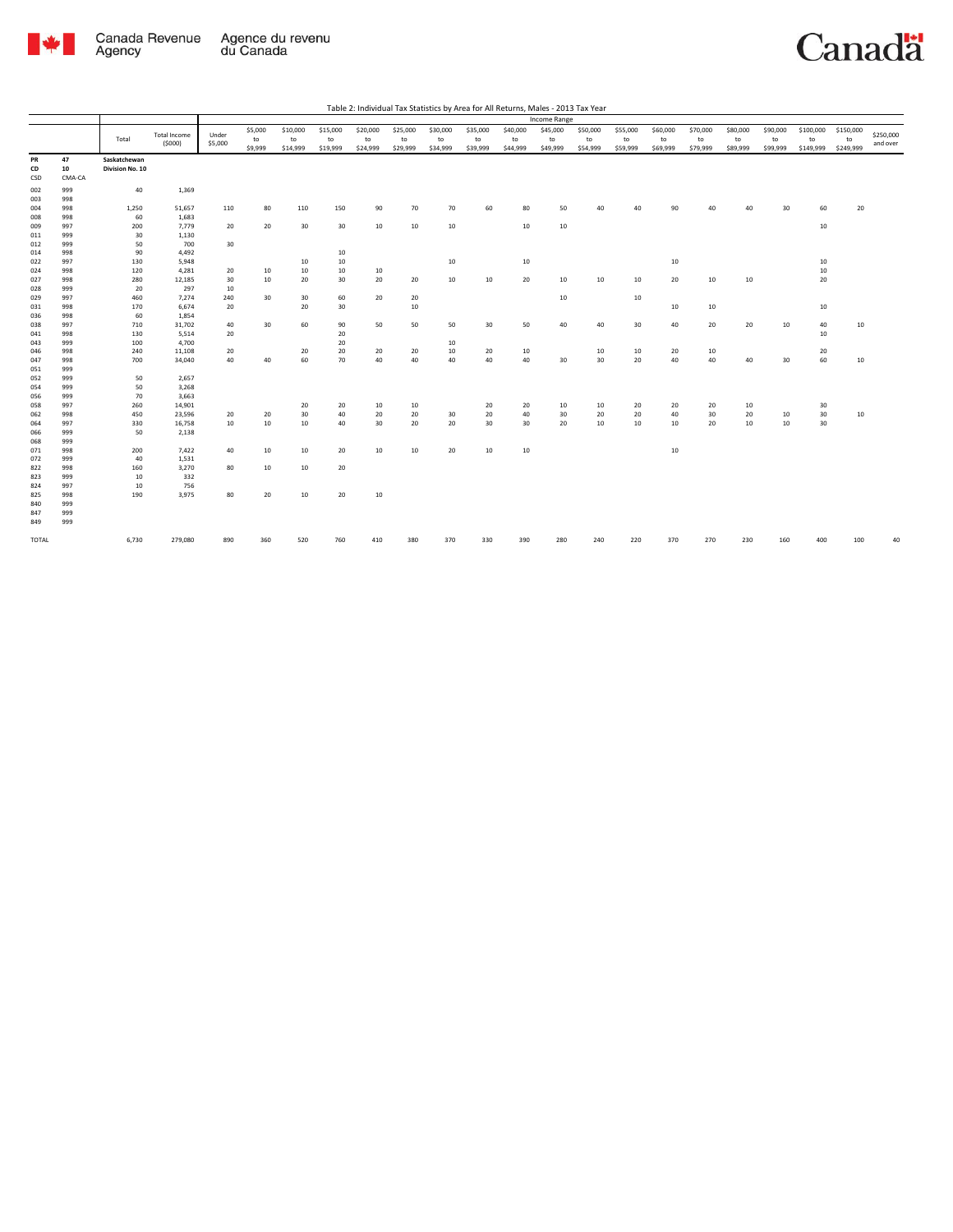

|            |            |                 |                     |          |          |          |          |          |          |          |          |          | Income Range |          |                 |          |          |          |          |                  |           |           |
|------------|------------|-----------------|---------------------|----------|----------|----------|----------|----------|----------|----------|----------|----------|--------------|----------|-----------------|----------|----------|----------|----------|------------------|-----------|-----------|
|            |            |                 |                     |          | \$5,000  | \$10,000 | \$15,000 | \$20,000 | \$25,000 | \$30,000 | \$35,000 | \$40,000 | \$45,000     | \$50,000 | \$55,000        | \$60,000 | \$70,000 | \$80,000 | \$90,000 | \$100,000        | \$150,000 |           |
|            |            | Total           | <b>Total Income</b> | Under    | to       | to       | to       | to       | to       | to       | to       | to       | to           | to       | to              | to       | to       | to       | to       | to               | to        | \$250,000 |
|            |            |                 | (5000)              | \$5,000  | \$9,999  | \$14,999 | \$19,999 | \$24,999 | \$29,999 | \$34,999 | \$39,999 | \$44,999 | \$49,999     | \$54,999 | \$59,999        | \$69,999 | \$79,999 | \$89,999 | \$99,999 | \$149,999        | \$249,999 | and over  |
| PR         | 47         | Saskatchewan    |                     |          |          |          |          |          |          |          |          |          |              |          |                 |          |          |          |          |                  |           |           |
| CD         | 10         | Division No. 10 |                     |          |          |          |          |          |          |          |          |          |              |          |                 |          |          |          |          |                  |           |           |
| CSD        | CMA-CA     |                 |                     |          |          |          |          |          |          |          |          |          |              |          |                 |          |          |          |          |                  |           |           |
| 002        | 999        | 40              | 1,369               |          |          |          |          |          |          |          |          |          |              |          |                 |          |          |          |          |                  |           |           |
| 003        | 998        |                 |                     |          |          |          |          |          |          |          |          |          |              |          |                 |          |          |          |          |                  |           |           |
| 004        | 998        | 1,250           | 51,657              | 110      | 80       | 110      | 150      | 90       | 70       | 70       | 60       | 80       | 50           | 40       | 40              | 90       | 40       | 40       | 30       | 60               | 20        |           |
| 008        | 998        | 60              | 1,683               |          |          |          |          |          |          |          |          |          |              |          |                 |          |          |          |          |                  |           |           |
| 009        | 997        | 200             | 7,779               | 20       | 20       | 30       | 30       | 10       | 10       | $10\,$   |          | 10       | 10           |          |                 |          |          |          |          | 10 <sup>10</sup> |           |           |
| 011        | 999        | 30              | 1,130               |          |          |          |          |          |          |          |          |          |              |          |                 |          |          |          |          |                  |           |           |
| 012        | 999        | 50              | 700                 | 30       |          |          |          |          |          |          |          |          |              |          |                 |          |          |          |          |                  |           |           |
| 014        | 998        | 90              | 4,492               |          |          |          | 10       |          |          |          |          |          |              |          |                 |          |          |          |          |                  |           |           |
| 022        | 997        | 130             | 5,948               |          |          | 10       | 10       |          |          | 10       |          | $10\,$   |              |          |                 | 10       |          |          |          | $10\,$           |           |           |
| 024        | 998        | 120             | 4,281               | 20       | 10<br>10 | $10\,$   | 10       | 10<br>20 |          | 10       |          |          |              |          |                 |          |          |          |          | 10<br>20         |           |           |
| 027<br>028 | 998<br>999 | 280<br>20       | 12,185<br>297       | 30<br>10 |          | 20       | 30       |          | 20       |          | 10       | 20       | 10           | 10       | 10              | 20       | 10       | 10       |          |                  |           |           |
| 029        | 997        | 460             | 7,274               | 240      | 30       | 30       | 60       | 20       | 20       |          |          |          | 10           |          | 10              |          |          |          |          |                  |           |           |
| 031        | 998        | 170             | 6,674               | 20       |          | 20       | 30       |          | 10       |          |          |          |              |          |                 | 10       | 10       |          |          | 10               |           |           |
| 036        | 998        | 60              | 1,854               |          |          |          |          |          |          |          |          |          |              |          |                 |          |          |          |          |                  |           |           |
| 038        | 997        | 710             | 31,702              | 40       | 30       | 60       | 90       | 50       | 50       | 50       | 30       | 50       | 40           | 40       | 30 <sub>o</sub> | 40       | 20       | 20       | 10       | 40               | 10        |           |
| 041        | 998        | 130             | 5,514               | 20       |          |          | 20       |          |          |          |          |          |              |          |                 |          |          |          |          | 10               |           |           |
| 043        | 999        | 100             | 4,700               |          |          |          | 20       |          |          | $10\,$   |          |          |              |          |                 |          |          |          |          |                  |           |           |
| 046        | 998        | 240             | 11,108              | 20       |          | 20       | 20       | 20       | 20       | 10       | 20       | 10       |              | 10       | 10              | 20       | 10       |          |          | 20               |           |           |
| 047        | 998        | 700             | 34,040              | 40       | 40       | 60       | 70       | 40       | 40       | 40       | 40       | 40       | 30           | 30       | 20              | 40       | 40       | 40       | 30       | 60               | 10        |           |
| 051        | 999        |                 |                     |          |          |          |          |          |          |          |          |          |              |          |                 |          |          |          |          |                  |           |           |
| 052        | 999        | 50              | 2,657               |          |          |          |          |          |          |          |          |          |              |          |                 |          |          |          |          |                  |           |           |
| 054        | 999        | 50              | 3,268               |          |          |          |          |          |          |          |          |          |              |          |                 |          |          |          |          |                  |           |           |
| 056        | 999        | 70              | 3,663               |          |          |          |          |          |          |          |          |          |              |          |                 |          |          |          |          |                  |           |           |
| 058        | 997        | 260             | 14,901              |          |          | 20       | 20       | 10       | 10       |          | 20       | 20       | 10           | 10       | 20              | 20       | 20       | 10       |          | 30               |           |           |
| 062        | 998        | 450             | 23,596              | 20       | 20       | 30       | 40       | 20       | 20       | 30       | 20       | 40       | 30           | 20       | 20              | 40       | 30       | 20       | 10       | 30               | 10        |           |
| 064        | 997        | 330             | 16,758              | 10       | 10       | 10       | 40       | 30       | 20       | 20       | 30       | 30       | 20           | 10       | 10              | 10       | 20       | 10       | 10       | 30               |           |           |
| 066<br>068 | 999<br>999 | 50              | 2,138               |          |          |          |          |          |          |          |          |          |              |          |                 |          |          |          |          |                  |           |           |
| 071        | 998        | 200             | 7,422               | 40       | 10       | 10       | 20       | 10       | 10       | 20       | 10       | 10       |              |          |                 | 10       |          |          |          |                  |           |           |
| 072        | 999        | 40              | 1,531               |          |          |          |          |          |          |          |          |          |              |          |                 |          |          |          |          |                  |           |           |
| 822        | 998        | 160             | 3,270               | 80       | 10       | $10\,$   | 20       |          |          |          |          |          |              |          |                 |          |          |          |          |                  |           |           |
| 823        | 999        | 10              | 332                 |          |          |          |          |          |          |          |          |          |              |          |                 |          |          |          |          |                  |           |           |
| 824        | 997        | 10              | 756                 |          |          |          |          |          |          |          |          |          |              |          |                 |          |          |          |          |                  |           |           |
| 825        | 998        | 190             | 3,975               | 80       | 20       | 10       | 20       | 10       |          |          |          |          |              |          |                 |          |          |          |          |                  |           |           |
| 840        | 999        |                 |                     |          |          |          |          |          |          |          |          |          |              |          |                 |          |          |          |          |                  |           |           |
| 847        | 999        |                 |                     |          |          |          |          |          |          |          |          |          |              |          |                 |          |          |          |          |                  |           |           |
| 849        | 999        |                 |                     |          |          |          |          |          |          |          |          |          |              |          |                 |          |          |          |          |                  |           |           |
| TOTAL      |            | 6,730           | 279,080             | 890      | 360      | 520      | 760      | 410      | 380      | 370      | 330      | 390      | 280          | 240      | 220             | 370      | 270      | 230      | 160      | 400              | 100       | 40        |
|            |            |                 |                     |          |          |          |          |          |          |          |          |          |              |          |                 |          |          |          |          |                  |           |           |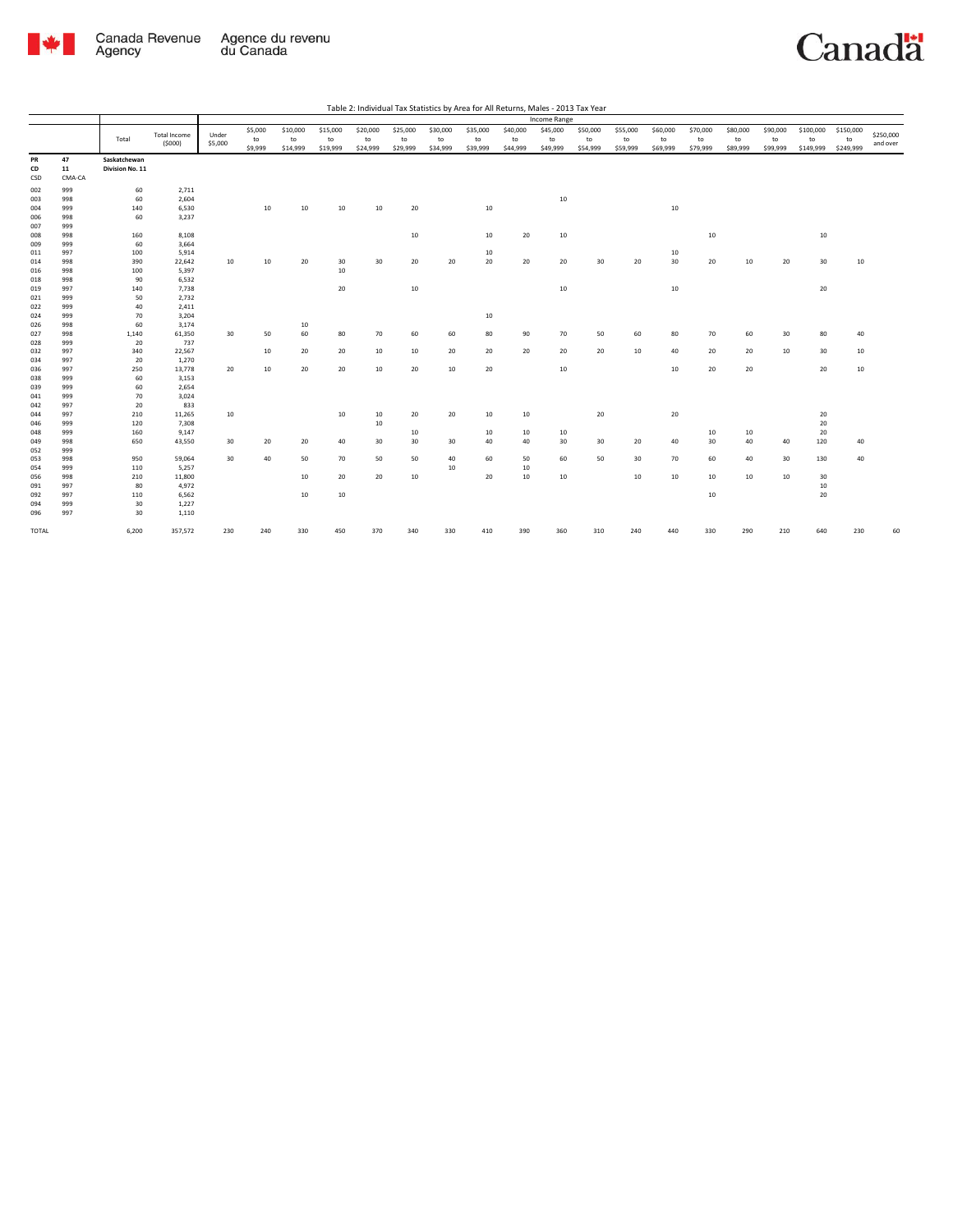

|            |            |                 |                               |         |         |          |          |          |          |          |          |          | Income Range |          |          |          |          |          |          |                  |           |           |
|------------|------------|-----------------|-------------------------------|---------|---------|----------|----------|----------|----------|----------|----------|----------|--------------|----------|----------|----------|----------|----------|----------|------------------|-----------|-----------|
|            |            |                 |                               |         | \$5,000 | \$10,000 | \$15,000 | \$20,000 | \$25,000 | \$30,000 | \$35,000 | \$40,000 | \$45,000     | \$50,000 | \$55,000 | \$60,000 | \$70,000 | \$80,000 | \$90,000 | \$100,000        | \$150,000 |           |
|            |            | Total           | <b>Total Income</b><br>(5000) | Under   | to      | to       | to       | to       | to       | to       | to       | to       | to           | to       | to       | to       | to       | to       | to       | to               | to        | \$250,000 |
|            |            |                 |                               | \$5,000 | \$9,999 | \$14,999 | \$19,999 | \$24,999 | \$29,999 | \$34,999 | \$39,999 | \$44,999 | \$49,999     | \$54,999 | \$59,999 | \$69,999 | \$79,999 | \$89,999 | \$99,999 | \$149,999        | \$249,999 | and over  |
| PR         | 47         | Saskatchewan    |                               |         |         |          |          |          |          |          |          |          |              |          |          |          |          |          |          |                  |           |           |
| CD         | 11         | Division No. 11 |                               |         |         |          |          |          |          |          |          |          |              |          |          |          |          |          |          |                  |           |           |
| CSD        | CMA-CA     |                 |                               |         |         |          |          |          |          |          |          |          |              |          |          |          |          |          |          |                  |           |           |
| 002        | 999        | 60              | 2,711                         |         |         |          |          |          |          |          |          |          |              |          |          |          |          |          |          |                  |           |           |
| 003        | 998        | 60              | 2,604                         |         |         |          |          |          |          |          |          |          | 10           |          |          |          |          |          |          |                  |           |           |
| 004        | 999        | 140             | 6,530                         |         | 10      | 10       | 10       | 10       | 20       |          | 10       |          |              |          |          | 10       |          |          |          |                  |           |           |
| 006        | 998        | 60              | 3,237                         |         |         |          |          |          |          |          |          |          |              |          |          |          |          |          |          |                  |           |           |
| 007        | 999        |                 |                               |         |         |          |          |          |          |          |          |          |              |          |          |          |          |          |          |                  |           |           |
| 008        | 998        | 160             | 8,108                         |         |         |          |          |          | 10       |          | $10\,$   | 20       | 10           |          |          |          | 10       |          |          | 10 <sup>10</sup> |           |           |
| 009        | 999        | 60              | 3,664                         |         |         |          |          |          |          |          |          |          |              |          |          |          |          |          |          |                  |           |           |
| 011        | 997        | 100             | 5,914                         |         |         |          |          |          |          |          | 10       |          |              |          |          | 10       |          |          |          |                  |           |           |
| 014        | 998        | 390             | 22,642                        | 10      | 10      | 20       | 30       | 30       | 20       | 20       | 20       | 20       | 20           | 30       | 20       | 30       | 20       | 10       | 20       | 30               | 10        |           |
| 016        | 998        | 100             | 5,397                         |         |         |          | 10       |          |          |          |          |          |              |          |          |          |          |          |          |                  |           |           |
| 018        | 998        | 90              | 6,532                         |         |         |          |          |          |          |          |          |          |              |          |          |          |          |          |          |                  |           |           |
| 019        | 997        | 140             | 7,738                         |         |         |          | 20       |          | 10       |          |          |          | 10           |          |          | 10       |          |          |          | 20               |           |           |
| 021        | 999        | 50              | 2,732                         |         |         |          |          |          |          |          |          |          |              |          |          |          |          |          |          |                  |           |           |
| 022<br>024 | 999<br>999 | 40<br>70        | 2,411<br>3,204                |         |         |          |          |          |          |          |          |          |              |          |          |          |          |          |          |                  |           |           |
|            | 998        | 60              | 3,174                         |         |         | 10       |          |          |          |          | 10       |          |              |          |          |          |          |          |          |                  |           |           |
| 026<br>027 | 998        | 1,140           | 61,350                        | 30      | 50      | 60       | 80       | 70       | 60       | 60       | 80       | 90       | 70           | 50       | 60       | 80       | 70       | 60       | 30       | 80               | 40        |           |
| 028        | 999        | 20              | 737                           |         |         |          |          |          |          |          |          |          |              |          |          |          |          |          |          |                  |           |           |
| 032        | 997        | 340             | 22,567                        |         | 10      | 20       | 20       | 10       | 10       | 20       | 20       | 20       | 20           | 20       | 10       | 40       | 20       | 20       | 10       | 30               | 10        |           |
| 034        | 997        | 20              | 1,270                         |         |         |          |          |          |          |          |          |          |              |          |          |          |          |          |          |                  |           |           |
| 036        | 997        | 250             | 13,778                        | 20      | 10      | 20       | 20       | 10       | 20       | 10       | 20       |          | 10           |          |          | 10       | 20       | 20       |          | 20               | $10\,$    |           |
| 038        | 999        | 60              | 3,153                         |         |         |          |          |          |          |          |          |          |              |          |          |          |          |          |          |                  |           |           |
| 039        | 999        | 60              | 2,654                         |         |         |          |          |          |          |          |          |          |              |          |          |          |          |          |          |                  |           |           |
| 041        | 999        | 70              | 3,024                         |         |         |          |          |          |          |          |          |          |              |          |          |          |          |          |          |                  |           |           |
| 042        | 997        | 20              | 833                           |         |         |          |          |          |          |          |          |          |              |          |          |          |          |          |          |                  |           |           |
| 044        | 997        | 210             | 11,265                        | 10      |         |          | 10       | 10       | 20       | 20       | 10       | 10       |              | 20       |          | 20       |          |          |          | 20               |           |           |
| 046        | 999        | 120             | 7,308                         |         |         |          |          | 10       |          |          |          |          |              |          |          |          |          |          |          | 20               |           |           |
| 048        | 999        | 160             | 9,147                         |         |         |          |          |          | 10       |          | 10       | 10       | 10           |          |          |          | 10       | 10       |          | 20               |           |           |
| 049        | 998        | 650             | 43,550                        | 30      | 20      | 20       | 40       | 30       | 30       | 30       | 40       | 40       | 30           | 30       | 20       | 40       | 30       | 40       | 40       | 120              | 40        |           |
| 052        | 999        |                 |                               |         |         |          |          |          |          |          |          |          |              |          |          |          |          |          |          |                  |           |           |
| 053        | 998        | 950             | 59,064                        | 30      | 40      | 50       | 70       | 50       | 50       | 40       | 60       | 50       | 60           | 50       | 30       | 70       | 60       | 40       | 30       | 130              | 40        |           |
| 054        | 999        | 110             | 5,257                         |         |         |          |          |          |          | $10\,$   |          | $10\,$   |              |          |          |          |          |          |          |                  |           |           |
| 056        | 998        | 210             | 11,800                        |         |         | 10       | 20       | 20       | 10       |          | 20       | 10       | 10           |          | 10       | 10       | 10       | 10       | 10       | 30               |           |           |
| 091        | 997        | 80              | 4,972                         |         |         |          |          |          |          |          |          |          |              |          |          |          |          |          |          | $10\,$           |           |           |
| 092        | 997        | 110<br>30       | 6,562<br>1,227                |         |         | 10       | 10       |          |          |          |          |          |              |          |          |          | 10       |          |          | 20               |           |           |
| 094<br>096 | 999<br>997 | 30              | 1,110                         |         |         |          |          |          |          |          |          |          |              |          |          |          |          |          |          |                  |           |           |
|            |            |                 |                               |         |         |          |          |          |          |          |          |          |              |          |          |          |          |          |          |                  |           |           |
| TOTAL      |            | 6,200           | 357,572                       | 230     | 240     | 330      | 450      | 370      | 340      | 330      | 410      | 390      | 360          | 310      | 240      | 440      | 330      | 290      | 210      | 640              | 230       | 60        |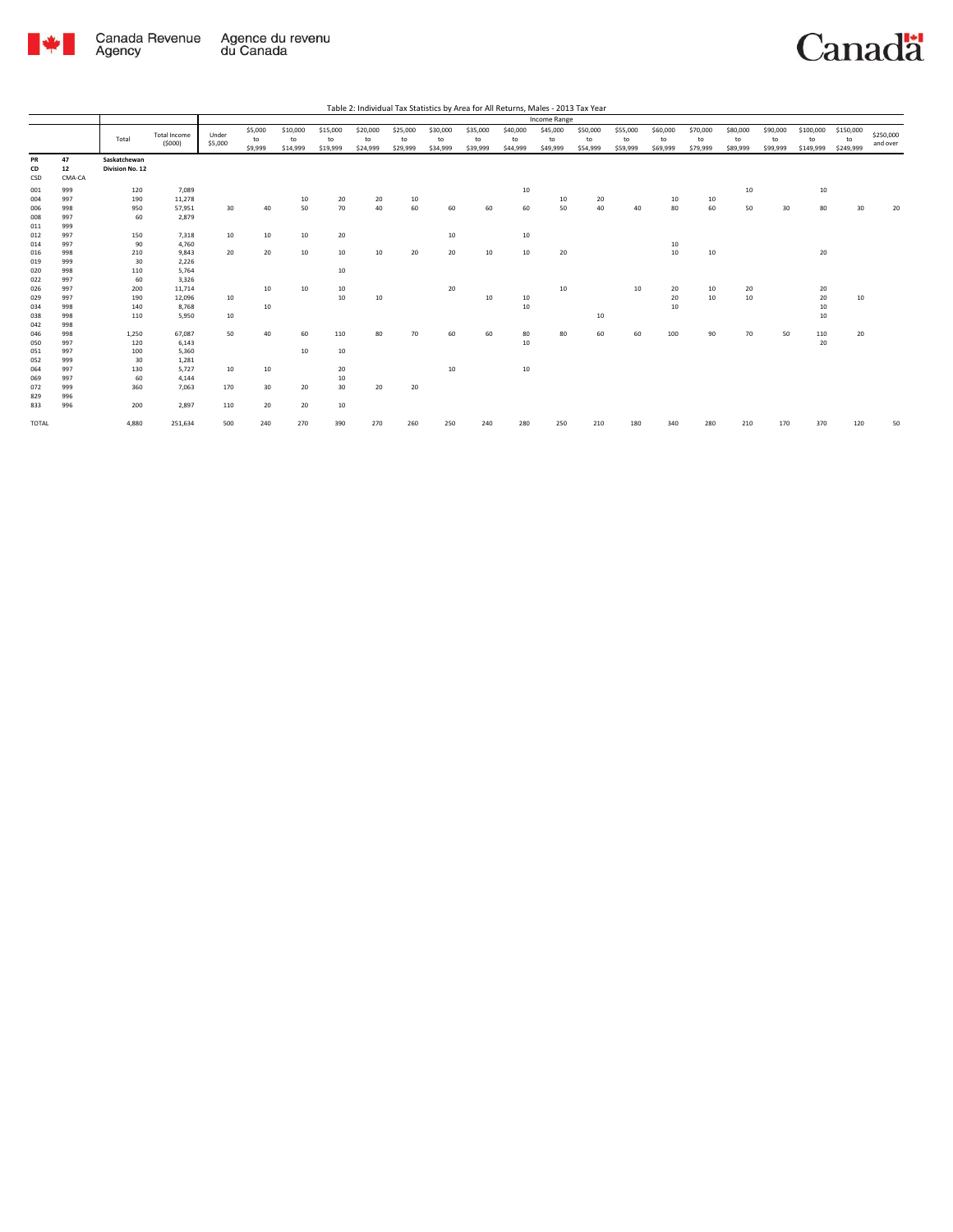

|                                 |                                 |                                 |                                    |                  |                          |                            |                            |                            |                            |                            |                            |                            | <b>Income Range</b>        |                            |                            |                            |                            |                            |                            |                              |                              |                       |
|---------------------------------|---------------------------------|---------------------------------|------------------------------------|------------------|--------------------------|----------------------------|----------------------------|----------------------------|----------------------------|----------------------------|----------------------------|----------------------------|----------------------------|----------------------------|----------------------------|----------------------------|----------------------------|----------------------------|----------------------------|------------------------------|------------------------------|-----------------------|
|                                 |                                 | Total                           | <b>Total Income</b><br>(5000)      | Under<br>\$5,000 | \$5,000<br>to<br>\$9,999 | \$10,000<br>to<br>\$14,999 | \$15,000<br>to<br>\$19,999 | \$20,000<br>to<br>\$24,999 | \$25,000<br>to<br>\$29,999 | \$30,000<br>to<br>\$34,999 | \$35,000<br>to<br>\$39,999 | \$40,000<br>to<br>\$44,999 | \$45,000<br>to<br>\$49,999 | \$50,000<br>to<br>\$54,999 | \$55,000<br>to<br>\$59,999 | \$60,000<br>to<br>\$69,999 | \$70,000<br>to<br>\$79,999 | \$80,000<br>to<br>\$89,999 | \$90,000<br>to<br>\$99,999 | \$100,000<br>to<br>\$149,999 | \$150,000<br>to<br>\$249,999 | \$250,000<br>and over |
| PR<br>CD<br>CSD                 | 47<br>12<br>CMA-CA              | Saskatchewan<br>Division No. 12 |                                    |                  |                          |                            |                            |                            |                            |                            |                            |                            |                            |                            |                            |                            |                            |                            |                            |                              |                              |                       |
| 001<br>004<br>006<br>008        | 999<br>997<br>998<br>997        | 120<br>190<br>950<br>60         | 7,089<br>11,278<br>57,951<br>2,879 | 30               | 40                       | 10<br>50                   | 20<br>70                   | 20<br>40                   | 10<br>60                   | 60                         | 60                         | $10\,$<br>60               | 10<br>50                   | 20<br>40                   | 40                         | 10<br>80                   | 10<br>60                   | $10\,$<br>50               | 30                         | 10<br>80                     | 30                           | 20                    |
| 011<br>012<br>014<br>016        | 999<br>997<br>997<br>998        | 150<br>90<br>210                | 7,318<br>4,760<br>9,843            | 10<br>20         | 10<br>20                 | 10<br>10                   | 20<br>10                   | 10                         | 20                         | 10<br>20                   | 10                         | 10<br>10                   | 20                         |                            |                            | 10<br>10                   | 10                         |                            |                            | 20                           |                              |                       |
| 019<br>020<br>022<br>026        | 999<br>998<br>997<br>997        | 30<br>110<br>60<br>200          | 2,226<br>5,764<br>3,326<br>11,714  |                  | 10                       | 10                         | 10<br>10                   |                            |                            | 20                         |                            |                            | 10                         |                            | 10                         | 20                         | 10                         | 20                         |                            | 20                           |                              |                       |
| 029<br>034<br>038               | 997<br>998<br>998               | 190<br>140<br>110               | 12,096<br>8,768<br>5,950           | 10<br>10         | 10                       |                            | 10                         | 10                         |                            |                            | 10                         | 10<br>10                   |                            | 10                         |                            | 20<br>10                   | 10                         | 10                         |                            | 20<br>10<br>10               | 10                           |                       |
| 042<br>046<br>050<br>051<br>052 | 998<br>998<br>997<br>997<br>999 | 1,250<br>120<br>100<br>30       | 67,087<br>6,143<br>5,360<br>1,281  | 50               | 40                       | 60<br>10                   | 110<br>10                  | 80                         | 70                         | 60                         | 60                         | 80<br>10                   | 80                         | 60                         | 60                         | 100                        | 90                         | 70                         | 50                         | 110<br>20                    | 20                           |                       |
| 064<br>069<br>072<br>829<br>833 | 997<br>997<br>999<br>996<br>996 | 130<br>60<br>360<br>200         | 5,727<br>4,144<br>7,063<br>2,897   | 10<br>170<br>110 | 10<br>30<br>20           | 20<br>20                   | 20<br>10<br>30<br>10       | 20                         | 20                         | 10                         |                            | 10                         |                            |                            |                            |                            |                            |                            |                            |                              |                              |                       |
| <b>TOTAL</b>                    |                                 | 4.880                           | 251,634                            | 500              | 240                      | 270                        | 390                        | 270                        | 260                        | 250                        | 240                        | 280                        | 250                        | 210                        | 180                        | 340                        | 280                        | 210                        | 170                        | 370                          | 120                          | 50                    |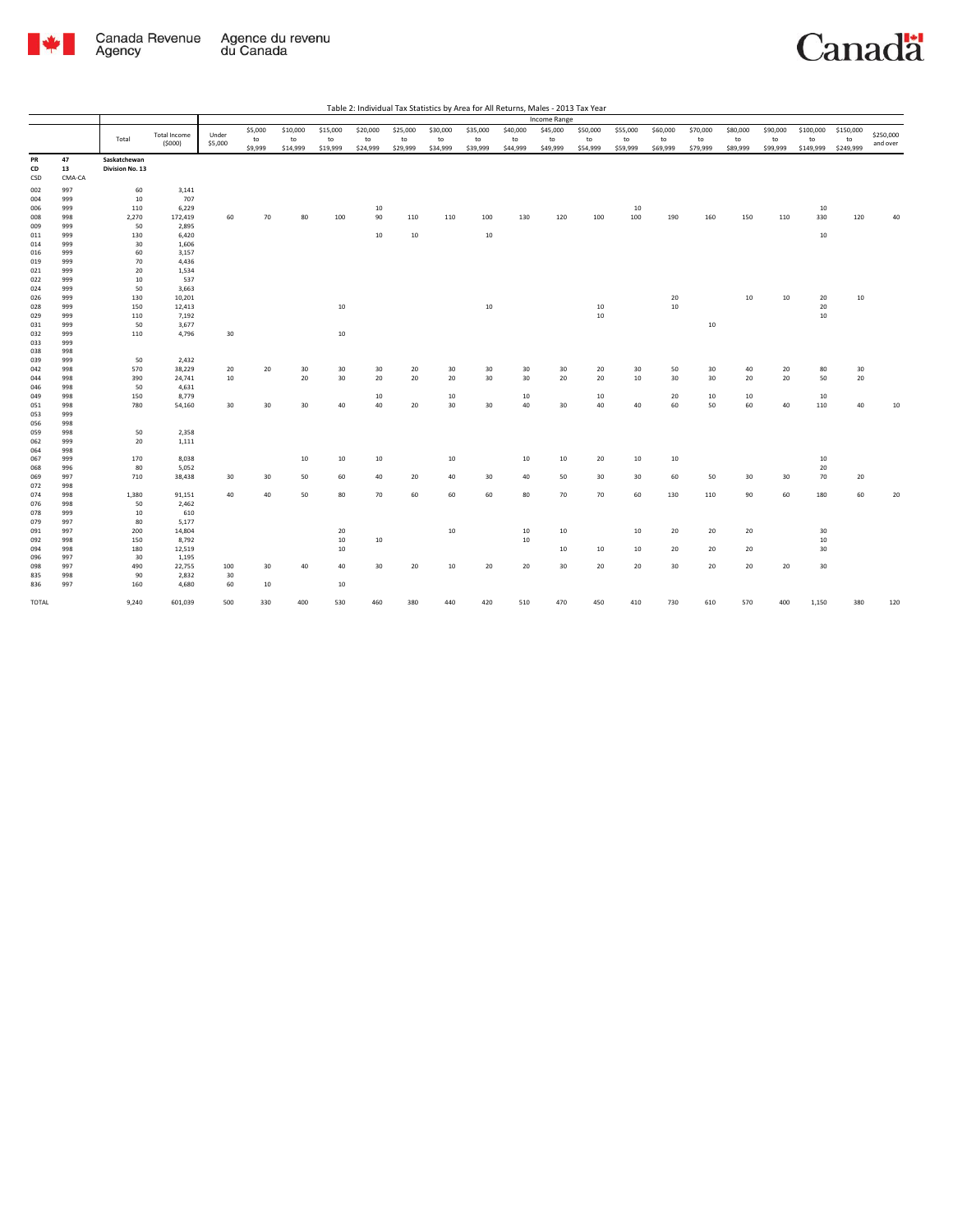

| Table 2: Individual Tax Statistics by Area for All Returns, Males - 2013 Tax Year |  |  |  |
|-----------------------------------------------------------------------------------|--|--|--|

|       |        |                 |                     |         |         |          |          |          |          |          |          |          | <b>Income Range</b> |          |          |          |          |          |          |           |           |           |
|-------|--------|-----------------|---------------------|---------|---------|----------|----------|----------|----------|----------|----------|----------|---------------------|----------|----------|----------|----------|----------|----------|-----------|-----------|-----------|
|       |        |                 |                     |         | \$5,000 | \$10,000 | \$15,000 | \$20,000 | \$25,000 | \$30,000 | \$35,000 | \$40,000 | \$45,000            | \$50,000 | \$55,000 | \$60,000 | \$70,000 | \$80,000 | \$90,000 | \$100,000 | \$150,000 |           |
|       |        | Total           | <b>Total Income</b> | Under   | to      | to       | to       | to       | to       | to       | to       | to       | to                  | to       | to       | to       | to       | to       | to       | to        | to        | \$250,000 |
|       |        |                 | (5000)              | \$5,000 | \$9,999 | \$14,999 | \$19,999 | \$24,999 | \$29,999 | \$34,999 | \$39,999 | \$44,999 | \$49,999            | \$54,999 | \$59,999 | \$69,999 | \$79,999 | \$89,999 | \$99,999 | \$149,999 | \$249,999 | and over  |
| PR    | 47     | Saskatchewan    |                     |         |         |          |          |          |          |          |          |          |                     |          |          |          |          |          |          |           |           |           |
| CD    | 13     | Division No. 13 |                     |         |         |          |          |          |          |          |          |          |                     |          |          |          |          |          |          |           |           |           |
| CSD   | CMA-CA |                 |                     |         |         |          |          |          |          |          |          |          |                     |          |          |          |          |          |          |           |           |           |
| 002   | 997    | 60              | 3,141               |         |         |          |          |          |          |          |          |          |                     |          |          |          |          |          |          |           |           |           |
| 004   | 999    | 10              | 707                 |         |         |          |          |          |          |          |          |          |                     |          |          |          |          |          |          |           |           |           |
| 006   | 999    | 110             | 6,229               |         |         |          |          | 10       |          |          |          |          |                     |          | 10       |          |          |          |          | 10        |           |           |
| 008   | 998    | 2,270           | 172,419             | 60      | 70      | 80       | 100      | 90       | 110      | 110      | 100      | 130      | 120                 | 100      | 100      | 190      | 160      | 150      | 110      | 330       | 120       | 40        |
| 009   | 999    | 50              | 2,895               |         |         |          |          |          |          |          |          |          |                     |          |          |          |          |          |          |           |           |           |
| 011   | 999    | 130             | 6,420               |         |         |          |          | 10       | 10       |          | 10       |          |                     |          |          |          |          |          |          | 10        |           |           |
| 014   | 999    | 30              | 1,606               |         |         |          |          |          |          |          |          |          |                     |          |          |          |          |          |          |           |           |           |
| 016   | 999    | 60              | 3,157               |         |         |          |          |          |          |          |          |          |                     |          |          |          |          |          |          |           |           |           |
| 019   | 999    | 70              | 4,436               |         |         |          |          |          |          |          |          |          |                     |          |          |          |          |          |          |           |           |           |
| 021   | 999    | 20              | 1,534               |         |         |          |          |          |          |          |          |          |                     |          |          |          |          |          |          |           |           |           |
| 022   | 999    | 10              | 537                 |         |         |          |          |          |          |          |          |          |                     |          |          |          |          |          |          |           |           |           |
| 024   | 999    | 50              | 3,663               |         |         |          |          |          |          |          |          |          |                     |          |          |          |          |          |          |           |           |           |
| 026   | 999    | 130             | 10,201              |         |         |          |          |          |          |          |          |          |                     |          |          | 20       |          | 10       | 10       | 20        | 10        |           |
| 028   | 999    | 150             | 12,413              |         |         |          | 10       |          |          |          | 10       |          |                     | 10       |          | 10       |          |          |          | 20        |           |           |
| 029   | 999    | 110             | 7,192               |         |         |          |          |          |          |          |          |          |                     | 10       |          |          |          |          |          | 10        |           |           |
| 031   | 999    | 50              | 3,677               |         |         |          |          |          |          |          |          |          |                     |          |          |          | 10       |          |          |           |           |           |
| 032   | 999    | 110             | 4,796               | 30      |         |          | 10       |          |          |          |          |          |                     |          |          |          |          |          |          |           |           |           |
| 033   | 999    |                 |                     |         |         |          |          |          |          |          |          |          |                     |          |          |          |          |          |          |           |           |           |
| 038   | 998    |                 |                     |         |         |          |          |          |          |          |          |          |                     |          |          |          |          |          |          |           |           |           |
| 039   | 999    | 50              | 2,432               |         |         |          |          |          |          |          |          |          |                     |          |          |          |          |          |          |           |           |           |
| 042   | 998    | 570             | 38,229              | 20      | 20      | 30       | 30       | 30       | 20       | 30       | 30       | 30       | 30                  | 20       | 30       | 50       | 30       | 40       | 20       | 80        | 30        |           |
| 044   | 998    | 390             | 24,741              | 10      |         | 20       | 30       | 20       | 20       | 20       | 30       | 30       | 20                  | 20       | 10       | 30       | 30       | 20       | 20       | 50        | 20        |           |
| 046   | 998    | 50              | 4,631               |         |         |          |          |          |          |          |          |          |                     |          |          |          |          |          |          |           |           |           |
| 049   | 998    | 150             | 8,779               |         |         |          |          | 10       |          | 10       |          | 10       |                     | 10       |          | 20       | 10       | 10       |          | 10        |           |           |
| 051   | 998    | 780             | 54,160              | 30      | 30      | 30       | 40       | 40       | 20       | 30       | 30       | 40       | 30                  | 40       | 40       | 60       | 50       | 60       | 40       | 110       | 40        | 10        |
| 053   | 999    |                 |                     |         |         |          |          |          |          |          |          |          |                     |          |          |          |          |          |          |           |           |           |
| 056   | 998    |                 |                     |         |         |          |          |          |          |          |          |          |                     |          |          |          |          |          |          |           |           |           |
| 059   | 998    | 50              | 2,358               |         |         |          |          |          |          |          |          |          |                     |          |          |          |          |          |          |           |           |           |
| 062   | 999    | 20              | 1,111               |         |         |          |          |          |          |          |          |          |                     |          |          |          |          |          |          |           |           |           |
| 064   | 998    |                 |                     |         |         |          |          |          |          |          |          |          |                     |          |          |          |          |          |          |           |           |           |
| 067   | 999    | 170             | 8,038               |         |         | 10       | 10       | 10       |          | 10       |          | 10       | 10                  | 20       | 10       | 10       |          |          |          | 10        |           |           |
| 068   | 996    | 80              | 5,052               |         |         |          |          |          |          |          |          |          |                     |          |          |          |          |          |          | 20        |           |           |
| 069   | 997    | 710             | 38,438              | 30      | 30      | 50       | 60       | 40       | 20       | 40       | 30       | 40       | 50                  | 30       | 30       | 60       | 50       | 30       | 30       | 70        | 20        |           |
| 072   | 998    |                 |                     |         |         |          |          |          |          |          |          |          |                     |          |          |          |          |          |          |           |           |           |
| 074   | 998    | 1,380           | 91,151              | 40      | 40      | 50       | 80       | 70       | 60       | 60       | 60       | 80       | 70                  | 70       | 60       | 130      | 110      | 90       | 60       | 180       | 60        | 20        |
| 076   | 998    | 50              | 2,462               |         |         |          |          |          |          |          |          |          |                     |          |          |          |          |          |          |           |           |           |
| 078   | 999    | 10              | 610                 |         |         |          |          |          |          |          |          |          |                     |          |          |          |          |          |          |           |           |           |
| 079   | 997    | 80              | 5,177               |         |         |          |          |          |          |          |          |          |                     |          |          |          |          |          |          |           |           |           |
| 091   | 997    | 200             | 14,804              |         |         |          | 20       |          |          | 10       |          | 10       | 10                  |          | 10       | 20       | 20       | 20       |          | 30        |           |           |
| 092   | 998    | 150             | 8,792               |         |         |          | 10       | $10\,$   |          |          |          | 10       |                     |          |          |          |          |          |          | 10        |           |           |
| 094   | 998    | 180             | 12,519              |         |         |          | 10       |          |          |          |          |          | 10                  | 10       | 10       | 20       | 20       | 20       |          | 30        |           |           |
| 096   | 997    | 30              | 1,195               |         |         |          |          |          |          |          |          |          |                     |          |          |          |          |          |          |           |           |           |
| 098   | 997    | 490             | 22,755              | 100     | 30      | 40       | 40       | 30       | 20       | 10       | 20       | 20       | 30                  | 20       | 20       | 30       | 20       | 20       | 20       | 30        |           |           |
| 835   | 998    | 90              | 2,832               | 30      |         |          |          |          |          |          |          |          |                     |          |          |          |          |          |          |           |           |           |
| 836   | 997    | 160             | 4,680               | 60      | 10      |          | 10       |          |          |          |          |          |                     |          |          |          |          |          |          |           |           |           |
|       |        |                 |                     |         |         |          |          |          |          |          |          |          |                     |          |          |          |          |          |          |           |           |           |
| TOTAL |        | 9,240           | 601,039             | 500     | 330     | 400      | 530      | 460      | 380      | 440      | 420      | 510      | 470                 | 450      | 410      | 730      | 610      | 570      | 400      | 1,150     | 380       | 120       |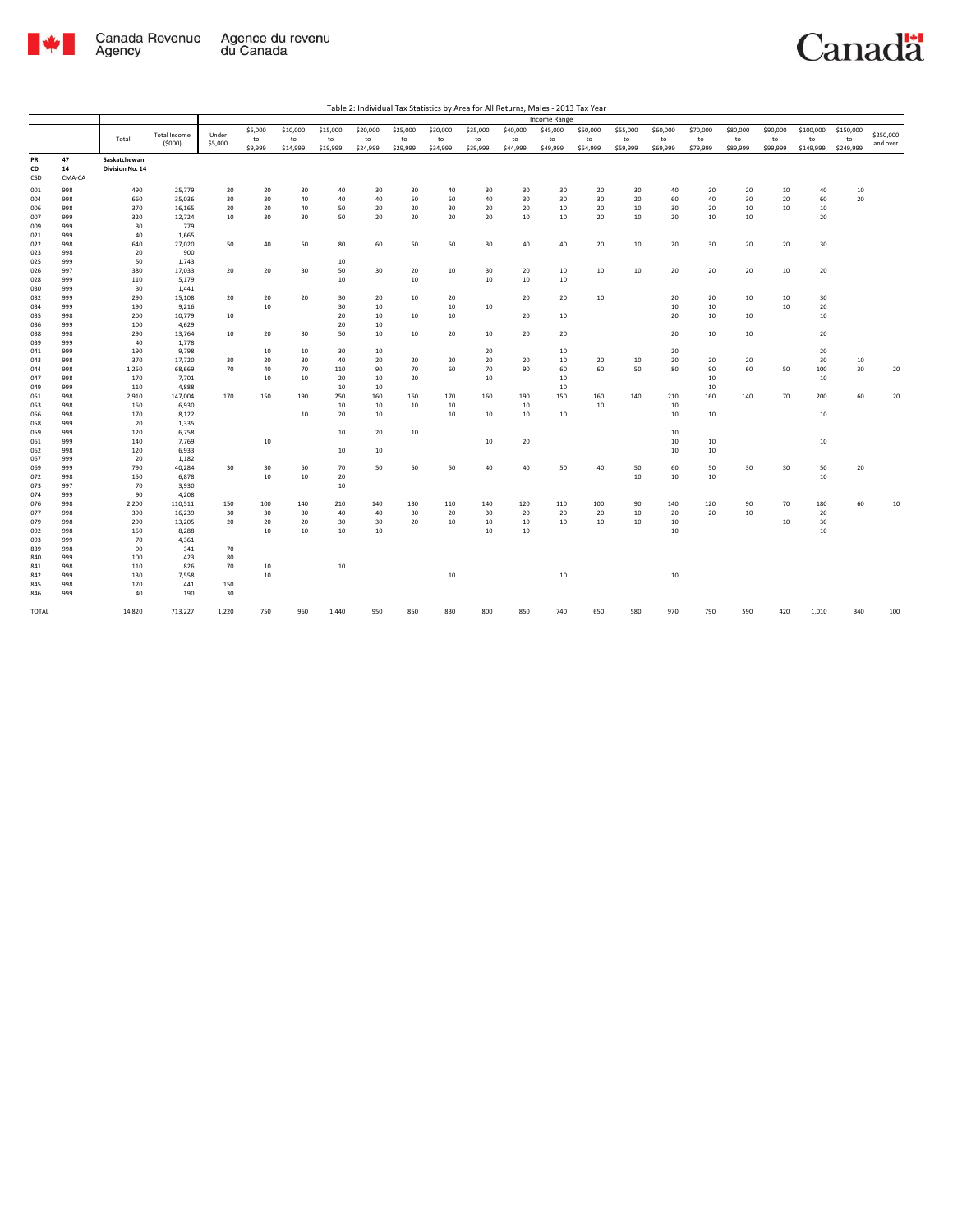

|                 |                    |                                 |                     |         |         |          |          |          |          |          |          |          | Income Range |          |          |          |          |          |          |           |           |           |
|-----------------|--------------------|---------------------------------|---------------------|---------|---------|----------|----------|----------|----------|----------|----------|----------|--------------|----------|----------|----------|----------|----------|----------|-----------|-----------|-----------|
|                 |                    |                                 | <b>Total Income</b> | Under   | \$5,000 | \$10,000 | \$15,000 | \$20,000 | \$25,000 | \$30,000 | \$35,000 | \$40,000 | \$45,000     | \$50,000 | \$55,000 | \$60,000 | \$70,000 | \$80,000 | \$90,000 | \$100,000 | \$150,000 | \$250,000 |
|                 |                    | Total                           | (5000)              | \$5,000 | to      | to       | to       | to       | to       | to       | to       | to       | to           | to       | to       | to       | to       | to       | to       | to        | to        | and over  |
|                 |                    |                                 |                     |         | \$9,999 | \$14,999 | \$19,999 | \$24,999 | \$29,999 | \$34,999 | \$39,999 | \$44,999 | \$49,999     | \$54,999 | \$59,999 | \$69,999 | \$79,999 | \$89,999 | \$99,999 | \$149,999 | \$249,999 |           |
| PR<br>CD<br>CSD | 47<br>14<br>CMA-CA | Saskatchewan<br>Division No. 14 |                     |         |         |          |          |          |          |          |          |          |              |          |          |          |          |          |          |           |           |           |
| 001             | 998                | 490                             | 25,779              | 20      | 20      | 30       | 40       | 30       | 30       | 40       | 30       | 30       | 30           | 20       | 30       | 40       | 20       | 20       | 10       | 40        | 10        |           |
| 004             | 998                | 660                             | 35,036              | 30      | 30      | 40       | 40       | 40       | 50       | 50       | 40       | 30       | 30           | 30       | 20       | 60       | 40       | 30       | 20       | 60        | 20        |           |
| 006             | 998                | 370                             | 16,165              | 20      | 20      | 40       | 50       | 20       | 20       | 30       | 20       | 20       | 10           | 20       | 10       | 30       | 20       | 10       | 10       | 10        |           |           |
| 007             | 999                | 320                             | 12,724              | 10      | 30      | 30       | 50       | 20       | 20       | 20       | 20       | 10       | 10           | 20       | 10       | 20       | 10       | 10       |          | 20        |           |           |
| 009             | 999                | 30                              | 779                 |         |         |          |          |          |          |          |          |          |              |          |          |          |          |          |          |           |           |           |
| 021             | 999                | 40                              | 1,665               |         |         |          |          |          |          |          |          |          |              |          |          |          |          |          |          |           |           |           |
| 022             | 998                | 640                             | 27,020              | 50      | 40      | 50       | 80       | 60       | 50       | 50       | 30       | 40       | 40           | 20       | 10       | 20       | 30       | 20       | 20       | 30        |           |           |
| 023             | 998                | 20                              | 900                 |         |         |          |          |          |          |          |          |          |              |          |          |          |          |          |          |           |           |           |
| 025             | 999                | 50                              | 1,743               |         |         |          | 10       |          |          |          |          |          |              |          |          |          |          |          |          |           |           |           |
| 026             | 997                | 380                             | 17,033              | 20      | 20      | 30       | 50       | 30       | 20       | 10       | 30       | 20       | 10           | 10       | 10       | 20       | 20       | 20       | 10       | 20        |           |           |
| 028<br>030      | 999<br>999         | 110<br>30                       | 5,179<br>1,441      |         |         |          | 10       |          | 10       |          | 10       | 10       | 10           |          |          |          |          |          |          |           |           |           |
| 032             | 999                | 290                             | 15,108              | 20      | 20      | 20       | 30       | 20       | 10       | 20       |          | 20       | 20           | 10       |          | 20       | 20       | 10       | 10       | 30        |           |           |
| 034             | 999                | 190                             | 9,216               |         | 10      |          | 30       | 10       |          | 10       | 10       |          |              |          |          | 10       | 10       |          | 10       | 20        |           |           |
| 035             | 998                | 200                             | 10,779              | 10      |         |          | 20       | 10       | 10       | 10       |          | 20       | 10           |          |          | 20       | 10       | 10       |          | 10        |           |           |
| 036             | 999                | 100                             | 4,629               |         |         |          | 20       | 10       |          |          |          |          |              |          |          |          |          |          |          |           |           |           |
| 038             | 998                | 290                             | 13,764              | 10      | 20      | 30       | 50       | 10       | 10       | 20       | 10       | 20       | 20           |          |          | 20       | 10       | 10       |          | 20        |           |           |
| 039             | 999                | 40                              | 1,778               |         |         |          |          |          |          |          |          |          |              |          |          |          |          |          |          |           |           |           |
| 041             | 999                | 190                             | 9,798               |         | 10      | 10       | 30       | 10       |          |          | 20       |          | 10           |          |          | 20       |          |          |          | 20        |           |           |
| 043             | 998                | 370                             | 17,720              | 30      | 20      | 30       | 40       | 20       | 20       | 20       | 20       | 20       | 10           | 20       | 10       | 20       | 20       | 20       |          | 30        | 10        |           |
| 044             | 998                | 1,250                           | 68,669              | 70      | 40      | 70       | 110      | 90       | 70       | 60       | 70       | 90       | 60           | 60       | 50       | 80       | 90       | 60       | 50       | 100       | 30        | 20        |
| 047             | 998                | 170                             | 7,701               |         | 10      | 10       | 20       | 10       | 20       |          | 10       |          | 10           |          |          |          | 10       |          |          | 10        |           |           |
| 049             | 999                | 110                             | 4,888               |         |         |          | 10       | 10       |          |          |          |          | 10           |          |          |          | 10       |          |          |           |           |           |
| 051             | 998                | 2,910                           | 147,004             | 170     | 150     | 190      | 250      | 160      | 160      | 170      | 160      | 190      | 150          | 160      | 140      | 210      | 160      | 140      | 70       | 200       | 60        | 20        |
| 053             | 998                | 150                             | 6,930               |         |         |          | 10       | 10       | 10       | 10       |          | 10       |              | 10       |          | 10       |          |          |          |           |           |           |
| 056             | 998                | 170                             | 8,122               |         |         | 10       | 20       | 10       |          | 10       | 10       | 10       | 10           |          |          | 10       | 10       |          |          | 10        |           |           |
| 058             | 999                | 20                              | 1,335               |         |         |          |          |          |          |          |          |          |              |          |          |          |          |          |          |           |           |           |
| 059             | 999                | 120                             | 6,758               |         |         |          | 10       | 20       | 10       |          |          |          |              |          |          | 10       |          |          |          |           |           |           |
| 061             | 999                | 140                             | 7,769               |         | 10      |          |          |          |          |          | 10       | 20       |              |          |          | 10       | 10       |          |          | 10        |           |           |
| 062             | 998                | 120                             | 6,933               |         |         |          | 10       | 10       |          |          |          |          |              |          |          | 10       | 10       |          |          |           |           |           |
| 067             | 999                | 20                              | 1,182               |         |         |          |          |          |          |          |          |          |              |          |          |          |          |          |          |           |           |           |
| 069             | 999                | 790                             | 40,284              | 30      | 30      | 50       | 70       | 50       | 50       | 50       | 40       | 40       | 50           | 40       | 50       | 60       | 50       | 30       | 30       | 50        | 20        |           |
| 072<br>073      | 998<br>997         | 150<br>70                       | 6,878<br>3,930      |         | 10      | 10       | 20<br>10 |          |          |          |          |          |              |          | 10       | 10       | 10       |          |          | 10        |           |           |
| 074             | 999                | 90                              | 4,208               |         |         |          |          |          |          |          |          |          |              |          |          |          |          |          |          |           |           |           |
| 076             | 998                | 2,200                           | 110,511             | 150     | 100     | 140      | 210      | 140      | 130      | 110      | 140      | 120      | 110          | 100      | 90       | 140      | 120      | 90       | 70       | 180       | 60        | 10        |
| 077             | 998                | 390                             | 16,239              | 30      | 30      | 30       | 40       | 40       | 30       | 20       | 30       | 20       | 20           | 20       | 10       | 20       | 20       | 10       |          | 20        |           |           |
| 079             | 998                | 290                             | 13,205              | 20      | 20      | 20       | 30       | 30       | 20       | 10       | 10       | 10       | 10           | 10       | 10       | 10       |          |          | 10       | $30\,$    |           |           |
| 092             | 998                | 150                             | 8,288               |         | 10      | 10       | 10       | 10       |          |          | 10       | 10       |              |          |          | 10       |          |          |          | 10        |           |           |
| 093             | 999                | 70                              | 4,361               |         |         |          |          |          |          |          |          |          |              |          |          |          |          |          |          |           |           |           |
| 839             | 998                | 90                              | 341                 | 70      |         |          |          |          |          |          |          |          |              |          |          |          |          |          |          |           |           |           |
| 840             | 999                | 100                             | 423                 | 80      |         |          |          |          |          |          |          |          |              |          |          |          |          |          |          |           |           |           |
| 841             | 998                | 110                             | 826                 | 70      | 10      |          | 10       |          |          |          |          |          |              |          |          |          |          |          |          |           |           |           |
| 842             | 999                | 130                             | 7,558               |         | 10      |          |          |          |          | $10\,$   |          |          | $10\,$       |          |          | $10\,$   |          |          |          |           |           |           |
| 845             | 998                | 170                             | 441                 | 150     |         |          |          |          |          |          |          |          |              |          |          |          |          |          |          |           |           |           |
| 846             | 999                | 40                              | 190                 | 30      |         |          |          |          |          |          |          |          |              |          |          |          |          |          |          |           |           |           |
| TOTAL           |                    | 14,820                          | 713,227             | 1,220   | 750     | 960      | 1,440    | 950      | 850      | 830      | 800      | 850      | 740          | 650      | 580      | 970      | 790      | 590      | 420      | 1,010     | 340       | 100       |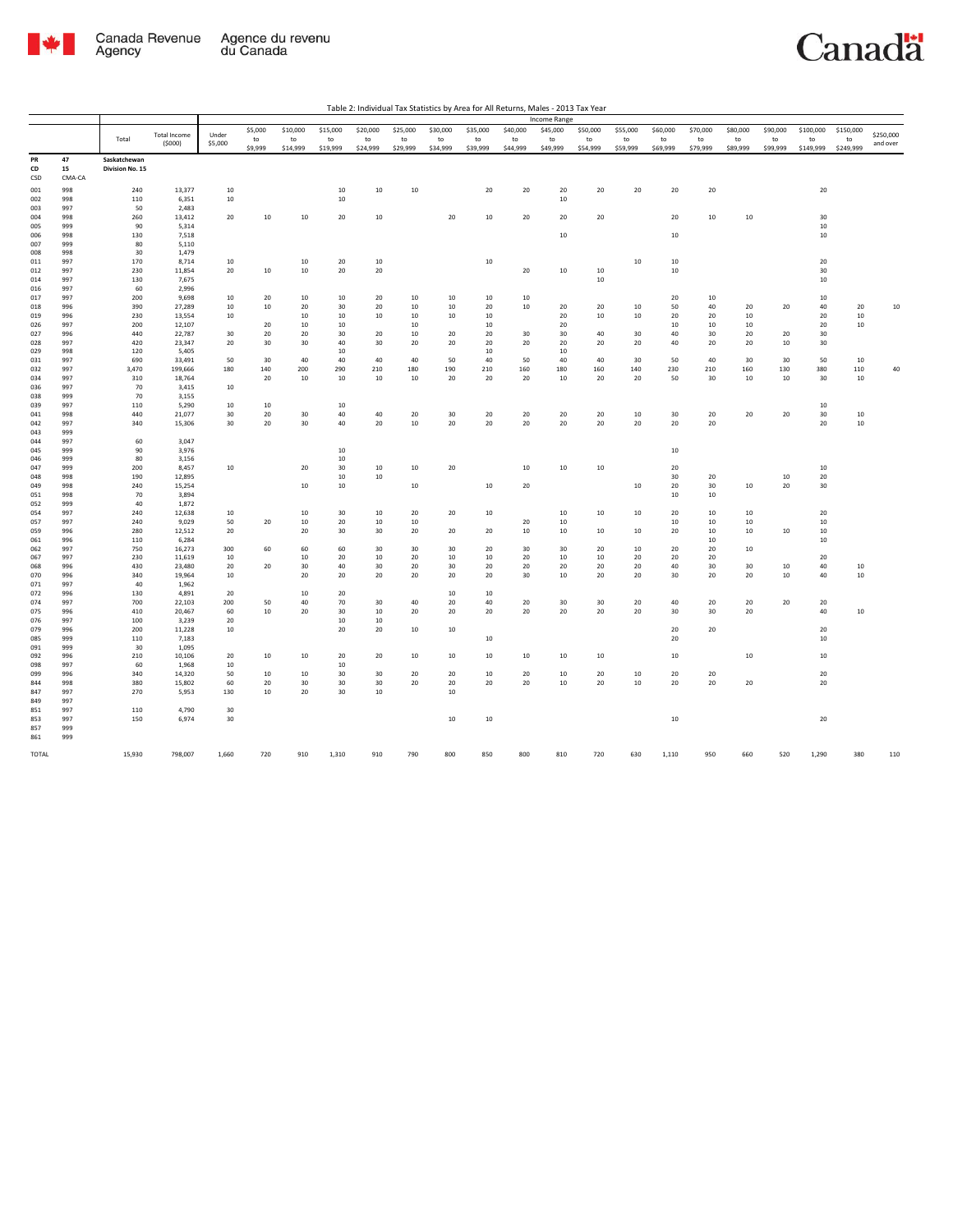

|            |            |                 |                     |          |         |              |          |          |          |          |          |          | <b>Income Range</b> |          |          |              |          |          |          |           |           |           |
|------------|------------|-----------------|---------------------|----------|---------|--------------|----------|----------|----------|----------|----------|----------|---------------------|----------|----------|--------------|----------|----------|----------|-----------|-----------|-----------|
|            |            |                 | <b>Total Income</b> | Under    | \$5,000 | \$10,000     | \$15,000 | \$20,000 | \$25,000 | \$30,000 | \$35,000 | \$40,000 | \$45,000            | \$50,000 | \$55,000 | \$60,000     | \$70,000 | \$80,000 | \$90,000 | \$100,000 | \$150,000 | \$250,000 |
|            |            | Total           | (5000)              | \$5,000  | to      | to           | to       | to       | to       | to       | to       | to       | to                  | to       | to       | to           | to       | to       | to       | to        | to        | and over  |
|            |            |                 |                     |          | \$9,999 | \$14,999     | \$19,999 | \$24,999 | \$29,999 | \$34,999 | \$39,999 | \$44,999 | \$49,999            | \$54,999 | \$59,999 | \$69,999     | \$79,999 | \$89,999 | \$99,999 | \$149,999 | \$249,999 |           |
| PR         | 47         | Saskatchewan    |                     |          |         |              |          |          |          |          |          |          |                     |          |          |              |          |          |          |           |           |           |
| CD         | 15         | Division No. 15 |                     |          |         |              |          |          |          |          |          |          |                     |          |          |              |          |          |          |           |           |           |
| CSD        | CMA-CA     |                 |                     |          |         |              |          |          |          |          |          |          |                     |          |          |              |          |          |          |           |           |           |
| 001        | 998        | 240             | 13,377              | 10       |         |              | 10       | 10       | 10       |          | 20       | 20       | 20                  | 20       | 20       | 20           | 20       |          |          | 20        |           |           |
| 002        | 998        | 110             | 6,351               | 10       |         |              | 10       |          |          |          |          |          | 10                  |          |          |              |          |          |          |           |           |           |
| 003        | 997        | 50              | 2,483               |          |         |              |          |          |          |          |          |          |                     |          |          |              |          |          |          |           |           |           |
| 004        | 998        | 260             | 13,412              | 20       | 10      | 10           | 20       | 10       |          | 20       | 10       | 20       | 20                  | 20       |          | 20           | 10       | $10\,$   |          | 30        |           |           |
| 005        | 999        | 90              | 5,314               |          |         |              |          |          |          |          |          |          |                     |          |          |              |          |          |          | 10        |           |           |
| 006        | 998        | 130             | 7,518               |          |         |              |          |          |          |          |          |          | $10\,$              |          |          | $10\,$       |          |          |          | 10        |           |           |
| 007        | 999        | 80              | 5,110               |          |         |              |          |          |          |          |          |          |                     |          |          |              |          |          |          |           |           |           |
| 008<br>011 | 998<br>997 | 30<br>170       | 1,479               | 10       |         | 10           | 20       | 10       |          |          | 10       |          |                     |          | 10       |              |          |          |          | 20        |           |           |
| 012        | 997        | 230             | 8,714<br>11,854     | 20       | 10      | $10\,$       | 20       | 20       |          |          |          | 20       | $10\,$              | 10       |          | 10<br>$10\,$ |          |          |          | 30        |           |           |
| 014        | 997        | 130             | 7,675               |          |         |              |          |          |          |          |          |          |                     | 10       |          |              |          |          |          | 10        |           |           |
| 016        | 997        | 60              | 2,996               |          |         |              |          |          |          |          |          |          |                     |          |          |              |          |          |          |           |           |           |
| 017        | 997        | 200             | 9,698               | 10       | 20      | 10           | 10       | 20       | 10       | 10       | 10       | 10       |                     |          |          | 20           | 10       |          |          | 10        |           |           |
| 018        | 996        | 390             | 27,289              | 10       | 10      | 20           | 30       | 20       | 10       | 10       | 20       | 10       | 20                  | 20       | 10       | 50           | 40       | 20       | 20       | 40        | 20        | $10\,$    |
| 019        | 996        | 230             | 13,554              | 10       |         | 10           | 10       | 10       | 10       | 10       | 10       |          | 20                  | 10       | 10       | 20           | 20       | 10       |          | 20        | 10        |           |
| 026        | 997        | 200             | 12,107              |          | 20      | 10           | 10       |          | 10       |          | 10       |          | 20                  |          |          | 10           | 10       | 10       |          | 20        | $10\,$    |           |
| 027        | 996        | 440             | 22,787              | 30       | 20      | 20           | 30       | 20       | 10       | 20       | 20       | 30       | 30                  | 40       | 30       | 40           | 30       | 20       | 20       | 30        |           |           |
| 028        | 997        | 420             | 23,347              | 20       | 30      | 30           | 40       | 30       | 20       | 20       | 20       | 20       | 20                  | 20       | 20       | 40           | 20       | 20       | 10       | 30        |           |           |
| 029        | 998        | 120             | 5,405               |          |         |              | 10       |          |          |          | 10       |          | 10                  |          |          |              |          |          |          |           |           |           |
| 031        | 997        | 690             | 33,491              | 50       | 30      | 40           | 40       | 40       | 40       | 50       | 40       | 50       | 40                  | 40       | 30       | 50           | 40       | 30       | 30       | 50        | 10        |           |
| 032        | 997        | 3,470           | 199,666             | 180      | 140     | 200          | 290      | 210      | 180      | 190      | 210      | 160      | 180                 | 160      | 140      | 230          | 210      | 160      | 130      | 380       | 110       | 40        |
| 034        | 997        | 310             | 18,764              |          | 20      | $10\,$       | 10       | 10       | $10\,$   | 20       | 20       | 20       | $10\,$              | 20       | 20       | 50           | 30       | $10\,$   | 10       | 30        | 10        |           |
| 036        | 997        | 70<br>70        | 3,415               | 10       |         |              |          |          |          |          |          |          |                     |          |          |              |          |          |          |           |           |           |
| 038<br>039 | 999<br>997 | 110             | 3,155<br>5,290      | 10       | 10      |              | 10       |          |          |          |          |          |                     |          |          |              |          |          |          | 10        |           |           |
| 041        | 998        | 440             | 21,077              | 30       | 20      | 30           | 40       | 40       | 20       | 30       | 20       | 20       | 20                  | 20       | 10       | 30           | 20       | 20       | 20       | 30        | $10\,$    |           |
| 042        | 997        | 340             | 15,306              | 30       | 20      | 30           | 40       | 20       | $10\,$   | 20       | 20       | 20       | 20                  | $20\,$   | 20       | 20           | 20       |          |          | $20\,$    | $10\,$    |           |
| 043        | 999        |                 |                     |          |         |              |          |          |          |          |          |          |                     |          |          |              |          |          |          |           |           |           |
| 044        | 997        | 60              | 3,047               |          |         |              |          |          |          |          |          |          |                     |          |          |              |          |          |          |           |           |           |
| 045        | 999        | 90              | 3,976               |          |         |              | 10       |          |          |          |          |          |                     |          |          | 10           |          |          |          |           |           |           |
| 046        | 999        | 80              | 3,156               |          |         |              | 10       |          |          |          |          |          |                     |          |          |              |          |          |          |           |           |           |
| 047        | 999        | 200             | 8,457               | 10       |         | 20           | 30       | 10       | 10       | 20       |          | $10\,$   | 10                  | 10       |          | 20           |          |          |          | 10        |           |           |
| 048        | 998        | 190             | 12,895              |          |         |              | 10       | 10       |          |          |          |          |                     |          |          | 30           | 20       |          | 10       | 20        |           |           |
| 049        | 998        | 240             | 15,254              |          |         | 10           | 10       |          | 10       |          | 10       | 20       |                     |          | 10       | 20           | 30       | 10       | 20       | 30        |           |           |
| 051        | 998        | 70              | 3,894               |          |         |              |          |          |          |          |          |          |                     |          |          | 10           | 10       |          |          |           |           |           |
| 052        | 999        | 40              | 1,872               |          |         |              |          |          |          |          |          |          |                     |          |          |              |          |          |          |           |           |           |
| 054        | 997        | 240             | 12,638              | 10       |         | 10           | 30       | 10       | 20       | 20       | 10       |          | 10                  | 10       | 10       | 20           | 10       | 10       |          | 20        |           |           |
| 057<br>059 | 997<br>996 | 240<br>280      | 9,029               | 50<br>20 | 20      | $10\,$<br>20 | 20<br>30 | 10<br>30 | 10<br>20 | 20       | 20       | 20<br>10 | 10<br>10            | 10       | 10       | 10<br>20     | 10<br>10 | 10<br>10 | 10       | 10<br>10  |           |           |
| 061        | 996        | 110             | 12,512<br>6,284     |          |         |              |          |          |          |          |          |          |                     |          |          |              | 10       |          |          | 10        |           |           |
| 062        | 997        | 750             | 16,273              | 300      | 60      | 60           | 60       | 30       | 30       | 30       | 20       | 30       | 30                  | 20       | 10       | 20           | 20       | 10       |          |           |           |           |
| 067        | 997        | 230             | 11,619              | 10       |         | 10           | 20       | 10       | 20       | 10       | 10       | 20       | 10                  | 10       | 20       | 20           | 20       |          |          | 20        |           |           |
| 068        | 996        | 430             | 23,480              | 20       | 20      | 30           | 40       | 30       | 20       | 30       | 20       | 20       | 20                  | 20       | 20       | 40           | 30       | 30       | 10       | 40        | 10        |           |
| 070        | 996        | 340             | 19,964              | 10       |         | $20\,$       | 20       | 20       | 20       | 20       | 20       | 30       | $10\,$              | 20       | 20       | 30           | 20       | 20       | 10       | 40        | $10\,$    |           |
| 071        | 997        | 40              | 1,962               |          |         |              |          |          |          |          |          |          |                     |          |          |              |          |          |          |           |           |           |
| 072        | 996        | 130             | 4,891               | 20       |         | 10           | 20       |          |          | 10       | 10       |          |                     |          |          |              |          |          |          |           |           |           |
| 074        | 997        | 700             | 22,103              | 200      | 50      | 40           | 70       | 30       | 40       | 20       | 40       | 20       | 30                  | 30       | 20       | 40           | 20       | 20       | 20       | 20        |           |           |
| 075        | 996        | 410             | 20,467              | 60       | 10      | 20           | 30       | 10       | 20       | 20       | 20       | 20       | 20                  | 20       | 20       | 30           | 30       | 20       |          | 40        | 10        |           |
| 076        | 997        | 100             | 3,239               | 20       |         |              | 10       | 10       |          |          |          |          |                     |          |          |              |          |          |          |           |           |           |
| 079        | 996        | 200             | 11,228              | 10       |         |              | 20       | 20       | 10       | 10       |          |          |                     |          |          | 20           | 20       |          |          | 20<br>10  |           |           |
| 085        | 999<br>999 | 110<br>30       | 7,183<br>1,095      |          |         |              |          |          |          |          | 10       |          |                     |          |          | 20           |          |          |          |           |           |           |
| 091<br>092 | 996        | 210             | 10,106              | 20       | 10      | 10           | 20       | 20       | 10       | 10       | 10       | 10       | 10                  | 10       |          | 10           |          | $10\,$   |          | 10        |           |           |
| 098        | 997        | 60              | 1,968               | 10       |         |              | 10       |          |          |          |          |          |                     |          |          |              |          |          |          |           |           |           |
| 099        | 996        | 340             | 14,320              | 50       | 10      | 10           | 30       | 30       | 20       | 20       | 10       | 20       | 10                  | 20       | 10       | 20           | 20       |          |          | 20        |           |           |
| 844        | 998        | 380             | 15,802              | 60       | 20      | 30           | 30       | 30       | 20       | 20       | 20       | 20       | $10\,$              | 20       | 10       | 20           | 20       | 20       |          | 20        |           |           |
| 847        | 997        | 270             | 5,953               | 130      | 10      | 20           | 30       | 10       |          | 10       |          |          |                     |          |          |              |          |          |          |           |           |           |
| 849        | 997        |                 |                     |          |         |              |          |          |          |          |          |          |                     |          |          |              |          |          |          |           |           |           |
| 851        | 997        | 110             | 4,790               | 30       |         |              |          |          |          |          |          |          |                     |          |          |              |          |          |          |           |           |           |
| 853        | 997        | 150             | 6,974               | 30       |         |              |          |          |          | $10\,$   | 10       |          |                     |          |          | $10\,$       |          |          |          | 20        |           |           |
| 857        | 999        |                 |                     |          |         |              |          |          |          |          |          |          |                     |          |          |              |          |          |          |           |           |           |
| 861        | 999        |                 |                     |          |         |              |          |          |          |          |          |          |                     |          |          |              |          |          |          |           |           |           |
|            |            |                 |                     |          |         |              |          |          |          |          |          |          |                     |          |          |              |          |          |          |           |           |           |
| TOTAL      |            | 15,930          | 798,007             | 1,660    | 720     | 910          | 1,310    | 910      | 790      | 800      | 850      | 800      | 810                 | 720      | 630      | 1,110        | 950      | 660      | 520      | 1,290     | 380       | 110       |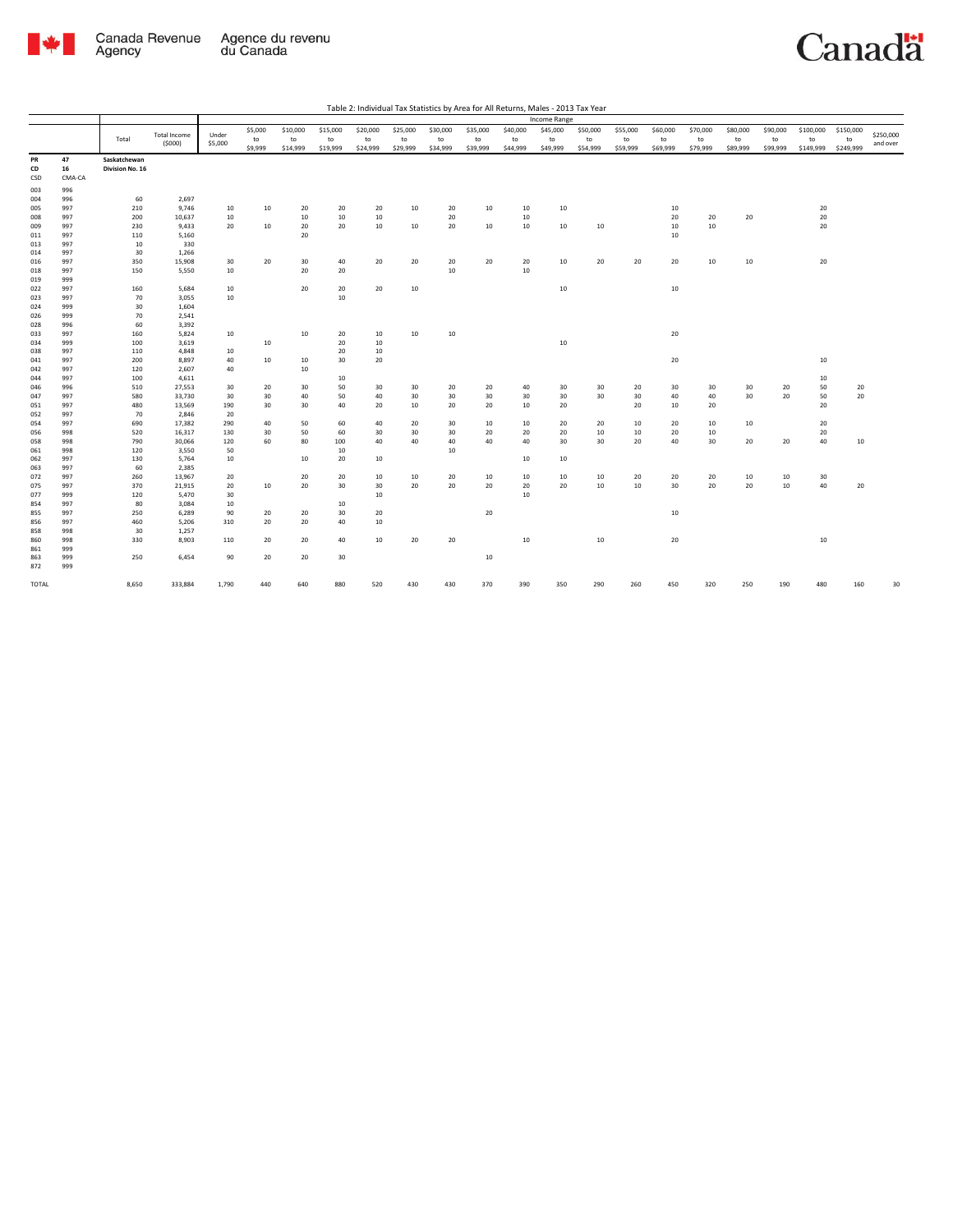

| Table 2: Individual Tax Statistics by Area for All Returns, Males - 2013 Tax Year |  |
|-----------------------------------------------------------------------------------|--|

|       |        |                 |                     |         |         |          |          |          |          |          |          |          | Income Range |                  |          |          |          |          |          |                  |           |           |
|-------|--------|-----------------|---------------------|---------|---------|----------|----------|----------|----------|----------|----------|----------|--------------|------------------|----------|----------|----------|----------|----------|------------------|-----------|-----------|
|       |        |                 |                     |         | \$5,000 | \$10,000 | \$15,000 | \$20,000 | \$25,000 | \$30,000 | \$35,000 | \$40,000 | \$45,000     | \$50,000         | \$55,000 | \$60,000 | \$70,000 | \$80,000 | \$90,000 | \$100,000        | \$150,000 |           |
|       |        | Total           | <b>Total Income</b> | Under   | to      | to       | to       | to       | to       | to       | to       | to       | to           | to               | to       | to       | to       | to       | to       | to               | to        | \$250,000 |
|       |        |                 | (5000)              | \$5,000 | \$9,999 | \$14,999 | \$19,999 | \$24,999 | \$29,999 | \$34,999 | \$39,999 | \$44,999 | \$49,999     | \$54,999         | \$59,999 | \$69,999 | \$79,999 | \$89,999 | \$99,999 | \$149,999        | \$249,999 | and over  |
| PR    | 47     | Saskatchewan    |                     |         |         |          |          |          |          |          |          |          |              |                  |          |          |          |          |          |                  |           |           |
| CD    | 16     | Division No. 16 |                     |         |         |          |          |          |          |          |          |          |              |                  |          |          |          |          |          |                  |           |           |
| CSD   | CMA-CA |                 |                     |         |         |          |          |          |          |          |          |          |              |                  |          |          |          |          |          |                  |           |           |
| 003   | 996    |                 |                     |         |         |          |          |          |          |          |          |          |              |                  |          |          |          |          |          |                  |           |           |
| 004   | 996    | 60              | 2,697               |         |         |          |          |          |          |          |          |          |              |                  |          |          |          |          |          |                  |           |           |
| 005   | 997    | 210             | 9,746               | 10      | 10      | 20       | 20       | 20       | 10       | 20       | 10       | 10       | 10           |                  |          | 10       |          |          |          | 20               |           |           |
| 008   | 997    | 200             | 10,637              | 10      |         | 10       | 10       | 10       |          | 20       |          | 10       |              |                  |          | 20       | 20       | 20       |          | 20               |           |           |
| 009   | 997    | 230             | 9,433               | 20      | 10      | 20       | 20       | 10       | 10       | 20       | 10       | 10       | 10           | 10               |          | 10       | 10       |          |          | 20               |           |           |
| 011   | 997    | 110             | 5,160               |         |         | 20       |          |          |          |          |          |          |              |                  |          | 10       |          |          |          |                  |           |           |
| 013   | 997    | 10              | 330                 |         |         |          |          |          |          |          |          |          |              |                  |          |          |          |          |          |                  |           |           |
| 014   | 997    | 30              | 1,266               |         |         |          |          |          |          |          |          |          |              |                  |          |          |          |          |          |                  |           |           |
| 016   | 997    | 350             | 15,908              | 30      | 20      | 30       | 40       | 20       | 20       | 20       | 20       | 20       | 10           | 20               | 20       | 20       | 10       | 10       |          | 20               |           |           |
| 018   | 997    | 150             | 5,550               | 10      |         | 20       | 20       |          |          | 10       |          | 10       |              |                  |          |          |          |          |          |                  |           |           |
| 019   | 999    |                 |                     |         |         |          |          |          |          |          |          |          |              |                  |          |          |          |          |          |                  |           |           |
| 022   | 997    | 160             | 5,684               | 10      |         | 20       | 20       | 20       | 10       |          |          |          | 10           |                  |          | 10       |          |          |          |                  |           |           |
| 023   | 997    | 70              | 3,055               | 10      |         |          | 10       |          |          |          |          |          |              |                  |          |          |          |          |          |                  |           |           |
| 024   | 999    | 30              | 1,604               |         |         |          |          |          |          |          |          |          |              |                  |          |          |          |          |          |                  |           |           |
| 026   | 999    | 70              | 2,541               |         |         |          |          |          |          |          |          |          |              |                  |          |          |          |          |          |                  |           |           |
| 028   | 996    | 60              | 3,392               |         |         |          |          |          |          |          |          |          |              |                  |          |          |          |          |          |                  |           |           |
| 033   | 997    | 160             | 5,824               | 10      |         | 10       | 20       | 10       | 10       | 10       |          |          |              |                  |          | 20       |          |          |          |                  |           |           |
| 034   | 999    | 100             | 3,619               |         | 10      |          | 20       | 10       |          |          |          |          | 10           |                  |          |          |          |          |          |                  |           |           |
| 038   | 997    | 110             | 4,848               | 10      |         |          | 20       | 10       |          |          |          |          |              |                  |          |          |          |          |          |                  |           |           |
| 041   | 997    | 200             | 8,897               | 40      | 10      | 10       | 30       | 20       |          |          |          |          |              |                  |          | 20       |          |          |          | 10 <sup>10</sup> |           |           |
| 042   | 997    | 120             | 2,607               | 40      |         | 10       |          |          |          |          |          |          |              |                  |          |          |          |          |          |                  |           |           |
| 044   | 997    | 100             | 4,611               |         |         |          | 10       |          |          |          |          |          |              |                  |          |          |          |          |          | 10               |           |           |
| 046   | 996    | 510             | 27,553              | 30      | 20      | 30       | 50       | 30       | 30       | 20       | 20       | 40       | 30           | 30               | 20       | 30       | 30       | 30       | 20       | 50               | 20        |           |
| 047   | 997    | 580             | 33,730              | 30      | 30      | 40       | 50       | 40       | 30       | 30       | 30       | 30       | 30           | 30               | 30       | 40       | 40       | 30       | 20       | 50               | 20        |           |
| 051   | 997    | 480             | 13,569              | 190     | 30      | 30       | 40       | 20       | 10       | 20       | 20       | 10       | 20           |                  | 20       | 10       | 20       |          |          | 20               |           |           |
| 052   | 997    | 70              | 2,846               | 20      |         |          |          |          |          |          |          |          |              |                  |          |          |          |          |          |                  |           |           |
| 054   | 997    | 690             | 17,382              | 290     | 40      | 50       | 60       | 40       | 20       | 30       | 10       | 10       | 20           | 20               | 10       | 20       | 10       | 10       |          | 20               |           |           |
| 056   | 998    | 520             | 16,317              | 130     | 30      | 50       | 60       | 30       | 30       | 30       | 20       | 20       | 20           | 10               | 10       | 20       | 10       |          |          | 20               |           |           |
| 058   | 998    | 790             | 30,066              | 120     | 60      | 80       | 100      | 40       | 40       | 40       | 40       | 40       | 30           | 30               | 20       | 40       | 30       | 20       | 20       | 40               | 10        |           |
| 061   | 998    | 120             | 3,550               | 50      |         |          | 10       |          |          | 10       |          |          |              |                  |          |          |          |          |          |                  |           |           |
| 062   | 997    | 130             | 5,764               | 10      |         | 10       | 20       | 10       |          |          |          | 10       | 10           |                  |          |          |          |          |          |                  |           |           |
| 063   | 997    | 60              | 2,385               |         |         |          |          |          |          |          |          |          |              |                  |          |          |          |          |          |                  |           |           |
| 072   | 997    | 260             | 13,967              | 20      |         | 20       | 20       | 10       | 10       | 20       | 10       | 10       | 10           | 10               | 20       | 20       | 20       | 10       | 10       | 30               |           |           |
| 075   | 997    | 370             | 21,915              | 20      | 10      | 20       | 30       | 30       | 20       | 20       | 20       | 20       | 20           | 10 <sup>10</sup> | 10       | 30       | 20       | 20       | 10       | 40               | 20        |           |
| 077   | 999    | 120             | 5,470               | 30      |         |          |          | 10       |          |          |          | 10       |              |                  |          |          |          |          |          |                  |           |           |
| 854   | 997    | 80              | 3,084               | 10      |         |          | 10       |          |          |          |          |          |              |                  |          |          |          |          |          |                  |           |           |
| 855   | 997    | 250             | 6,289               | 90      | 20      | 20       | 30       | 20       |          |          | 20       |          |              |                  |          | 10       |          |          |          |                  |           |           |
| 856   | 997    | 460             | 5,206               | 310     | 20      | 20       | 40       | 10       |          |          |          |          |              |                  |          |          |          |          |          |                  |           |           |
| 858   | 998    | 30              | 1,257               |         |         |          |          |          |          |          |          |          |              |                  |          |          |          |          |          |                  |           |           |
| 860   | 998    | 330             | 8,903               | 110     | 20      | 20       | 40       | 10       | 20       | 20       |          | 10       |              | 10               |          | 20       |          |          |          | 10               |           |           |
| 861   | 999    |                 |                     |         |         |          |          |          |          |          |          |          |              |                  |          |          |          |          |          |                  |           |           |
| 863   | 999    | 250             | 6,454               | 90      | 20      | 20       | 30       |          |          |          | 10       |          |              |                  |          |          |          |          |          |                  |           |           |
| 872   | 999    |                 |                     |         |         |          |          |          |          |          |          |          |              |                  |          |          |          |          |          |                  |           |           |
| TOTAL |        | 8,650           | 333,884             | 1,790   | 440     | 640      | 880      | 520      | 430      | 430      | 370      | 390      | 350          | 290              | 260      | 450      | 320      | 250      | 190      | 480              | 160       | 30        |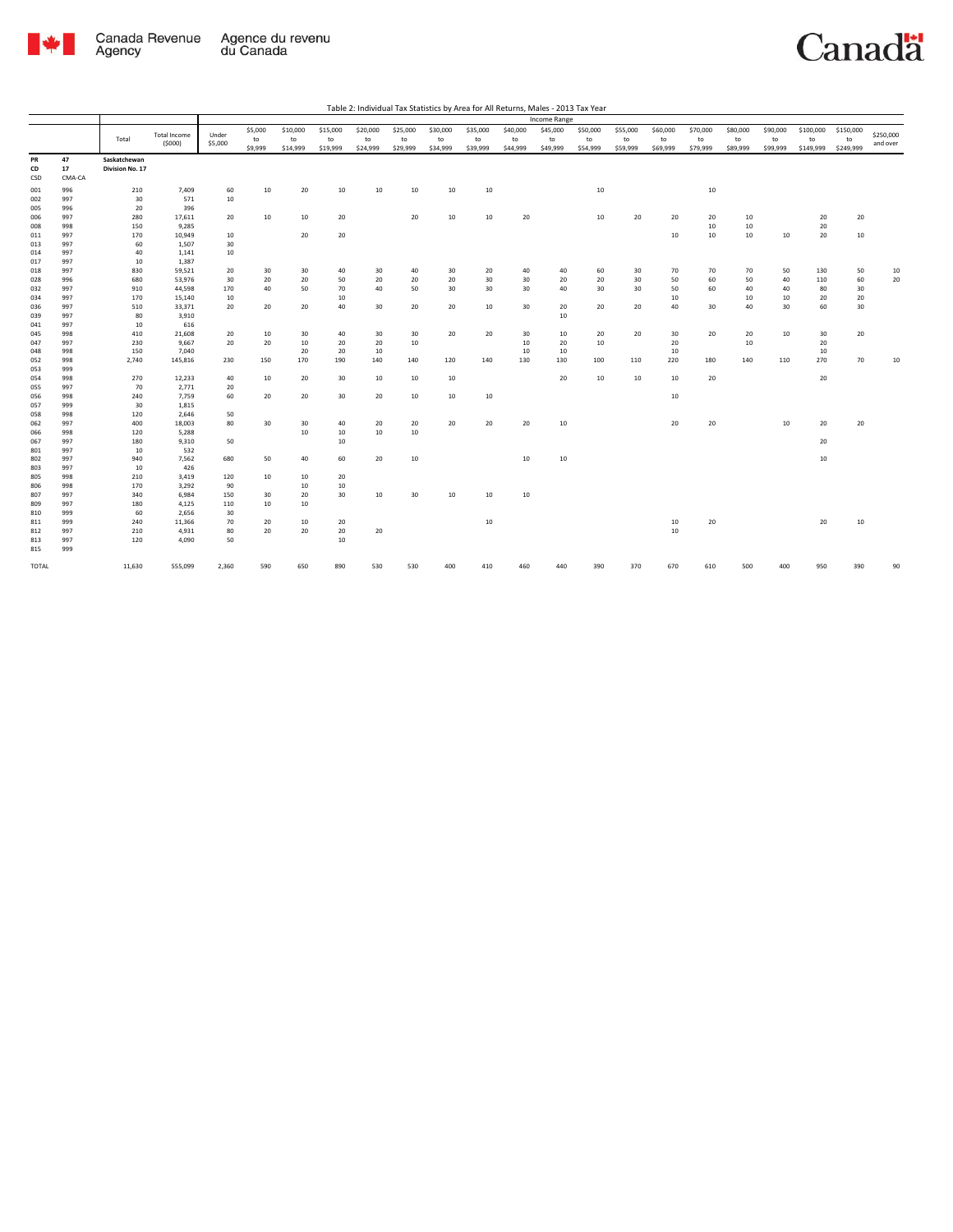

|              |        |                 |              |           |         |          |          |          |          |          |          |          | Income Range |          |          |          |          |          |          |           |           |                       |
|--------------|--------|-----------------|--------------|-----------|---------|----------|----------|----------|----------|----------|----------|----------|--------------|----------|----------|----------|----------|----------|----------|-----------|-----------|-----------------------|
|              |        |                 | Total Income | Under     | \$5,000 | \$10,000 | \$15,000 | \$20,000 | \$25,000 | \$30,000 | \$35,000 | \$40,000 | \$45,000     | \$50,000 | \$55,000 | \$60,000 | \$70,000 | \$80,000 | \$90,000 | \$100,000 | \$150,000 |                       |
|              |        | Total           | (5000)       | \$5,000   | to      | to       | to       | to       | to       | to       | to       | to       | to           | to       | to       | to       | to       | to       | to       | to        | to        | \$250,000<br>and over |
|              |        |                 |              |           | \$9,999 | \$14,999 | \$19,999 | \$24,999 | \$29,999 | \$34,999 | \$39,999 | \$44,999 | \$49,999     | \$54,999 | \$59,999 | \$69,999 | \$79,999 | \$89,999 | \$99,999 | \$149,999 | \$249,999 |                       |
| PR           | 47     | Saskatchewan    |              |           |         |          |          |          |          |          |          |          |              |          |          |          |          |          |          |           |           |                       |
| CD           | 17     | Division No. 17 |              |           |         |          |          |          |          |          |          |          |              |          |          |          |          |          |          |           |           |                       |
| CSD          | CMA-CA |                 |              |           |         |          |          |          |          |          |          |          |              |          |          |          |          |          |          |           |           |                       |
| 001          | 996    | 210             | 7,409        | 60        | 10      | 20       | 10       | 10       | 10       | 10       | 10       |          |              | 10       |          |          | 10       |          |          |           |           |                       |
| 002          | 997    | 30              | 571          | 10        |         |          |          |          |          |          |          |          |              |          |          |          |          |          |          |           |           |                       |
| 005          | 996    | 20              | 396          |           |         |          |          |          |          |          |          |          |              |          |          |          |          |          |          |           |           |                       |
| 006          | 997    | 280             | 17,611       | 20        | 10      | 10       | 20       |          | 20       | 10       | $10\,$   | 20       |              | 10       | 20       | 20       | 20       | 10       |          | 20        | 20        |                       |
| 008          | 998    | 150             | 9,285        |           |         |          |          |          |          |          |          |          |              |          |          |          | 10       | 10       |          | 20        |           |                       |
| 011          | 997    | 170             | 10,949       | 10        |         | 20       | 20       |          |          |          |          |          |              |          |          | 10       | 10       | 10       | $10\,$   | 20        | $10\,$    |                       |
| 013          | 997    | 60              | 1,507        | 30        |         |          |          |          |          |          |          |          |              |          |          |          |          |          |          |           |           |                       |
| 014          | 997    | 40              | 1,141        | 10        |         |          |          |          |          |          |          |          |              |          |          |          |          |          |          |           |           |                       |
| 017          | 997    | 10              | 1,387        |           |         |          |          |          |          |          |          |          |              |          |          |          |          |          |          |           |           |                       |
| 018          | 997    | 830             | 59,521       | 20        | 30      | 30       | 40       | 30       | 40       | 30       | 20       | 40       | 40           | 60       | 30       | 70       | 70       | 70       | 50       | 130       | 50        | 10                    |
| 028          | 996    | 680             | 53,976       | 30        | 20      | 20       | 50       | 20       | 20       | 20       | 30       | 30       | 20           | 20       | 30       | 50       | 60       | 50       | 40       | 110       | 60        | $20\,$                |
| 032          | 997    | 910             | 44,598       | 170       | 40      | 50       | 70       | 40       | 50       | 30       | 30       | 30       | 40           | 30       | 30       | 50       | 60       | 40       | 40       | 80        | 30        |                       |
| 034          | 997    | 170             | 15,140       | 10        |         |          | 10       |          |          |          |          |          |              |          |          | 10       |          | 10       | 10       | 20        | 20        |                       |
| 036          | 997    | 510             | 33,371       | 20        | 20      | 20       | 40       | 30       | 20       | 20       | 10       | 30       | 20           | 20       | 20       | 40       | 30       | 40       | 30       | 60        | 30        |                       |
| 039          | 997    | 80              | 3,910        |           |         |          |          |          |          |          |          |          | 10           |          |          |          |          |          |          |           |           |                       |
| 041          | 997    | 10              | 616          |           |         |          |          |          |          |          |          |          |              |          |          |          |          |          |          |           |           |                       |
| 045          | 998    | 410             | 21,608       | 20        | 10      | 30       | 40       | 30       | 30       | 20       | 20       | 30       | 10           | 20       | 20       | 30       | 20       | 20       | 10       | 30        | 20        |                       |
| 047          | 997    | 230             | 9,667        | 20        | 20      | 10       | 20       | 20       | 10       |          |          | 10       | 20           | 10       |          | 20       |          | 10       |          | 20        |           |                       |
| 048          | 998    | 150             | 7,040        |           |         | 20       | 20       | 10       |          |          |          | 10       | 10           |          |          | 10       |          |          |          | 10        |           |                       |
| 052          | 998    | 2,740           | 145,816      | 230       | 150     | 170      | 190      | 140      | 140      | 120      | 140      | 130      | 130          | 100      | 110      | 220      | 180      | 140      | 110      | 270       | 70        | 10                    |
| 053          | 999    |                 |              |           |         |          |          |          |          |          |          |          |              |          |          |          |          |          |          |           |           |                       |
| 054          | 998    | 270             | 12,233       | 40        | 10      | 20       | 30       | 10       | 10       | 10       |          |          | 20           | 10       | 10       | 10       | 20       |          |          | 20        |           |                       |
| 055          | 997    | 70              | 2,771        | 20        |         |          |          |          |          |          |          |          |              |          |          |          |          |          |          |           |           |                       |
| 056          | 998    | 240             | 7,759        | 60        | 20      | 20       | 30       | 20       | 10       | $10\,$   | 10       |          |              |          |          | 10       |          |          |          |           |           |                       |
| 057          | 999    | 30              | 1,815        |           |         |          |          |          |          |          |          |          |              |          |          |          |          |          |          |           |           |                       |
| 058          | 998    | 120             | 2,646        | 50        |         |          |          |          |          |          |          |          |              |          |          |          |          |          |          |           |           |                       |
| 062          | 997    | 400             | 18,003       | 80        | 30      | 30       | 40       | 20       | 20       | 20       | 20       | 20       | 10           |          |          | 20       | 20       |          | 10       | 20        | 20        |                       |
| 066          | 998    | 120             | 5,288        |           |         | 10       | 10       | 10       | 10       |          |          |          |              |          |          |          |          |          |          |           |           |                       |
| 067          | 997    | 180             | 9,310        | 50        |         |          | 10       |          |          |          |          |          |              |          |          |          |          |          |          | 20        |           |                       |
| 801          | 997    | 10              | 532          |           |         |          |          |          |          |          |          |          |              |          |          |          |          |          |          |           |           |                       |
| 802          | 997    | 940             | 7,562        | 680       | 50      | 40       | 60       | 20       | 10       |          |          | 10       | 10           |          |          |          |          |          |          | 10        |           |                       |
| 803          | 997    | 10              | 426          |           |         |          |          |          |          |          |          |          |              |          |          |          |          |          |          |           |           |                       |
|              | 998    | 210             | 3,419        |           | 10      | 10       | 20       |          |          |          |          |          |              |          |          |          |          |          |          |           |           |                       |
| 805<br>806   | 998    | 170             | 3,292        | 120<br>90 |         | 10       | 10       |          |          |          |          |          |              |          |          |          |          |          |          |           |           |                       |
| 807          | 997    | 340             | 6,984        | 150       | 30      | 20       | 30       | $10\,$   | 30       | 10       | $10\,$   | $10\,$   |              |          |          |          |          |          |          |           |           |                       |
| 809          | 997    | 180             | 4,125        | 110       | 10      | 10       |          |          |          |          |          |          |              |          |          |          |          |          |          |           |           |                       |
| 810          | 999    | 60              | 2,656        | 30        |         |          |          |          |          |          |          |          |              |          |          |          |          |          |          |           |           |                       |
| 811          | 999    | 240             | 11,366       | 70        | 20      | 10       | 20       |          |          |          | $10\,$   |          |              |          |          | 10       | 20       |          |          | 20        | 10        |                       |
| 812          | 997    | 210             | 4,931        | 80        | 20      | 20       | 20       | 20       |          |          |          |          |              |          |          | 10       |          |          |          |           |           |                       |
| 813          | 997    | 120             | 4,090        | 50        |         |          | 10       |          |          |          |          |          |              |          |          |          |          |          |          |           |           |                       |
| 815          | 999    |                 |              |           |         |          |          |          |          |          |          |          |              |          |          |          |          |          |          |           |           |                       |
|              |        |                 |              |           |         |          |          |          |          |          |          |          |              |          |          |          |          |          |          |           |           |                       |
| <b>TOTAL</b> |        | 11,630          | 555,099      | 2,360     | 590     | 650      | 890      | 530      | 530      | 400      | 410      | 460      | 440          | 390      | 370      | 670      | 610      | 500      | 400      | 950       | 390       | 90                    |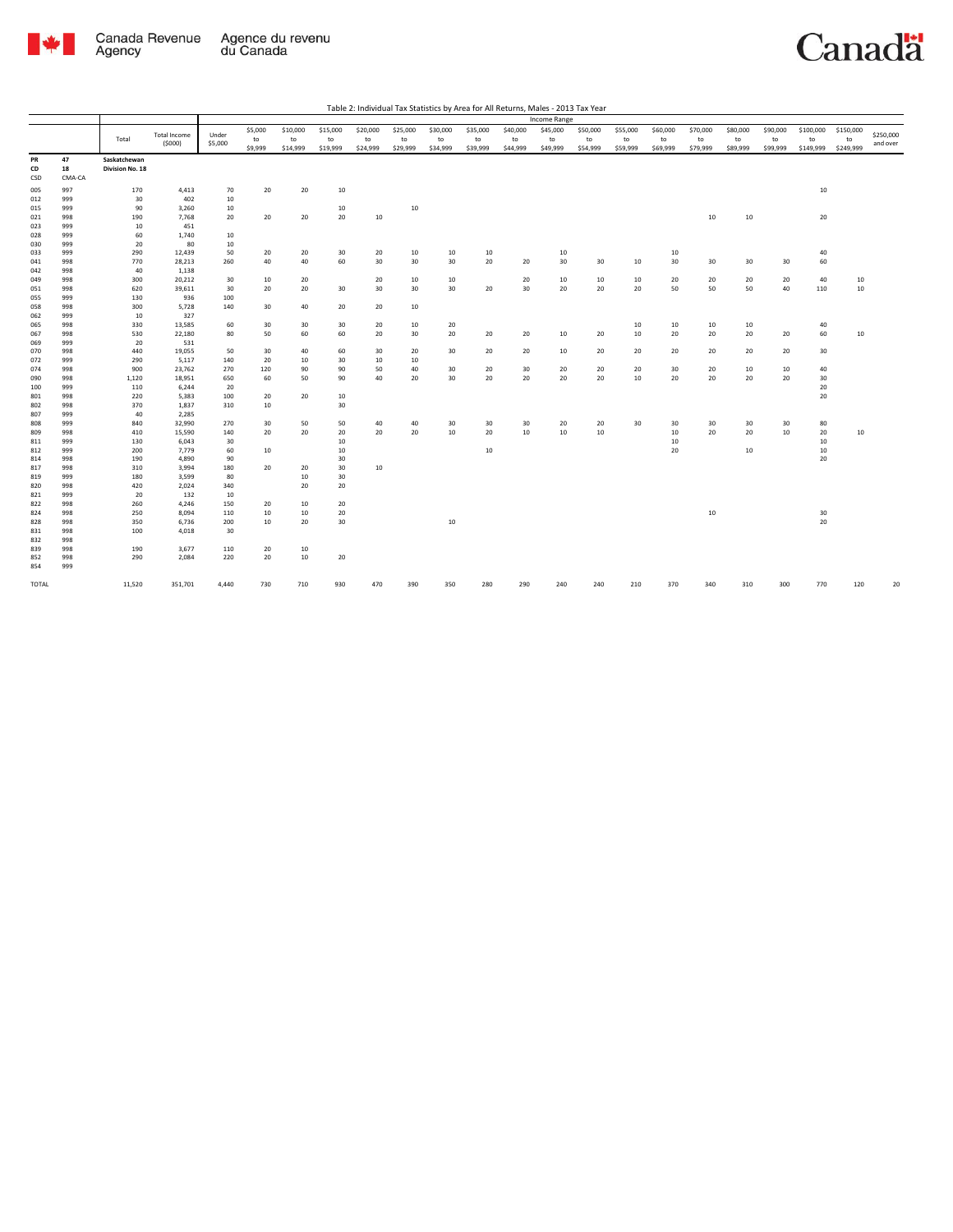

|       |        |                 |                     |         |         |          |          |                 |          |          |          |          | Income Range |          |          |          |          |          |          |           |           |           |
|-------|--------|-----------------|---------------------|---------|---------|----------|----------|-----------------|----------|----------|----------|----------|--------------|----------|----------|----------|----------|----------|----------|-----------|-----------|-----------|
|       |        |                 | <b>Total Income</b> | Under   | \$5,000 | \$10,000 | \$15,000 | \$20,000        | \$25,000 | \$30,000 | \$35,000 | \$40,000 | \$45,000     | \$50,000 | \$55,000 | \$60,000 | \$70,000 | \$80,000 | \$90,000 | \$100,000 | \$150,000 | \$250,000 |
|       |        | Total           | (5000)              | \$5,000 | to      | to       | to       | to              | to       | to       | to       | to       | to           | to       | to       | to       | to       | to       | to       | to        | to        | and over  |
|       |        |                 |                     |         | \$9,999 | \$14,999 | \$19,999 | \$24,999        | \$29,999 | \$34,999 | \$39,999 | \$44,999 | \$49,999     | \$54,999 | \$59,999 | \$69,999 | \$79,999 | \$89,999 | \$99,999 | \$149,999 | \$249,999 |           |
| PR    | 47     | Saskatchewan    |                     |         |         |          |          |                 |          |          |          |          |              |          |          |          |          |          |          |           |           |           |
| CD    | 18     | Division No. 18 |                     |         |         |          |          |                 |          |          |          |          |              |          |          |          |          |          |          |           |           |           |
| CSD   | CMA-CA |                 |                     |         |         |          |          |                 |          |          |          |          |              |          |          |          |          |          |          |           |           |           |
| 005   | 997    | 170             | 4,413               | 70      | 20      | 20       | 10       |                 |          |          |          |          |              |          |          |          |          |          |          | 10        |           |           |
| 012   | 999    | 30              | 402                 | 10      |         |          |          |                 |          |          |          |          |              |          |          |          |          |          |          |           |           |           |
| 015   | 999    | 90              | 3,260               | 10      |         |          | 10       |                 | 10       |          |          |          |              |          |          |          |          |          |          |           |           |           |
| 021   | 998    | 190             | 7,768               | 20      | 20      | 20       | 20       | 10              |          |          |          |          |              |          |          |          | 10       | 10       |          | 20        |           |           |
| 023   | 999    | 10              | 451                 |         |         |          |          |                 |          |          |          |          |              |          |          |          |          |          |          |           |           |           |
| 028   | 999    | 60              | 1,740               | 10      |         |          |          |                 |          |          |          |          |              |          |          |          |          |          |          |           |           |           |
| 030   | 999    | 20              | 80                  | 10      |         |          |          |                 |          |          |          |          |              |          |          |          |          |          |          |           |           |           |
| 033   | 999    | 290             | 12,439              | 50      | 20      | 20       | 30       | 20              | 10       | 10       | 10       |          | 10           |          |          | 10       |          |          |          | 40        |           |           |
| 041   | 998    | 770             | 28,213              | 260     | 40      | 40       | 60       | 30 <sub>o</sub> | 30       | 30       | 20       | 20       | 30           | 30       | 10       | 30       | 30       | 30       | 30       | 60        |           |           |
| 042   | 998    | 40              | 1,138               |         |         |          |          |                 |          |          |          |          |              |          |          |          |          |          |          |           |           |           |
| 049   | 998    | 300             | 20,212              | 30      | 10      | 20       |          | 20              | 10       | 10       |          | 20       | 10           | 10       | 10       | 20       | 20       | 20       | 20       | 40        | 10        |           |
| 051   | 998    | 620             | 39,611              | 30      | 20      | 20       | 30       | 30              | 30       | 30       | 20       | 30       | 20           | 20       | 20       | 50       | 50       | 50       | 40       | 110       | 10        |           |
| 055   | 999    | 130             | 936                 | 100     |         |          |          |                 |          |          |          |          |              |          |          |          |          |          |          |           |           |           |
| 058   | 998    | 300             | 5,728               | 140     | 30      | 40       | 20       | 20              | 10       |          |          |          |              |          |          |          |          |          |          |           |           |           |
| 062   | 999    | 10              | 327                 |         |         |          |          |                 |          |          |          |          |              |          |          |          |          |          |          |           |           |           |
| 065   | 998    | 330             | 13,585              | 60      | 30      | 30       | 30       | 20              | 10       | 20       |          |          |              |          | 10       | 10       | 10       | 10       |          | 40        |           |           |
| 067   | 998    | 530             | 22,180              | 80      | 50      | 60       | 60       | 20              | 30       | 20       | 20       | 20       | 10           | 20       | 10       | 20       | 20       | 20       | 20       | 60        | 10        |           |
| 069   | 999    | 20              | 531                 |         |         |          |          |                 |          |          |          |          |              |          |          |          |          |          |          |           |           |           |
| 070   | 998    | 440             | 19,055              | 50      | 30      | 40       | 60       | 30              | 20       | 30       | 20       | 20       | 10           | 20       | 20       | 20       | 20       | 20       | 20       | 30        |           |           |
| 072   | 999    | 290             | 5,117               | 140     | 20      | 10       | 30       | 10              | 10       |          |          |          |              |          |          |          |          |          |          |           |           |           |
| 074   | 998    | 900             | 23,762              | 270     | 120     | 90       | 90       | 50              | 40       | 30       | 20       | 30       | 20           | 20       | 20       | 30       | 20       | 10       | 10       | 40        |           |           |
| 090   | 998    | 1,120           | 18,951              | 650     | 60      | 50       | 90       | 40              | 20       | 30       | 20       | 20       | 20           | 20       | 10       | 20       | 20       | 20       | 20       | 30        |           |           |
| 100   | 999    | 110             | 6,244               | 20      |         |          |          |                 |          |          |          |          |              |          |          |          |          |          |          | 20        |           |           |
| 801   | 998    | 220             | 5,383               | 100     | 20      | 20       | 10       |                 |          |          |          |          |              |          |          |          |          |          |          | 20        |           |           |
| 802   | 998    | 370             | 1,837               | 310     | 10      |          | 30       |                 |          |          |          |          |              |          |          |          |          |          |          |           |           |           |
| 807   | 999    | 40              | 2,285               |         |         |          |          |                 |          |          |          |          |              |          |          |          |          |          |          |           |           |           |
| 808   | 999    | 840             | 32,990              | 270     | 30      | 50       | 50       | 40              | 40       | 30       | 30       | 30       | 20           | 20       | 30       | 30       | 30       | 30       | 30       | 80        |           |           |
| 809   | 998    | 410             | 15,590              | 140     | 20      | 20       | 20       | 20              | 20       | 10       | 20       | 10       | 10           | 10       |          | 10       | 20       | 20       | 10       | 20        | 10        |           |
| 811   | 999    | 130             | 6,043               | 30      |         |          | 10       |                 |          |          |          |          |              |          |          | 10       |          |          |          | 10        |           |           |
| 812   | 999    | 200             | 7,779               | 60      | 10      |          | 10       |                 |          |          | 10       |          |              |          |          | 20       |          | 10       |          | 10        |           |           |
| 814   | 998    | 190             | 4,890               | 90      |         |          | 30       |                 |          |          |          |          |              |          |          |          |          |          |          | 20        |           |           |
| 817   | 998    | 310             | 3,994               | 180     | 20      | 20       | 30       | 10              |          |          |          |          |              |          |          |          |          |          |          |           |           |           |
| 819   | 999    | 180             | 3,599               | 80      |         | 10       | 30       |                 |          |          |          |          |              |          |          |          |          |          |          |           |           |           |
| 820   | 998    | 420             | 2,024               | 340     |         | 20       | 20       |                 |          |          |          |          |              |          |          |          |          |          |          |           |           |           |
| 821   | 999    | 20              | 132                 | 10      |         |          |          |                 |          |          |          |          |              |          |          |          |          |          |          |           |           |           |
| 822   | 998    | 260             | 4,246               | 150     | 20      | 10       | 20       |                 |          |          |          |          |              |          |          |          |          |          |          |           |           |           |
| 824   | 998    | 250             | 8,094               | 110     | 10      | 10       | 20       |                 |          |          |          |          |              |          |          |          | $10\,$   |          |          | 30        |           |           |
| 828   | 998    | 350             | 6,736               | 200     | 10      | 20       | 30       |                 |          | $10\,$   |          |          |              |          |          |          |          |          |          | 20        |           |           |
| 831   | 998    | 100             | 4,018               | 30      |         |          |          |                 |          |          |          |          |              |          |          |          |          |          |          |           |           |           |
| 832   | 998    |                 |                     |         |         |          |          |                 |          |          |          |          |              |          |          |          |          |          |          |           |           |           |
| 839   | 998    | 190             | 3,677               | 110     | 20      | 10       |          |                 |          |          |          |          |              |          |          |          |          |          |          |           |           |           |
| 852   | 998    | 290             | 2,084               | 220     | 20      | $10\,$   | 20       |                 |          |          |          |          |              |          |          |          |          |          |          |           |           |           |
| 854   | 999    |                 |                     |         |         |          |          |                 |          |          |          |          |              |          |          |          |          |          |          |           |           |           |
| TOTAL |        | 11,520          | 351,701             | 4,440   | 730     | 710      | 930      | 470             | 390      | 350      | 280      | 290      | 240          | 240      | 210      | 370      | 340      | 310      | 300      | 770       | 120       | 20        |
|       |        |                 |                     |         |         |          |          |                 |          |          |          |          |              |          |          |          |          |          |          |           |           |           |